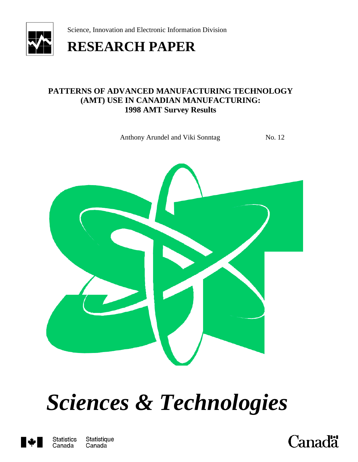

Science, Innovation and Electronic Information Division

## **RESEARCH PAPER**

#### **PATTERNS OF ADVANCED MANUFACTURING TECHNOLOGY (AMT) USE IN CANADIAN MANUFACTURING: 1998 AMT Survey Results**

Anthony Arundel and Viki Sonntag No. 12



# *Sciences & Technologies*



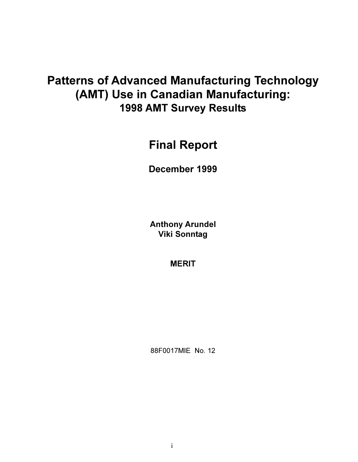## **Patterns of Advanced Manufacturing Technology** (AMT) Use in Canadian Manufacturing: **1998 AMT Survey Results**

## **Final Report**

December 1999

**Anthony Arundel Viki Sonntag** 

**MERIT** 

88F0017MIE No. 12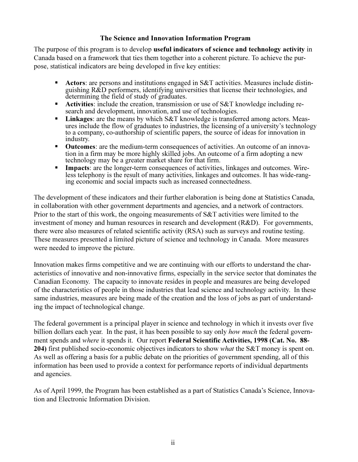#### The Science and Innovation Information Program

The purpose of this program is to develop **useful indicators of science and technology activity** in Canada based on a framework that ties them together into a coherent picture. To achieve the purpose, statistical indicators are being developed in five key entities:

- Actors: are persons and institutions engaged in S&T activities. Measures include distinguishing  $R\&D$  performers, identifying universities that license their technologies, and determining the field of study of graduates.
- Activities: include the creation, transmission or use of S&T knowledge including research and development, innovation, and use of technologies.
- **Linkages:** are the means by which S&T knowledge is transferred among actors. Meas- $\mathbf{u}$ ures include the flow of graduates to industries, the licensing of a university's technology to a company, co-authorship of scientific papers, the source of ideas for innovation in industry.
- $\blacksquare$ **Outcomes:** are the medium-term consequences of activities. An outcome of an innovation in a firm may be more highly skilled jobs. An outcome of a firm adopting a new technology may be a greater market share for that firm.
- **Impacts:** are the longer-term consequences of activities, linkages and outcomes. Wire- $\blacksquare$ less telephony is the result of many activities, linkages and outcomes. It has wide-ranging economic and social impacts such as increased connectedness.

The development of these indicators and their further elaboration is being done at Statistics Canada, in collaboration with other government departments and agencies, and a network of contractors. Prior to the start of this work, the ongoing measurements of S&T activities were limited to the investment of money and human resources in research and development (R&D). For governments, there were also measures of related scientific activity (RSA) such as surveys and routine testing. These measures presented a limited picture of science and technology in Canada. More measures were needed to improve the picture.

Innovation makes firms competitive and we are continuing with our efforts to understand the characteristics of innovative and non-innovative firms, especially in the service sector that dominates the Canadian Economy. The capacity to innovate resides in people and measures are being developed of the characteristics of people in those industries that lead science and technology activity. In these same industries, measures are being made of the creation and the loss of jobs as part of understanding the impact of technological change.

The federal government is a principal player in science and technology in which it invests over five billion dollars each year. In the past, it has been possible to say only *how much* the federal government spends and where it spends it. Our report Federal Scientific Activities, 1998 (Cat. No. 88-204) first published socio-economic objectives indicators to show *what* the S&T money is spent on. As well as offering a basis for a public debate on the priorities of government spending, all of this information has been used to provide a context for performance reports of individual departments and agencies.

As of April 1999, the Program has been established as a part of Statistics Canada's Science, Innovation and Electronic Information Division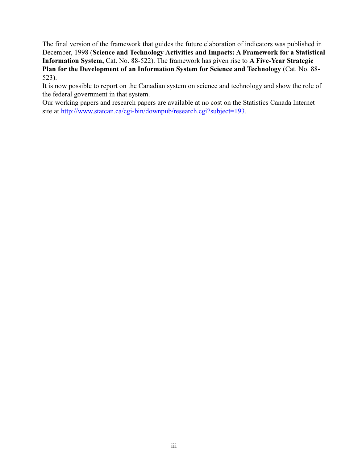The final version of the framework that guides the future elaboration of indicators was published in December, 1998 (Science and Technology Activities and Impacts: A Framework for a Statistical Information System, Cat. No. 88-522). The framework has given rise to A Five-Year Strategic Plan for the Development of an Information System for Science and Technology (Cat. No. 88- $523$ ).

It is now possible to report on the Canadian system on science and technology and show the role of the federal government in that system.

Our working papers and research papers are available at no cost on the Statistics Canada Internet site at http://www.statcan.ca/cgi-bin/downpub/research.cgi?subject=193.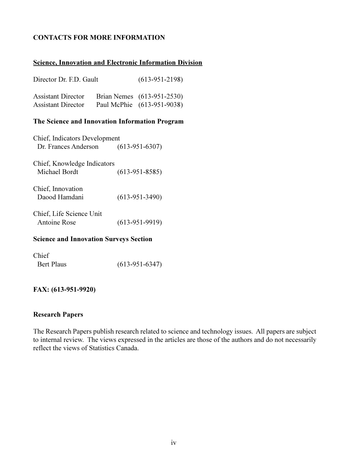#### **CONTACTS FOR MORE INFORMATION**

#### **Science, Innovation and Electronic Information Division**

| Director Dr. F.D. Gault                                | $(613-951-2198)$                                         |
|--------------------------------------------------------|----------------------------------------------------------|
| <b>Assistant Director</b><br><b>Assistant Director</b> | Brian Nemes (613-951-2530)<br>Paul McPhie (613-951-9038) |

#### The Science and Innovation Information Program

| Chief, Indicators Development |                  |
|-------------------------------|------------------|
| Dr. Frances Anderson          | $(613-951-6307)$ |
| Chief, Knowledge Indicators   |                  |
| Michael Bordt                 | $(613-951-8585)$ |
| Chief, Innovation             |                  |
| Daood Hamdani                 | $(613-951-3490)$ |
| Chief, Life Science Unit      |                  |
| Antoine Rose                  | $(613-951-9919)$ |

#### **Science and Innovation Surveys Section**

| Chief      |                  |
|------------|------------------|
| Bert Plaus | $(613-951-6347)$ |

#### FAX: (613-951-9920)

#### **Research Papers**

The Research Papers publish research related to science and technology issues. All papers are subject to internal review. The views expressed in the articles are those of the authors and do not necessarily reflect the views of Statistics Canada.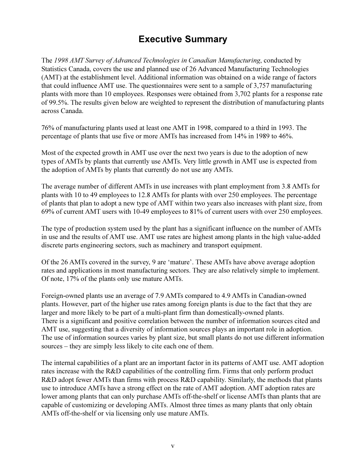### **Executive Summary**

The 1998 AMT Survey of Advanced Technologies in Canadian Manufacturing, conducted by Statistics Canada, covers the use and planned use of 26 Advanced Manufacturing Technologies (AMT) at the establishment level. Additional information was obtained on a wide range of factors that could influence AMT use. The questionnaires were sent to a sample of 3,757 manufacturing plants with more than 10 employees. Responses were obtained from 3,702 plants for a response rate of 99.5%. The results given below are weighted to represent the distribution of manufacturing plants across Canada.

76% of manufacturing plants used at least one AMT in 1998, compared to a third in 1993. The percentage of plants that use five or more AMTs has increased from 14% in 1989 to 46%.

Most of the expected growth in AMT use over the next two years is due to the adoption of new types of AMTs by plants that currently use AMTs. Very little growth in AMT use is expected from the adoption of AMTs by plants that currently do not use any AMTs.

The average number of different AMTs in use increases with plant employment from 3.8 AMTs for plants with 10 to 49 employees to 12.8 AMTs for plants with over 250 employees. The percentage of plants that plan to adopt a new type of AMT within two years also increases with plant size, from 69% of current AMT users with 10-49 employees to 81% of current users with over 250 employees.

The type of production system used by the plant has a significant influence on the number of AMTs in use and the results of AMT use. AMT use rates are highest among plants in the high value-added discrete parts engineering sectors, such as machinery and transport equipment.

Of the 26 AMTs covered in the survey, 9 are 'mature'. These AMTs have above average adoption rates and applications in most manufacturing sectors. They are also relatively simple to implement. Of note, 17% of the plants only use mature AMTs.

Foreign-owned plants use an average of 7.9 AMTs compared to 4.9 AMTs in Canadian-owned plants. However, part of the higher use rates among foreign plants is due to the fact that they are larger and more likely to be part of a multi-plant firm than domestically-owned plants. There is a significant and positive correlation between the number of information sources cited and AMT use, suggesting that a diversity of information sources plays an important role in adoption. The use of information sources varies by plant size, but small plants do not use different information sources – they are simply less likely to cite each one of them.

The internal capabilities of a plant are an important factor in its patterns of AMT use. AMT adoption rates increase with the R&D capabilities of the controlling firm. Firms that only perform product R&D adopt fewer AMTs than firms with process R&D capability. Similarly, the methods that plants use to introduce AMTs have a strong effect on the rate of AMT adoption. AMT adoption rates are lower among plants that can only purchase AMTs off-the-shelf or license AMTs than plants that are capable of customizing or developing AMTs. Almost three times as many plants that only obtain AMTs off-the-shelf or via licensing only use mature AMTs.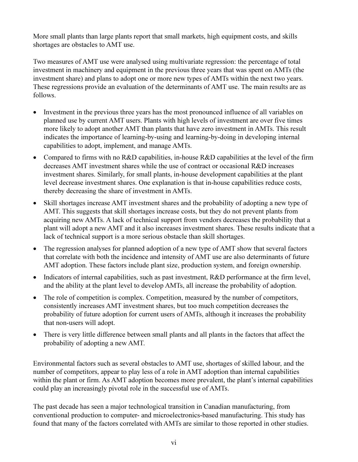More small plants than large plants report that small markets, high equipment costs, and skills shortages are obstacles to AMT use.

Two measures of AMT use were analysed using multivariate regression: the percentage of total investment in machinery and equipment in the previous three years that was spent on AMTs (the investment share) and plans to adopt one or more new types of AMTs within the next two years. These regressions provide an evaluation of the determinants of AMT use. The main results are as follows.

- Investment in the previous three years has the most pronounced influence of all variables on planned use by current AMT users. Plants with high levels of investment are over five times more likely to adopt another AMT than plants that have zero investment in AMTs. This result indicates the importance of learning-by-using and learning-by-doing in developing internal capabilities to adopt, implement, and manage AMTs.
- Compared to firms with no R&D capabilities, in-house R&D capabilities at the level of the firm decreases AMT investment shares while the use of contract or occasional R&D increases investment shares. Similarly, for small plants, in-house development capabilities at the plant level decrease investment shares. One explanation is that in-house capabilities reduce costs, thereby decreasing the share of investment in AMTs.
- Skill shortages increase AMT investment shares and the probability of adopting a new type of AMT. This suggests that skill shortages increase costs, but they do not prevent plants from acquiring new AMTs. A lack of technical support from vendors decreases the probability that a plant will adopt a new AMT and it also increases investment shares. These results indicate that a lack of technical support is a more serious obstacle than skill shortages.
- The regression analyses for planned adoption of a new type of AMT show that several factors that correlate with both the incidence and intensity of AMT use are also determinants of future AMT adoption. These factors include plant size, production system, and foreign ownership.
- Indicators of internal capabilities, such as past investment, R&D performance at the firm level, and the ability at the plant level to develop AMTs, all increase the probability of adoption.
- $\bullet$ The role of competition is complex. Competition, measured by the number of competitors, consistently increases AMT investment shares, but too much competition decreases the probability of future adoption for current users of AMTs, although it increases the probability that non-users will adopt.
- There is very little difference between small plants and all plants in the factors that affect the  $\bullet$ probability of adopting a new AMT.

Environmental factors such as several obstacles to AMT use, shortages of skilled labour, and the number of competitors, appear to play less of a role in AMT adoption than internal capabilities within the plant or firm. As AMT adoption becomes more prevalent, the plant's internal capabilities could play an increasingly pivotal role in the successful use of AMTs.

The past decade has seen a major technological transition in Canadian manufacturing, from conventional production to computer- and microelectronics-based manufacturing. This study has found that many of the factors correlated with AMTs are similar to those reported in other studies.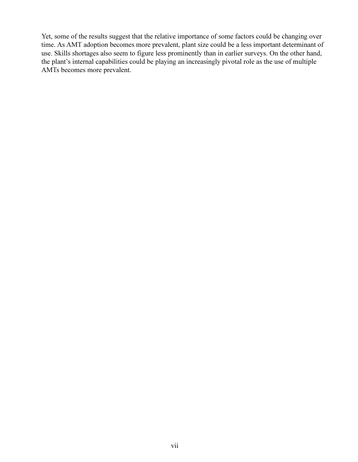Yet, some of the results suggest that the relative importance of some factors could be changing over time. As AMT adoption becomes more prevalent, plant size could be a less important determinant of use. Skills shortages also seem to figure less prominently than in earlier surveys. On the other hand, the plant's internal capabilities could be playing an increasingly pivotal role as the use of multiple AMTs becomes more prevalent.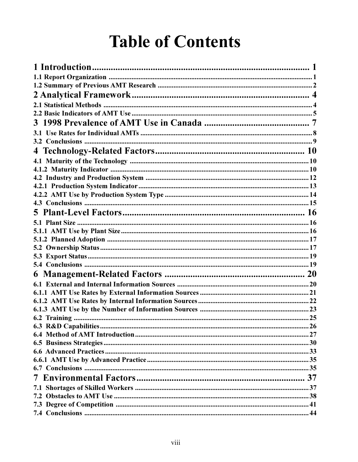## **Table of Contents**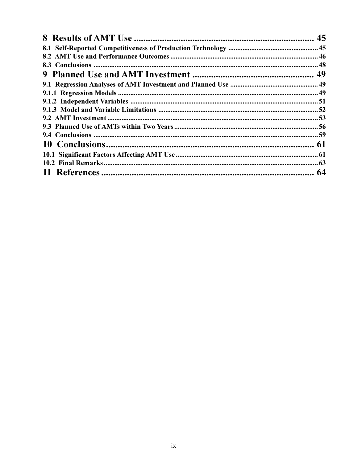| 64 |
|----|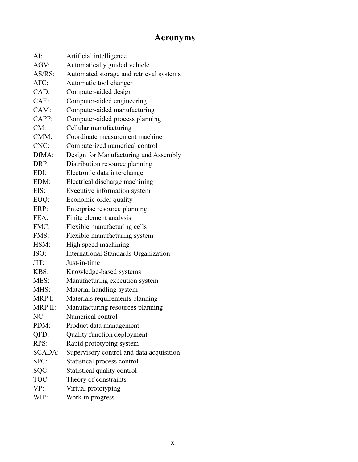## **Acronyms**

| AI:           | Artificial intelligence                  |
|---------------|------------------------------------------|
| AGV:          | Automatically guided vehicle             |
| $AS/RS$ :     | Automated storage and retrieval systems  |
| ATC:          | Automatic tool changer                   |
| CAD:          | Computer-aided design                    |
| CAE:          | Computer-aided engineering               |
| CAM:          | Computer-aided manufacturing             |
| CAPP:         | Computer-aided process planning          |
| CM:           | Cellular manufacturing                   |
| CMM:          | Coordinate measurement machine           |
| CNC:          | Computerized numerical control           |
| DfMA:         | Design for Manufacturing and Assembly    |
| DRP:          | Distribution resource planning           |
| EDI:          | Electronic data interchange              |
| EDM:          | Electrical discharge machining           |
| EIS:          | Executive information system             |
| EOQ:          | Economic order quality                   |
| ERP:          | Enterprise resource planning             |
| FEA:          | Finite element analysis                  |
| FMC:          | Flexible manufacturing cells             |
| FMS:          | Flexible manufacturing system            |
| HSM:          | High speed machining                     |
| ISO:          | International Standards Organization     |
| JIT:          | Just-in-time                             |
| KBS:          | Knowledge-based systems                  |
| MES:          | Manufacturing execution system           |
| MHS:          | Material handling system                 |
| MRP I:        | Materials requirements planning          |
| MRP II:       | Manufacturing resources planning         |
| NC:           | Numerical control                        |
| PDM:          | Product data management                  |
| QFD:          | Quality function deployment              |
| RPS:          | Rapid prototyping system                 |
| <b>SCADA:</b> | Supervisory control and data acquisition |
| SPC:          | Statistical process control              |
| SQC:          | Statistical quality control              |
| TOC:          | Theory of constraints                    |
| VP:           | Virtual prototyping                      |
| WIP:          | Work in progress                         |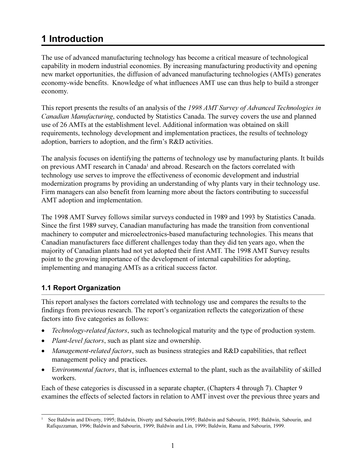## <span id="page-11-0"></span>**1** Introduction

The use of advanced manufacturing technology has become a critical measure of technological capability in modern industrial economies. By increasing manufacturing productivity and opening new market opportunities, the diffusion of advanced manufacturing technologies (AMTs) generates economy-wide benefits. Knowledge of what influences AMT use can thus help to build a stronger economy.

This report presents the results of an analysis of the 1998 AMT Survey of Advanced Technologies in Canadian Manufacturing, conducted by Statistics Canada. The survey covers the use and planned use of 26 AMTs at the establishment level. Additional information was obtained on skill requirements, technology development and implementation practices, the results of technology adoption, barriers to adoption, and the firm's R&D activities.

The analysis focuses on identifying the patterns of technology use by manufacturing plants. It builds on previous AMT research in Canada<sup>1</sup> and abroad. Research on the factors correlated with technology use serves to improve the effectiveness of economic development and industrial modernization programs by providing an understanding of why plants vary in their technology use. Firm managers can also benefit from learning more about the factors contributing to successful AMT adoption and implementation.

The 1998 AMT Survey follows similar surveys conducted in 1989 and 1993 by Statistics Canada. Since the first 1989 survey, Canadian manufacturing has made the transition from conventional machinery to computer and microelectronics-based manufacturing technologies. This means that Canadian manufacturers face different challenges today than they did ten years ago, when the majority of Canadian plants had not yet adopted their first AMT. The 1998 AMT Survey results point to the growing importance of the development of internal capabilities for adopting, implementing and managing AMTs as a critical success factor.

#### 1.1 Report Organization

This report analyses the factors correlated with technology use and compares the results to the findings from previous research. The report's organization reflects the categorization of these factors into five categories as follows:

- Technology-related factors, such as technological maturity and the type of production system.
- *Plant-level factors*, such as plant size and ownership.  $\bullet$
- Management-related factors, such as business strategies and R&D capabilities, that reflect management policy and practices.
- Environmental factors, that is, influences external to the plant, such as the availability of skilled workers.

Each of these categories is discussed in a separate chapter, (Chapters 4 through 7). Chapter 9 examines the effects of selected factors in relation to AMT invest over the previous three years and

See Baldwin and Diverty, 1995; Baldwin, Diverty and Sabourin, 1995; Baldwin and Sabourin, 1995; Baldwin, Sabourin, and Rafiquzzaman, 1996; Baldwin and Sabourin, 1999; Baldwin and Lin, 1999; Baldwin, Rama and Sabourin, 1999.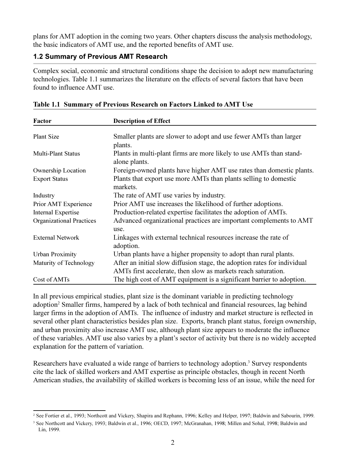<span id="page-12-0"></span>plans for AMT adoption in the coming two years. Other chapters discuss the analysis methodology, the basic indicators of AMT use, and the reported benefits of AMT use.

#### **1.2 Summary of Previous AMT Research**

Complex social, economic and structural conditions shape the decision to adopt new manufacturing technologies. Table 1.1 summarizes the literature on the effects of several factors that have been found to influence AMT use.

| Factor                          | <b>Description of Effect</b>                                                                                                              |
|---------------------------------|-------------------------------------------------------------------------------------------------------------------------------------------|
| <b>Plant Size</b>               | Smaller plants are slower to adopt and use fewer AMTs than larger<br>plants.                                                              |
| <b>Multi-Plant Status</b>       | Plants in multi-plant firms are more likely to use AMTs than stand-<br>alone plants.                                                      |
| <b>Ownership Location</b>       | Foreign-owned plants have higher AMT use rates than domestic plants.                                                                      |
| <b>Export Status</b>            | Plants that export use more AMTs than plants selling to domestic<br>markets.                                                              |
| Industry                        | The rate of AMT use varies by industry.                                                                                                   |
| Prior AMT Experience            | Prior AMT use increases the likelihood of further adoptions.                                                                              |
| <b>Internal Expertise</b>       | Production-related expertise facilitates the adoption of AMTs.                                                                            |
| <b>Organizational Practices</b> | Advanced organizational practices are important complements to AMT<br>use.                                                                |
| <b>External Network</b>         | Linkages with external technical resources increase the rate of<br>adoption.                                                              |
| <b>Urban Proximity</b>          | Urban plants have a higher propensity to adopt than rural plants.                                                                         |
| Maturity of Technology          | After an initial slow diffusion stage, the adoption rates for individual<br>AMTs first accelerate, then slow as markets reach saturation. |
| Cost of AMTs                    | The high cost of AMT equipment is a significant barrier to adoption.                                                                      |

| Table 1.1 Summary of Previous Research on Factors Linked to AMT Use |  |  |  |  |  |  |  |
|---------------------------------------------------------------------|--|--|--|--|--|--|--|
|---------------------------------------------------------------------|--|--|--|--|--|--|--|

In all previous empirical studies, plant size is the dominant variable in predicting technology adoption<sup>2</sup> Smaller firms, hampered by a lack of both technical and financial resources, lag behind larger firms in the adoption of AMTs. The influence of industry and market structure is reflected in several other plant characteristics besides plan size. Exports, branch plant status, foreign ownership, and urban proximity also increase AMT use, although plant size appears to moderate the influence of these variables. AMT use also varies by a plant's sector of activity but there is no widely accepted explanation for the pattern of variation.

Researchers have evaluated a wide range of barriers to technology adoption.<sup>3</sup> Survey respondents cite the lack of skilled workers and AMT expertise as principle obstacles, though in recent North American studies, the availability of skilled workers is becoming less of an issue, while the need for

<sup>&</sup>lt;sup>2</sup> See Fortier et al., 1993; Northcott and Vickery, Shapira and Rephann, 1996; Kelley and Helper, 1997; Baldwin and Sabourin, 1999.

<sup>&</sup>lt;sup>3</sup> See Northcott and Vickery, 1993; Baldwin et al., 1996; OECD, 1997; McGranahan, 1998; Millen and Sohal, 1998; Baldwin and Lin, 1999.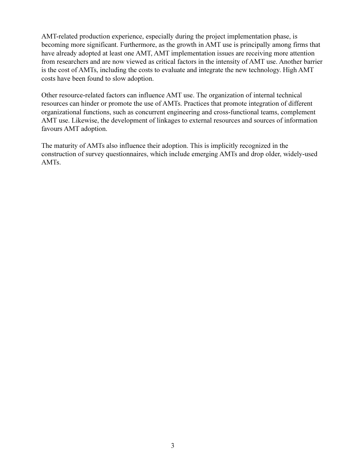AMT-related production experience, especially during the project implementation phase, is becoming more significant. Furthermore, as the growth in AMT use is principally among firms that have already adopted at least one AMT, AMT implementation issues are receiving more attention from researchers and are now viewed as critical factors in the intensity of AMT use. Another barrier is the cost of AMTs, including the costs to evaluate and integrate the new technology. High AMT costs have been found to slow adoption.

Other resource-related factors can influence AMT use. The organization of internal technical resources can hinder or promote the use of AMTs. Practices that promote integration of different organizational functions, such as concurrent engineering and cross-functional teams, complement AMT use. Likewise, the development of linkages to external resources and sources of information favours AMT adoption.

The maturity of AMTs also influence their adoption. This is implicitly recognized in the construction of survey questionnaires, which include emerging AMTs and drop older, widely-used AMTs.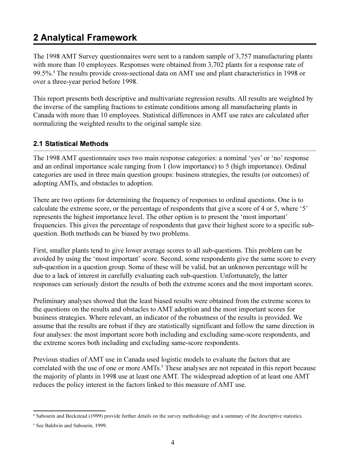## <span id="page-14-0"></span>**2 Analytical Framework**

The 1998 AMT Survey questionnaires were sent to a random sample of 3,757 manufacturing plants with more than 10 employees. Responses were obtained from 3,702 plants for a response rate of 99.5%.<sup>4</sup> The results provide cross-sectional data on AMT use and plant characteristics in 1998 or over a three-year period before 1998.

This report presents both descriptive and multivariate regression results. All results are weighted by the inverse of the sampling fractions to estimate conditions among all manufacturing plants in Canada with more than 10 employees. Statistical differences in AMT use rates are calculated after normalizing the weighted results to the original sample size.

#### **2.1 Statistical Methods**

The 1998 AMT questionnaire uses two main response categories: a nominal 'yes' or 'no' response and an ordinal importance scale ranging from 1 (low importance) to 5 (high importance). Ordinal categories are used in three main question groups: business strategies, the results (or outcomes) of adopting AMTs, and obstacles to adoption.

There are two options for determining the frequency of responses to ordinal questions. One is to calculate the extreme score, or the percentage of respondents that give a score of 4 or 5, where '5' represents the highest importance level. The other option is to present the 'most important' frequencies. This gives the percentage of respondents that gave their highest score to a specific subquestion. Both methods can be biased by two problems.

First, smaller plants tend to give lower average scores to all sub-questions. This problem can be avoided by using the 'most important' score. Second, some respondents give the same score to every sub-question in a question group. Some of these will be valid, but an unknown percentage will be due to a lack of interest in carefully evaluating each sub-question. Unfortunately, the latter responses can seriously distort the results of both the extreme scores and the most important scores.

Preliminary analyses showed that the least biased results were obtained from the extreme scores to the questions on the results and obstacles to AMT adoption and the most important scores for business strategies. Where relevant, an indicator of the robustness of the results is provided. We assume that the results are robust if they are statistically significant and follow the same direction in four analyses: the most important score both including and excluding same-score respondents, and the extreme scores both including and excluding same-score respondents.

Previous studies of AMT use in Canada used logistic models to evaluate the factors that are correlated with the use of one or more AMTs.<sup>5</sup> These analyses are not repeated in this report because the majority of plants in 1998 use at least one AMT. The widespread adoption of at least one AMT reduces the policy interest in the factors linked to this measure of AMT use.

<sup>4</sup> Sabourin and Beckstead (1999) provide further details on the survey methodology and a summary of the descriptive statistics.

<sup>&</sup>lt;sup>5</sup> See Baldwin and Sabourin, 1999.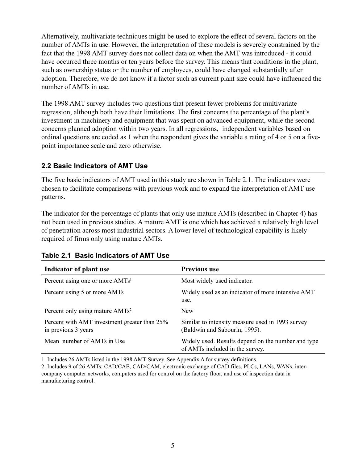<span id="page-15-0"></span>Alternatively, multivariate techniques might be used to explore the effect of several factors on the number of AMTs in use. However, the interpretation of these models is severely constrained by the fact that the 1998 AMT survey does not collect data on when the AMT was introduced - it could have occurred three months or ten years before the survey. This means that conditions in the plant, such as ownership status or the number of employees, could have changed substantially after adoption. Therefore, we do not know if a factor such as current plant size could have influenced the number of AMTs in use.

The 1998 AMT survey includes two questions that present fewer problems for multivariate regression, although both have their limitations. The first concerns the percentage of the plant's investment in machinery and equipment that was spent on advanced equipment, while the second concerns planned adoption within two years. In all regressions, independent variables based on ordinal questions are coded as 1 when the respondent gives the variable a rating of 4 or 5 on a fivepoint importance scale and zero otherwise.

#### 2.2 Basic Indicators of AMT Use

The five basic indicators of AMT used in this study are shown in Table 2.1. The indicators were chosen to facilitate comparisons with previous work and to expand the interpretation of AMT use patterns.

The indicator for the percentage of plants that only use mature AMTs (described in Chapter 4) has not been used in previous studies. A mature AMT is one which has achieved a relatively high level of penetration across most industrial sectors. A lower level of technological capability is likely required of firms only using mature AMTs.

| Indicator of plant use                                              | <b>Previous use</b>                                                                   |
|---------------------------------------------------------------------|---------------------------------------------------------------------------------------|
| Percent using one or more AMTs <sup>1</sup>                         | Most widely used indicator.                                                           |
| Percent using 5 or more AMTs                                        | Widely used as an indicator of more intensive AMT<br>use.                             |
| Percent only using mature AMTs <sup>2</sup>                         | <b>New</b>                                                                            |
| Percent with AMT investment greater than 25%<br>in previous 3 years | Similar to intensity measure used in 1993 survey<br>(Baldwin and Sabourin, 1995).     |
| Mean number of AMTs in Use                                          | Widely used. Results depend on the number and type<br>of AMTs included in the survey. |

|  | Table 2.1 Basic Indicators of AMT Use |  |
|--|---------------------------------------|--|
|  |                                       |  |

1. Includes 26 AMTs listed in the 1998 AMT Survey. See Appendix A for survey definitions.

2. Includes 9 of 26 AMTs: CAD/CAE, CAD/CAM, electronic exchange of CAD files, PLCs, LANs, WANs, intercompany computer networks, computers used for control on the factory floor, and use of inspection data in manufacturing control.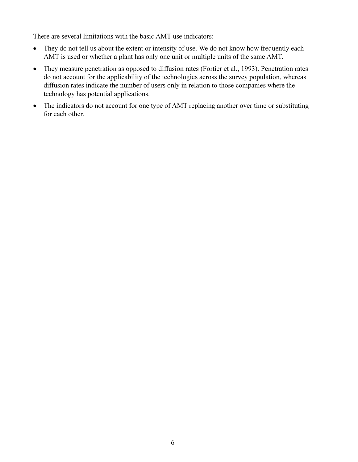There are several limitations with the basic AMT use indicators:

- $\bullet$ They do not tell us about the extent or intensity of use. We do not know how frequently each AMT is used or whether a plant has only one unit or multiple units of the same AMT.
- They measure penetration as opposed to diffusion rates (Fortier et al., 1993). Penetration rates  $\bullet$ do not account for the applicability of the technologies across the survey population, whereas diffusion rates indicate the number of users only in relation to those companies where the technology has potential applications.
- The indicators do not account for one type of AMT replacing another over time or substituting  $\bullet$ for each other.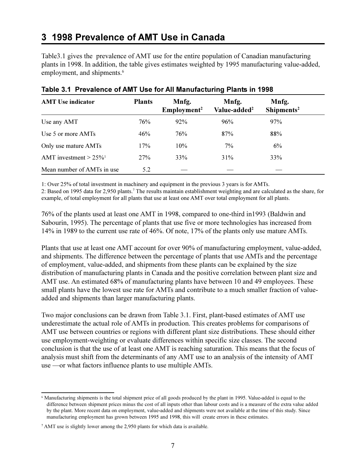## <span id="page-17-0"></span>3 1998 Prevalence of AMT Use in Canada

Table 3.1 gives the prevalence of AMT use for the entire population of Canadian manufacturing plants in 1998. In addition, the table gives estimates weighted by 1995 manufacturing value-added, employment, and shipments.<sup>6</sup>

| <b>AMT</b> Use indicator             | <b>Plants</b> | Mnfg.<br>Employment <sup>2</sup> | Mnfg.<br>Value-added <sup>2</sup> | Mnfg.<br>Shipments <sup>2</sup> |
|--------------------------------------|---------------|----------------------------------|-----------------------------------|---------------------------------|
| Use any AMT                          | 76%           | 92%                              | 96%                               | 97%                             |
| Use 5 or more AMTs                   | 46%           | 76%                              | 87%                               | 88%                             |
| Only use mature AMTs                 | 17%           | 10%                              | 7%                                | 6%                              |
| AMT investment $> 25\%$ <sup>1</sup> | 27%           | 33%                              | 31%                               | 33%                             |
| Mean number of AMTs in use           | 5.2           |                                  |                                   |                                 |

#### Table 3.1 Prevalence of AMT Use for All Manufacturing Plants in 1998

1: Over 25% of total investment in machinery and equipment in the previous 3 years is for AMTs.

2: Based on 1995 data for 2,950 plants.<sup>7</sup> The results maintain establishment weighting and are calculated as the share, for example, of total employment for all plants that use at least one AMT over total employment for all plants.

76% of the plants used at least one AMT in 1998, compared to one-third in 1993 (Baldwin and Sabourin, 1995). The percentage of plants that use five or more technologies has increased from 14% in 1989 to the current use rate of 46%. Of note, 17% of the plants only use mature AMTs.

Plants that use at least one AMT account for over 90% of manufacturing employment, value-added, and shipments. The difference between the percentage of plants that use AMTs and the percentage of employment, value-added, and shipments from these plants can be explained by the size distribution of manufacturing plants in Canada and the positive correlation between plant size and AMT use. An estimated 68% of manufacturing plants have between 10 and 49 employees. These small plants have the lowest use rate for AMTs and contribute to a much smaller fraction of valueadded and shipments than larger manufacturing plants.

Two major conclusions can be drawn from Table 3.1. First, plant-based estimates of AMT use underestimate the actual role of AMTs in production. This creates problems for comparisons of AMT use between countries or regions with different plant size distributions. These should either use employment-weighting or evaluate differences within specific size classes. The second conclusion is that the use of at least one AMT is reaching saturation. This means that the focus of analysis must shift from the determinants of any AMT use to an analysis of the intensity of AMT use —or what factors influence plants to use multiple AMTs.

<sup>&</sup>lt;sup>6</sup> Manufacturing shipments is the total shipment price of all goods produced by the plant in 1995. Value-added is equal to the difference between shipment prices minus the cost of all inputs other than labour costs and is a measure of the extra value added by the plant. More recent data on employment, value-added and shipments were not available at the time of this study. Since manufacturing employment has grown between 1995 and 1998, this will create errors in these estimates.

<sup>&</sup>lt;sup>7</sup> AMT use is slightly lower among the 2,950 plants for which data is available.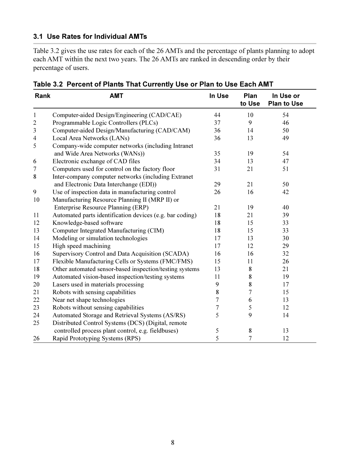#### <span id="page-18-0"></span>3.1 Use Rates for Individual AMTs

Table 3.2 gives the use rates for each of the 26 AMTs and the percentage of plants planning to adopt each AMT within the next two years. The 26 AMTs are ranked in descending order by their percentage of users.

| Rank           | <b>AMT</b>                                               | In Use | Plan<br>to Use | In Use or<br><b>Plan to Use</b> |
|----------------|----------------------------------------------------------|--------|----------------|---------------------------------|
| $\mathbf{1}$   | Computer-aided Design/Engineering (CAD/CAE)              | 44     | 10             | 54                              |
| $\overline{2}$ | Programmable Logic Controllers (PLCs)                    | 37     | 9              | 46                              |
| 3              | Computer-aided Design/Manufacturing (CAD/CAM)            | 36     | 14             | 50                              |
| 4              | Local Area Networks (LANs)                               | 36     | 13             | 49                              |
| 5              | Company-wide computer networks (including Intranet       |        |                |                                 |
|                | and Wide Area Networks (WANs))                           | 35     | 19             | 54                              |
| 6              | Electronic exchange of CAD files                         | 34     | 13             | 47                              |
| 7              | Computers used for control on the factory floor          | 31     | 21             | 51                              |
| 8              | Inter-company computer networks (including Extranet      |        |                |                                 |
|                | and Electronic Data Interchange (EDI))                   | 29     | 21             | 50                              |
| 9              | Use of inspection data in manufacturing control          | 26     | 16             | 42                              |
| 10             | Manufacturing Resource Planning II (MRP II) or           |        |                |                                 |
|                | Enterprise Resource Planning (ERP)                       | 21     | 19             | 40                              |
| 11             | Automated parts identification devices (e.g. bar coding) | 18     | 21             | 39                              |
| 12             | Knowledge-based software                                 | 18     | 15             | 33                              |
| 13             | Computer Integrated Manufacturing (CIM)                  | 18     | 15             | 33                              |
| 14             | Modeling or simulation technologies                      | 17     | 13             | 30                              |
| 15             | High speed machining                                     | 17     | 12             | 29                              |
| 16             | Supervisory Control and Data Acquisition (SCADA)         | 16     | 16             | 32                              |
| 17             | Flexible Manufacturing Cells or Systems (FMC/FMS)        | 15     | 11             | 26                              |
| 18             | Other automated sensor-based inspection/testing systems  | 13     | 8              | 21                              |
| 19             | Automated vision-based inspection/testing systems        | 11     | 8              | 19                              |
| 20             | Lasers used in materials processing                      | 9      | 8              | 17                              |
| 21             | Robots with sensing capabilities                         | 8      | 7              | 15                              |
| 22             | Near net shape technologies                              | 7      | 6              | 13                              |
| 23             | Robots without sensing capabilities                      | 7      | 5              | 12                              |
| 24             | Automated Storage and Retrieval Systems (AS/RS)          | 5      | 9              | 14                              |
| 25             | Distributed Control Systems (DCS) (Digital, remote       |        |                |                                 |
|                | controlled process plant control, e.g. fieldbuses)       | 5      | 8              | 13                              |
| 26             | Rapid Prototyping Systems (RPS)                          | 5      | $\tau$         | 12                              |

Table 3.2 Percent of Plants That Currently Use or Plan to Use Each AMT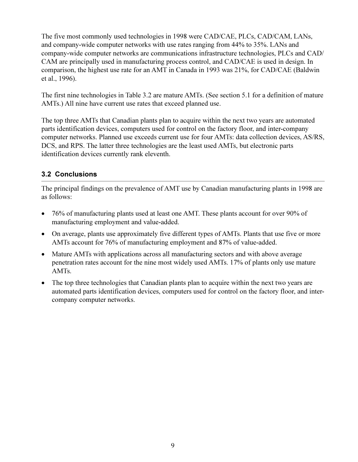<span id="page-19-0"></span>The five most commonly used technologies in 1998 were CAD/CAE, PLCs, CAD/CAM, LANs, and company-wide computer networks with use rates ranging from 44% to 35%. LANs and company-wide computer networks are communications infrastructure technologies, PLCs and CAD/ CAM are principally used in manufacturing process control, and CAD/CAE is used in design. In comparison, the highest use rate for an AMT in Canada in 1993 was 21%, for CAD/CAE (Baldwin et al., 1996).

The first nine technologies in Table 3.2 are mature AMTs. (See section 5.1 for a definition of mature AMTs.) All nine have current use rates that exceed planned use.

The top three AMTs that Canadian plants plan to acquire within the next two years are automated parts identification devices, computers used for control on the factory floor, and inter-company computer networks. Planned use exceeds current use for four AMTs: data collection devices, AS/RS, DCS, and RPS. The latter three technologies are the least used AMTs, but electronic parts identification devices currently rank eleventh.

#### **3.2 Conclusions**

The principal findings on the prevalence of AMT use by Canadian manufacturing plants in 1998 are as follows:

- 76% of manufacturing plants used at least one AMT. These plants account for over 90% of  $\bullet$ manufacturing employment and value-added.
- On average, plants use approximately five different types of AMTs. Plants that use five or more AMTs account for 76% of manufacturing employment and 87% of value-added.
- Mature AMTs with applications across all manufacturing sectors and with above average penetration rates account for the nine most widely used AMTs. 17% of plants only use mature AMT<sub>s</sub>.
- The top three technologies that Canadian plants plan to acquire within the next two years are automated parts identification devices, computers used for control on the factory floor, and intercompany computer networks.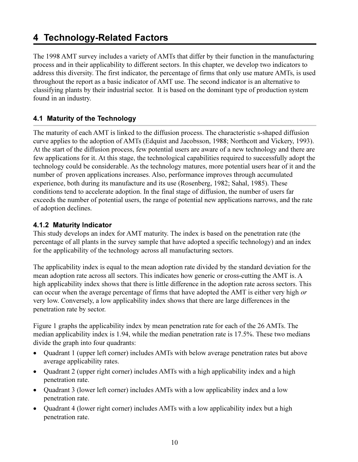## <span id="page-20-0"></span>4 Technology-Related Factors

The 1998 AMT survey includes a variety of AMTs that differ by their function in the manufacturing process and in their applicability to different sectors. In this chapter, we develop two indicators to address this diversity. The first indicator, the percentage of firms that only use mature AMTs, is used throughout the report as a basic indicator of AMT use. The second indicator is an alternative to classifying plants by their industrial sector. It is based on the dominant type of production system found in an industry.

#### 4.1 Maturity of the Technology

The maturity of each AMT is linked to the diffusion process. The characteristic s-shaped diffusion curve applies to the adoption of AMTs (Edquist and Jacobsson, 1988; Northcott and Vickery, 1993). At the start of the diffusion process, few potential users are aware of a new technology and there are few applications for it. At this stage, the technological capabilities required to successfully adopt the technology could be considerable. As the technology matures, more potential users hear of it and the number of proven applications increases. Also, performance improves through accumulated experience, both during its manufacture and its use (Rosenberg, 1982; Sahal, 1985). These conditions tend to accelerate adoption. In the final stage of diffusion, the number of users far exceeds the number of potential users, the range of potential new applications narrows, and the rate of adoption declines.

#### 4.1.2 Maturity Indicator

This study develops an index for AMT maturity. The index is based on the penetration rate (the percentage of all plants in the survey sample that have adopted a specific technology) and an index for the applicability of the technology across all manufacturing sectors.

The applicability index is equal to the mean adoption rate divided by the standard deviation for the mean adoption rate across all sectors. This indicates how generic or cross-cutting the AMT is. A high applicability index shows that there is little difference in the adoption rate across sectors. This can occur when the average percentage of firms that have adopted the AMT is either very high or very low. Conversely, a low applicability index shows that there are large differences in the penetration rate by sector.

Figure 1 graphs the applicability index by mean penetration rate for each of the 26 AMTs. The median applicability index is 1.94, while the median penetration rate is 17.5%. These two medians divide the graph into four quadrants:

- Quadrant 1 (upper left corner) includes AMTs with below average penetration rates but above  $\bullet$ average applicability rates.
- Quadrant 2 (upper right corner) includes AMTs with a high applicability index and a high penetration rate.
- Quadrant 3 (lower left corner) includes AMTs with a low applicability index and a low penetration rate.
- Quadrant 4 (lower right corner) includes AMTs with a low applicability index but a high penetration rate.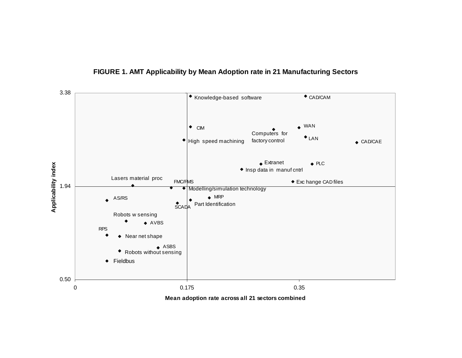

#### **FIGURE 1. AMT Applicability by Mean Adoption rate in 21 Manufacturing Sectors**

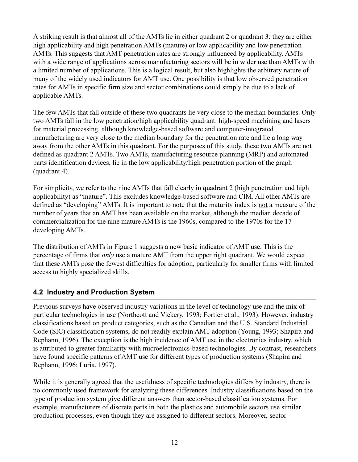<span id="page-22-0"></span>A striking result is that almost all of the AMTs lie in either quadrant 2 or quadrant 3; they are either high applicability and high penetration AMTs (mature) or low applicability and low penetration AMTs. This suggests that AMT penetration rates are strongly influenced by applicability. AMTs with a wide range of applications across manufacturing sectors will be in wider use than AMTs with a limited number of applications. This is a logical result, but also highlights the arbitrary nature of many of the widely used indicators for AMT use. One possibility is that low observed penetration rates for AMTs in specific firm size and sector combinations could simply be due to a lack of applicable AMTs.

The few AMTs that fall outside of these two quadrants lie very close to the median boundaries. Only two AMTs fall in the low penetration/high applicability quadrant: high-speed machining and lasers for material processing, although knowledge-based software and computer-integrated manufacturing are very close to the median boundary for the penetration rate and lie a long way away from the other AMTs in this quadrant. For the purposes of this study, these two AMTs are not defined as quadrant 2 AMTs. Two AMTs, manufacturing resource planning (MRP) and automated parts identification devices, lie in the low applicability/high penetration portion of the graph (quadrant 4).

For simplicity, we refer to the nine AMTs that fall clearly in quadrant 2 (high penetration and high applicability) as "mature". This excludes knowledge-based software and CIM. All other AMTs are defined as "developing" AMTs. It is important to note that the maturity index is not a measure of the number of years that an AMT has been available on the market, although the median decade of commercialization for the nine mature AMTs is the 1960s, compared to the 1970s for the 17 developing AMTs.

The distribution of AMTs in Figure 1 suggests a new basic indicator of AMT use. This is the percentage of firms that *only* use a mature AMT from the upper right quadrant. We would expect that these AMTs pose the fewest difficulties for adoption, particularly for smaller firms with limited access to highly specialized skills.

#### 4.2 Industry and Production System

Previous surveys have observed industry variations in the level of technology use and the mix of particular technologies in use (Northcott and Vickery, 1993; Fortier et al., 1993). However, industry classifications based on product categories, such as the Canadian and the U.S. Standard Industrial Code (SIC) classification systems, do not readily explain AMT adoption (Young, 1993; Shapira and Rephann, 1996). The exception is the high incidence of AMT use in the electronics industry, which is attributed to greater familiarity with microelectronics-based technologies. By contrast, researchers have found specific patterns of AMT use for different types of production systems (Shapira and Rephann, 1996; Luria, 1997).

While it is generally agreed that the usefulness of specific technologies differs by industry, there is no commonly used framework for analyzing these differences. Industry classifications based on the type of production system give different answers than sector-based classification systems. For example, manufacturers of discrete parts in both the plastics and automobile sectors use similar production processes, even though they are assigned to different sectors. Moreover, sector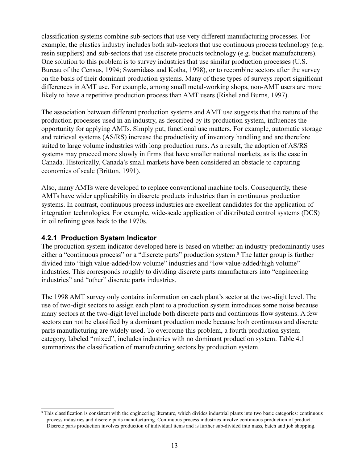<span id="page-23-0"></span>classification systems combine sub-sectors that use very different manufacturing processes. For example, the plastics industry includes both sub-sectors that use continuous process technology (e.g. resin suppliers) and sub-sectors that use discrete products technology (e.g. bucket manufacturers). One solution to this problem is to survey industries that use similar production processes (U.S. Bureau of the Census, 1994; Swamidass and Kotha, 1998), or to recombine sectors after the survey on the basis of their dominant production systems. Many of these types of surveys report significant differences in AMT use. For example, among small metal-working shops, non-AMT users are more likely to have a repetitive production process than AMT users (Rishel and Burns, 1997).

The association between different production systems and AMT use suggests that the nature of the production processes used in an industry, as described by its production system, influences the opportunity for applying AMTs. Simply put, functional use matters. For example, automatic storage and retrieval systems (AS/RS) increase the productivity of inventory handling and are therefore suited to large volume industries with long production runs. As a result, the adoption of AS/RS systems may proceed more slowly in firms that have smaller national markets, as is the case in Canada. Historically, Canada's small markets have been considered an obstacle to capturing economies of scale (Britton, 1991).

Also, many AMTs were developed to replace conventional machine tools. Consequently, these AMTs have wider applicability in discrete products industries than in continuous production systems. In contrast, continuous process industries are excellent candidates for the application of integration technologies. For example, wide-scale application of distributed control systems (DCS) in oil refining goes back to the 1970s.

#### 4.2.1 Production System Indicator

The production system indicator developed here is based on whether an industry predominantly uses either a "continuous process" or a "discrete parts" production system.<sup>8</sup> The latter group is further divided into "high value-added/low volume" industries and "low value-added/high volume" industries. This corresponds roughly to dividing discrete parts manufacturers into "engineering industries" and "other" discrete parts industries.

The 1998 AMT survey only contains information on each plant's sector at the two-digit level. The use of two-digit sectors to assign each plant to a production system introduces some noise because many sectors at the two-digit level include both discrete parts and continuous flow systems. A few sectors can not be classified by a dominant production mode because both continuous and discrete parts manufacturing are widely used. To overcome this problem, a fourth production system category, labeled "mixed", includes industries with no dominant production system. Table 4.1 summarizes the classification of manufacturing sectors by production system.

<sup>&</sup>lt;sup>8</sup> This classification is consistent with the engineering literature, which divides industrial plants into two basic categories: continuous process industries and discrete parts manufacturing. Continuous process industries involve continuous production of product. Discrete parts production involves production of individual items and is further sub-divided into mass, batch and job shopping.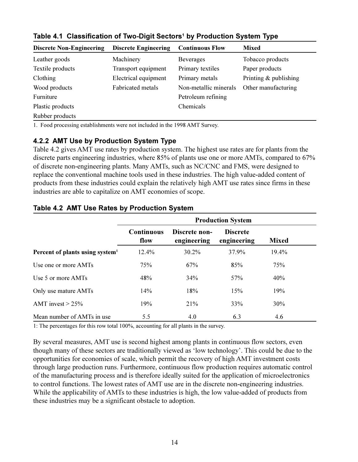| <b>Discrete Non-Engineering</b> | <b>Discrete Engineering</b> | <b>Continuous Flow</b> | <b>Mixed</b>            |  |
|---------------------------------|-----------------------------|------------------------|-------------------------|--|
| Leather goods                   | Machinery                   | <b>Beverages</b>       | Tobacco products        |  |
| Textile products                | Transport equipment         | Primary textiles       | Paper products          |  |
| Clothing                        | Electrical equipment        | Primary metals         | Printing $&$ publishing |  |
| Wood products                   | <b>Fabricated metals</b>    | Non-metallic minerals  | Other manufacturing     |  |
| Furniture                       |                             | Petroleum refining     |                         |  |
| Plastic products                |                             | Chemicals              |                         |  |
| Rubber products                 |                             |                        |                         |  |

<span id="page-24-0"></span>Table 4.1 Classification of Two-Digit Sectors<sup>1</sup> by Production System Type

1. Food processing establishments were not included in the 1998 AMT Survey.

#### 4.2.2 AMT Use by Production System Type

Table 4.2 gives AMT use rates by production system. The highest use rates are for plants from the discrete parts engineering industries, where 85% of plants use one or more AMTs, compared to 67% of discrete non-engineering plants. Many AMTs, such as NC/CNC and FMS, were designed to replace the conventional machine tools used in these industries. The high value-added content of products from these industries could explain the relatively high AMT use rates since firms in these industries are able to capitalize on AMT economies of scope.

|                                             | <b>Production System</b>  |                              |                                |              |  |  |  |
|---------------------------------------------|---------------------------|------------------------------|--------------------------------|--------------|--|--|--|
|                                             | <b>Continuous</b><br>flow | Discrete non-<br>engineering | <b>Discrete</b><br>engineering | <b>Mixed</b> |  |  |  |
| Percent of plants using system <sup>1</sup> | 12.4%                     | 30.2%                        | 37.9%                          | 19.4%        |  |  |  |
| Use one or more AMTs                        | 75%                       | 67%                          | 85%                            | 75%          |  |  |  |
| Use 5 or more AMTs                          | 48%                       | 34%                          | 57%                            | 40%          |  |  |  |
| Only use mature AMTs                        | 14%                       | 18%                          | 15%                            | 19%          |  |  |  |
| AMT invest $> 25\%$                         | 19%                       | 21%                          | 33%                            | 30%          |  |  |  |
| Mean number of AMTs in use                  | 5.5                       | 4.0                          | 6.3                            | 4.6          |  |  |  |

#### Table 4.2 AMT Use Rates by Production System

1: The percentages for this row total 100%, accounting for all plants in the survey.

By several measures, AMT use is second highest among plants in continuous flow sectors, even though many of these sectors are traditionally viewed as 'low technology'. This could be due to the opportunities for economies of scale, which permit the recovery of high AMT investment costs through large production runs. Furthermore, continuous flow production requires automatic control of the manufacturing process and is therefore ideally suited for the application of microelectronics to control functions. The lowest rates of AMT use are in the discrete non-engineering industries. While the applicability of AMTs to these industries is high, the low value-added of products from these industries may be a significant obstacle to adoption.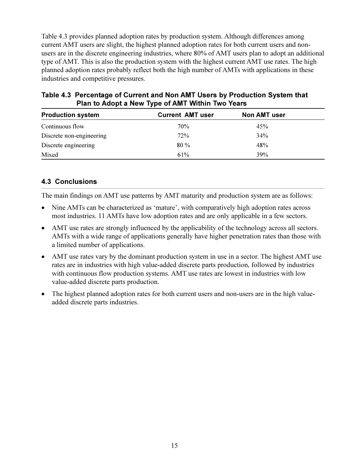<span id="page-25-0"></span>Table 4.3 provides planned adoption rates by production system. Although differences among current AMT users are slight, the highest planned adoption rates for both current users and nonusers are in the discrete engineering industries, where 80% of AMT users plan to adopt an additional type of AMT. This is also the production system with the highest current AMT use rates. The high planned adoption rates probably reflect both the high number of AMTs with applications in these industries and competitive pressures.

| Table 4.3 Percentage of Current and Non AMT Users by Production System that |
|-----------------------------------------------------------------------------|
| Plan to Adopt a New Type of AMT Within Two Years                            |

| <b>Production system</b> | <b>Current AMT user</b> | <b>Non AMT user</b> |  |
|--------------------------|-------------------------|---------------------|--|
| Continuous flow          | 70%                     | 45%                 |  |
| Discrete non-engineering | 72%                     | 34%                 |  |
| Discrete engineering     | $80\%$                  | 48%                 |  |
| Mixed                    | 61%                     | 39%                 |  |

#### **4.3 Conclusions**

The main findings on AMT use patterns by AMT maturity and production system are as follows:

- $\bullet$ Nine AMTs can be characterized as 'mature', with comparatively high adoption rates across most industries. 11 AMTs have low adoption rates and are only applicable in a few sectors.
- AMT use rates are strongly influenced by the applicability of the technology across all sectors.  $\bullet$ AMTs with a wide range of applications generally have higher penetration rates than those with a limited number of applications.
- AMT use rates vary by the dominant production system in use in a sector. The highest AMT use  $\bullet$ rates are in industries with high value-added discrete parts production, followed by industries with continuous flow production systems. AMT use rates are lowest in industries with low value-added discrete parts production.
- The highest planned adoption rates for both current users and non-users are in the high value- $\bullet$ added discrete parts industries.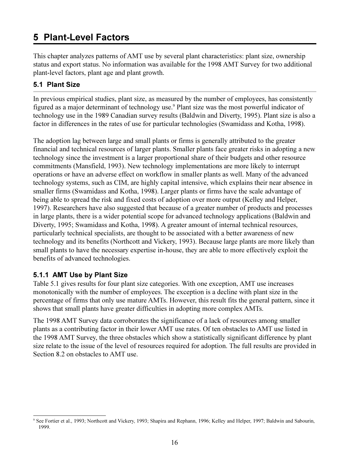## <span id="page-26-0"></span>**5 Plant-Level Factors**

This chapter analyzes patterns of AMT use by several plant characteristics: plant size, ownership status and export status. No information was available for the 1998 AMT Survey for two additional plant-level factors, plant age and plant growth.

#### 5.1 Plant Size

In previous empirical studies, plant size, as measured by the number of employees, has consistently figured as a major determinant of technology use.<sup>9</sup> Plant size was the most powerful indicator of technology use in the 1989 Canadian survey results (Baldwin and Diverty, 1995). Plant size is also a factor in differences in the rates of use for particular technologies (Swamidass and Kotha, 1998).

The adoption lag between large and small plants or firms is generally attributed to the greater financial and technical resources of larger plants. Smaller plants face greater risks in adopting a new technology since the investment is a larger proportional share of their budgets and other resource commitments (Mansfield, 1993). New technology implementations are more likely to interrupt operations or have an adverse effect on workflow in smaller plants as well. Many of the advanced technology systems, such as CIM, are highly capital intensive, which explains their near absence in smaller firms (Swamidass and Kotha, 1998). Larger plants or firms have the scale advantage of being able to spread the risk and fixed costs of adoption over more output (Kelley and Helper, 1997). Researchers have also suggested that because of a greater number of products and processes in large plants, there is a wider potential scope for advanced technology applications (Baldwin and Diverty, 1995; Swamidass and Kotha, 1998). A greater amount of internal technical resources, particularly technical specialists, are thought to be associated with a better awareness of new technology and its benefits (Northcott and Vickery, 1993). Because large plants are more likely than small plants to have the necessary expertise in-house, they are able to more effectively exploit the benefits of advanced technologies.

#### 5.1.1 AMT Use by Plant Size

Table 5.1 gives results for four plant size categories. With one exception, AMT use increases monotonically with the number of employees. The exception is a decline with plant size in the percentage of firms that only use mature AMTs. However, this result fits the general pattern, since it shows that small plants have greater difficulties in adopting more complex AMTs.

The 1998 AMT Survey data corroborates the significance of a lack of resources among smaller plants as a contributing factor in their lower AMT use rates. Of ten obstacles to AMT use listed in the 1998 AMT Survey, the three obstacles which show a statistically significant difference by plant size relate to the issue of the level of resources required for adoption. The full results are provided in Section 8.2 on obstacles to AMT use.

<sup>&</sup>lt;sup>9</sup> See Fortier et al., 1993; Northcott and Vickery, 1993; Shapira and Rephann, 1996; Kelley and Helper, 1997; Baldwin and Sabourin, 1999.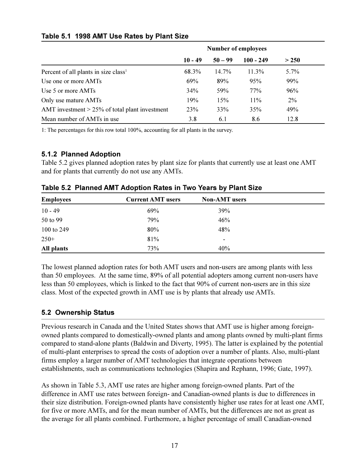|                                                   | <b>Number of employees</b> |           |             |       |  |
|---------------------------------------------------|----------------------------|-----------|-------------|-------|--|
|                                                   | $10 - 49$                  | $50 - 99$ | $100 - 249$ | > 250 |  |
| Percent of all plants in size class <sup>1</sup>  | 68.3%                      | $14.7\%$  | $11.3\%$    | 5.7%  |  |
| Use one or more AMTs                              | 69%                        | 89%       | 95%         | 99%   |  |
| Use 5 or more AMTs                                | 34%                        | 59%       | 77%         | 96%   |  |
| Only use mature AMTs                              | 19%                        | 15%       | $11\%$      | $2\%$ |  |
| AMT investment $> 25\%$ of total plant investment | 23%                        | 33%       | 35%         | 49%   |  |
| Mean number of AMTs in use                        | 3.8                        | 6.1       | 8.6         | 12.8  |  |

#### <span id="page-27-0"></span>Table 5.1 1998 AMT Use Rates by Plant Size

1: The percentages for this row total 100%, accounting for all plants in the survey.

#### 5.1.2 Planned Adoption

Table 5.2 gives planned adoption rates by plant size for plants that currently use at least one AMT and for plants that currently do not use any AMTs.

| <b>Employees</b> | <b>Current AMT</b> users | <b>Non-AMT</b> users |  |
|------------------|--------------------------|----------------------|--|
| $10 - 49$        | 69%                      | 39%                  |  |
| 50 to 99         | 79%                      | 46%                  |  |
| 100 to 249       | 80%                      | 48%                  |  |
| $250+$           | 81%                      | ۰                    |  |
| All plants       | 73%                      | 40%                  |  |

Table 5.2 Planned AMT Adoption Rates in Two Years by Plant Size

The lowest planned adoption rates for both AMT users and non-users are among plants with less than 50 employees. At the same time, 89% of all potential adopters among current non-users have less than 50 employees, which is linked to the fact that 90% of current non-users are in this size class. Most of the expected growth in AMT use is by plants that already use AMTs.

#### 5.2 Ownership Status

Previous research in Canada and the United States shows that AMT use is higher among foreignowned plants compared to domestically-owned plants and among plants owned by multi-plant firms compared to stand-alone plants (Baldwin and Diverty, 1995). The latter is explained by the potential of multi-plant enterprises to spread the costs of adoption over a number of plants. Also, multi-plant firms employ a larger number of AMT technologies that integrate operations between establishments, such as communications technologies (Shapira and Rephann, 1996; Gate, 1997).

As shown in Table 5.3, AMT use rates are higher among foreign-owned plants. Part of the difference in AMT use rates between foreign- and Canadian-owned plants is due to differences in their size distribution. Foreign-owned plants have consistently higher use rates for at least one AMT, for five or more AMTs, and for the mean number of AMTs, but the differences are not as great as the average for all plants combined. Furthermore, a higher percentage of small Canadian-owned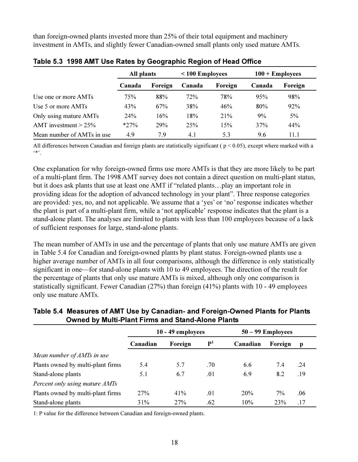than foreign-owned plants invested more than 25% of their total equipment and machinery investment in AMTs, and slightly fewer Canadian-owned small plants only used mature AMTs.

|                            | All plants |         | $< 100$ Employees |         | $100 +$ Employees |         |
|----------------------------|------------|---------|-------------------|---------|-------------------|---------|
|                            | Canada     | Foreign | Canada            | Foreign | Canada            | Foreign |
| Use one or more AMTs       | 75%        | 88%     | 72%               | 78%     | 95%               | 98%     |
| Use 5 or more AMTs         | 43%        | 67%     | 38%               | 46%     | 80%               | 92%     |
| Only using mature AMTs     | 24%        | 16%     | 18%               | 21%     | 9%                | 5%      |
| AMT investment $> 25\%$    | $*27\%$    | 29%     | 25%               | 15%     | 37%               | 44%     |
| Mean number of AMTs in use | 4.9        | 7.9     | 4.1               | 5.3     | 9.6               | 11.1    |

|  |  |  |  |  | Table 5.3 1998 AMT Use Rates by Geographic Region of Head Office |
|--|--|--|--|--|------------------------------------------------------------------|
|--|--|--|--|--|------------------------------------------------------------------|

All differences between Canadian and foreign plants are statistically significant ( $p < 0.05$ ), except where marked with a  $***$ 

One explanation for why foreign-owned firms use more AMTs is that they are more likely to be part of a multi-plant firm. The 1998 AMT survey does not contain a direct question on multi-plant status, but it does ask plants that use at least one AMT if "related plants...play an important role in providing ideas for the adoption of advanced technology in your plant". Three response categories are provided: yes, no, and not applicable. We assume that a 'yes' or 'no' response indicates whether the plant is part of a multi-plant firm, while a 'not applicable' response indicates that the plant is a stand-alone plant. The analyses are limited to plants with less than 100 employees because of a lack of sufficient responses for large, stand-alone plants.

The mean number of AMTs in use and the percentage of plants that only use mature AMTs are given in Table 5.4 for Canadian and foreign-owned plants by plant status. Foreign-owned plants use a higher average number of AMTs in all four comparisons, although the difference is only statistically significant in one—for stand-alone plants with 10 to 49 employees. The direction of the result for the percentage of plants that only use mature AMTs is mixed, although only one comparison is statistically significant. Fewer Canadian  $(27%)$  than foreign  $(41%)$  plants with 10 - 49 employees only use mature AMTs.

#### Table 5.4 Measures of AMT Use by Canadian- and Foreign-Owned Plants for Plants **Owned by Multi-Plant Firms and Stand-Alone Plants**

|                                   | $10 - 49$ employees |         |             | $50 - 99$ Employees |         |     |
|-----------------------------------|---------------------|---------|-------------|---------------------|---------|-----|
|                                   | Canadian            | Foreign | ${\bf P}^1$ | Canadian            | Foreign |     |
| Mean number of AMTs in use        |                     |         |             |                     |         |     |
| Plants owned by multi-plant firms | 5.4                 | 5.7     | .70         | 6.6                 | 7.4     | .24 |
| Stand-alone plants                | 5.1                 | 6.7     | .01         | 6.9                 | 8.2     | .19 |
| Percent only using mature AMTs    |                     |         |             |                     |         |     |
| Plants owned by multi-plant firms | 27%                 | 41%     | .01         | 20%                 | 7%      | .06 |
| Stand-alone plants                | 31%                 | 27%     | .62         | 10%                 | 23%     | .17 |

1: P value for the difference between Canadian and foreign-owned plants.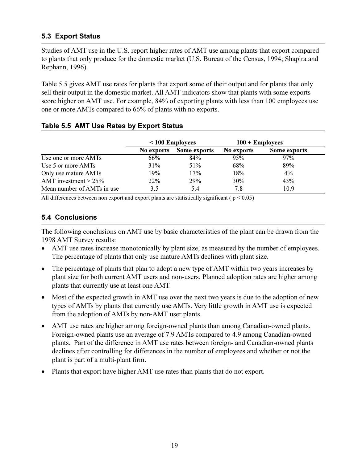#### <span id="page-29-0"></span>**5.3 Export Status**

Studies of AMT use in the U.S. report higher rates of AMT use among plants that export compared to plants that only produce for the domestic market (U.S. Bureau of the Census, 1994; Shapira and Rephann, 1996).

Table 5.5 gives AMT use rates for plants that export some of their output and for plants that only sell their output in the domestic market. All AMT indicators show that plants with some exports score higher on AMT use. For example, 84% of exporting plants with less than 100 employees use one or more AMTs compared to 66% of plants with no exports.

|                            |            | $\leq 100$ Employees |            | $100 +$ Employees |
|----------------------------|------------|----------------------|------------|-------------------|
|                            | No exports | Some exports         | No exports | Some exports      |
| Use one or more AMTs       | 66%        | 84%                  | 95%        | 97%               |
| Use 5 or more AMTs         | 31%        | 51%                  | 68%        | 89%               |
| Only use mature AMTs       | 19%        | 17%                  | 18%        | 4%                |
| AMT investment $> 25\%$    | 22%        | 29%                  | 30%        | 43%               |
| Mean number of AMTs in use | 3.5        | 5.4                  | 7.8        | 10.9              |

#### Table 5.5 AMT Use Rates by Export Status

All differences between non export and export plants are statistically significant ( $p < 0.05$ )

#### **5.4 Conclusions**

The following conclusions on AMT use by basic characteristics of the plant can be drawn from the 1998 AMT Survey results:

- AMT use rates increase monotonically by plant size, as measured by the number of employees. The percentage of plants that only use mature AMTs declines with plant size.
- The percentage of plants that plan to adopt a new type of AMT within two years increases by plant size for both current AMT users and non-users. Planned adoption rates are higher among plants that currently use at least one AMT.
- Most of the expected growth in AMT use over the next two years is due to the adoption of new types of AMTs by plants that currently use AMTs. Very little growth in AMT use is expected from the adoption of AMTs by non-AMT user plants.
- AMT use rates are higher among foreign-owned plants than among Canadian-owned plants. Foreign-owned plants use an average of 7.9 AMTs compared to 4.9 among Canadian-owned plants. Part of the difference in AMT use rates between foreign- and Canadian-owned plants declines after controlling for differences in the number of employees and whether or not the plant is part of a multi-plant firm.
- Plants that export have higher AMT use rates than plants that do not export.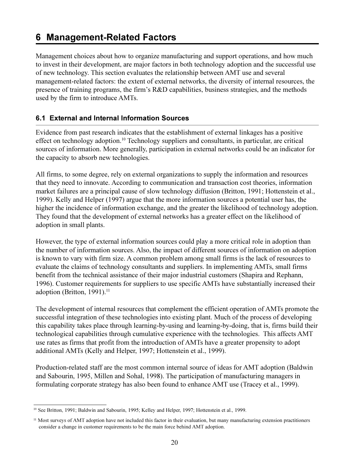## <span id="page-30-0"></span>**6 Management-Related Factors**

Management choices about how to organize manufacturing and support operations, and how much to invest in their development, are major factors in both technology adoption and the successful use of new technology. This section evaluates the relationship between AMT use and several management-related factors: the extent of external networks, the diversity of internal resources, the presence of training programs, the firm's R&D capabilities, business strategies, and the methods used by the firm to introduce AMTs.

#### 6.1 External and Internal Information Sources

Evidence from past research indicates that the establishment of external linkages has a positive effect on technology adoption.<sup>10</sup> Technology suppliers and consultants, in particular, are critical sources of information. More generally, participation in external networks could be an indicator for the capacity to absorb new technologies.

All firms, to some degree, rely on external organizations to supply the information and resources that they need to innovate. According to communication and transaction cost theories, information market failures are a principal cause of slow technology diffusion (Britton, 1991; Hottenstein et al., 1999). Kelly and Helper (1997) argue that the more information sources a potential user has, the higher the incidence of information exchange, and the greater the likelihood of technology adoption. They found that the development of external networks has a greater effect on the likelihood of adoption in small plants.

However, the type of external information sources could play a more critical role in adoption than the number of information sources. Also, the impact of different sources of information on adoption is known to vary with firm size. A common problem among small firms is the lack of resources to evaluate the claims of technology consultants and suppliers. In implementing AMTs, small firms benefit from the technical assistance of their major industrial customers (Shapira and Rephann, 1996). Customer requirements for suppliers to use specific AMTs have substantially increased their adoption (Britton, 1991).<sup>11</sup>

The development of internal resources that complement the efficient operation of AMTs promote the successful integration of these technologies into existing plant. Much of the process of developing this capability takes place through learning-by-using and learning-by-doing, that is, firms build their technological capabilities through cumulative experience with the technologies. This affects AMT use rates as firms that profit from the introduction of AMTs have a greater propensity to adopt additional AMTs (Kelly and Helper, 1997; Hottenstein et al., 1999).

Production-related staff are the most common internal source of ideas for AMT adoption (Baldwin and Sabourin, 1995, Millen and Sohal, 1998). The participation of manufacturing managers in formulating corporate strategy has also been found to enhance AMT use (Tracey et al., 1999).

<sup>&</sup>lt;sup>10</sup> See Britton, 1991; Baldwin and Sabourin, 1995; Kelley and Helper, 1997; Hottenstein et al., 1999.

<sup>&</sup>lt;sup>11</sup> Most surveys of AMT adoption have not included this factor in their evaluation, but many manufacturing extension practitioners consider a change in customer requirements to be the main force behind AMT adoption.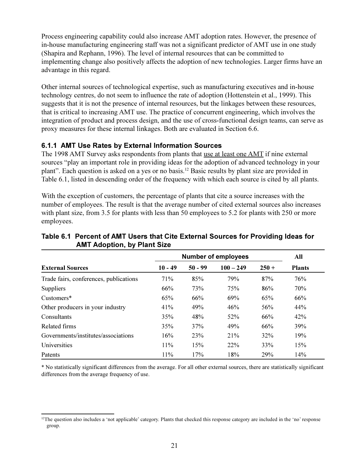<span id="page-31-0"></span>Process engineering capability could also increase AMT adoption rates. However, the presence of in-house manufacturing engineering staff was not a significant predictor of AMT use in one study (Shapira and Rephann, 1996). The level of internal resources that can be committed to implementing change also positively affects the adoption of new technologies. Larger firms have an advantage in this regard.

Other internal sources of technological expertise, such as manufacturing executives and in-house technology centres, do not seem to influence the rate of adoption (Hottenstein et al., 1999). This suggests that it is not the presence of internal resources, but the linkages between these resources, that is critical to increasing AMT use. The practice of concurrent engineering, which involves the integration of product and process design, and the use of cross-functional design teams, can serve as proxy measures for these internal linkages. Both are evaluated in Section 6.6.

#### 6.1.1 AMT Use Rates by External Information Sources

The 1998 AMT Survey asks respondents from plants that use at least one AMT if nine external sources "play an important role in providing ideas for the adoption of advanced technology in your plant". Each question is asked on a yes or no basis.<sup>12</sup> Basic results by plant size are provided in Table 6.1, listed in descending order of the frequency with which each source is cited by all plants.

With the exception of customers, the percentage of plants that cite a source increases with the number of employees. The result is that the average number of cited external sources also increases with plant size, from 3.5 for plants with less than 50 employees to 5.2 for plants with 250 or more employees.

|                                        | <b>Number of employees</b> | All       |             |         |               |
|----------------------------------------|----------------------------|-----------|-------------|---------|---------------|
| <b>External Sources</b>                | $10 - 49$                  | $50 - 99$ | $100 - 249$ | $250 +$ | <b>Plants</b> |
| Trade fairs, conferences, publications | 71%                        | 85%       | 79%         | 87%     | 76%           |
| <b>Suppliers</b>                       | 66%                        | 73%       | 75%         | 86%     | 70%           |
| Customers*                             | 65%                        | 66%       | 69%         | 65%     | 66%           |
| Other producers in your industry       | 41%                        | 49%       | 46%         | 56%     | 44%           |
| Consultants                            | 35%                        | 48%       | 52%         | 66%     | 42%           |
| <b>Related firms</b>                   | 35%                        | 37%       | 49%         | 66%     | 39%           |
| Governments/institutes/associations    | 16%                        | 23%       | 21%         | 32%     | 19%           |
| Universities                           | 11%                        | 15%       | 22%         | 33%     | 15%           |
| Patents                                | 11%                        | 17%       | 18%         | 29%     | 14%           |

#### Table 6.1 Percent of AMT Users that Cite External Sources for Providing Ideas for **AMT Adoption, by Plant Size**

\* No statistically significant differences from the average. For all other external sources, there are statistically significant differences from the average frequency of use.

<sup>&</sup>lt;sup>12</sup>The question also includes a 'not applicable' category. Plants that checked this response category are included in the 'no' response group.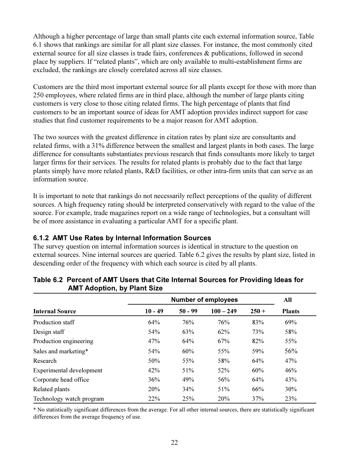<span id="page-32-0"></span>Although a higher percentage of large than small plants cite each external information source, Table 6.1 shows that rankings are similar for all plant size classes. For instance, the most commonly cited external source for all size classes is trade fairs, conferences  $\&$  publications, followed in second place by suppliers. If "related plants", which are only available to multi-establishment firms are excluded, the rankings are closely correlated across all size classes.

Customers are the third most important external source for all plants except for those with more than 250 employees, where related firms are in third place, although the number of large plants citing customers is very close to those citing related firms. The high percentage of plants that find customers to be an important source of ideas for AMT adoption provides indirect support for case studies that find customer requirements to be a major reason for AMT adoption.

The two sources with the greatest difference in citation rates by plant size are consultants and related firms, with a 31% difference between the smallest and largest plants in both cases. The large difference for consultants substantiates previous research that finds consultants more likely to target larger firms for their services. The results for related plants is probably due to the fact that large plants simply have more related plants, R&D facilities, or other intra-firm units that can serve as an information source.

It is important to note that rankings do not necessarily reflect perceptions of the quality of different sources. A high frequency rating should be interpreted conservatively with regard to the value of the source. For example, trade magazines report on a wide range of technologies, but a consultant will be of more assistance in evaluating a particular AMT for a specific plant.

#### 6.1.2 AMT Use Rates by Internal Information Sources

The survey question on internal information sources is identical in structure to the question on external sources. Nine internal sources are queried. Table 6.2 gives the results by plant size, listed in descending order of the frequency with which each source is cited by all plants.

|                          | <b>Number of employees</b> | All       |             |         |               |
|--------------------------|----------------------------|-----------|-------------|---------|---------------|
| <b>Internal Source</b>   | $10 - 49$                  | $50 - 99$ | $100 - 249$ | $250 +$ | <b>Plants</b> |
| Production staff         | 64%                        | 76%       | 76%         | 83%     | 69%           |
| Design staff             | 54%                        | 63%       | 62%         | 73%     | 58%           |
| Production engineering   | 47%                        | 64%       | 67%         | 82%     | 55%           |
| Sales and marketing*     | 54%                        | 60%       | 55%         | 59%     | 56%           |
| Research                 | 50%                        | 55%       | 58%         | 64%     | 47%           |
| Experimental development | 42%                        | 51%       | 52%         | 60%     | 46%           |
| Corporate head office    | 36%                        | 49%       | 56%         | 64%     | 43%           |
| Related plants           | 20%                        | 34%       | 51%         | 66%     | 30%           |
| Technology watch program | 22%                        | 25%       | 20%         | 37%     | 23%           |

#### Table 6.2 Percent of AMT Users that Cite Internal Sources for Providing Ideas for **AMT Adoption, by Plant Size**

\* No statistically significant differences from the average. For all other internal sources, there are statistically significant differences from the average frequency of use.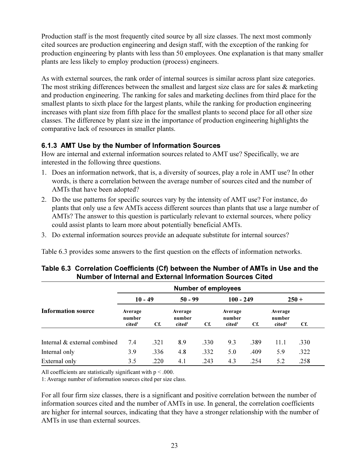<span id="page-33-0"></span>Production staff is the most frequently cited source by all size classes. The next most commonly cited sources are production engineering and design staff, with the exception of the ranking for production engineering by plants with less than 50 employees. One explanation is that many smaller plants are less likely to employ production (process) engineers.

As with external sources, the rank order of internal sources is similar across plant size categories. The most striking differences between the smallest and largest size class are for sales  $\&$  marketing and production engineering. The ranking for sales and marketing declines from third place for the smallest plants to sixth place for the largest plants, while the ranking for production engineering increases with plant size from fifth place for the smallest plants to second place for all other size classes. The difference by plant size in the importance of production engineering highlights the comparative lack of resources in smaller plants.

#### 6.1.3 AMT Use by the Number of Information Sources

How are internal and external information sources related to AMT use? Specifically, we are interested in the following three questions.

- 1. Does an information network, that is, a diversity of sources, play a role in AMT use? In other words, is there a correlation between the average number of sources cited and the number of AMTs that have been adopted?
- 2. Do the use patterns for specific sources vary by the intensity of AMT use? For instance, do plants that only use a few AMTs access different sources than plants that use a large number of AMTs? The answer to this question is particularly relevant to external sources, where policy could assist plants to learn more about potentially beneficial AMTs.
- 3. Do external information sources provide an adequate substitute for internal sources?

Table 6.3 provides some answers to the first question on the effects of information networks.

|                              | <b>Number of employees</b>              |      |                                         |      |                                         |      |                                         |         |
|------------------------------|-----------------------------------------|------|-----------------------------------------|------|-----------------------------------------|------|-----------------------------------------|---------|
|                              | $10 - 49$                               |      | $50 - 99$                               |      | $100 - 249$                             |      |                                         | $250 +$ |
| <b>Information source</b>    | Average<br>number<br>cited <sup>1</sup> | Cf.  | Average<br>number<br>cited <sup>1</sup> | Cf.  | Average<br>number<br>cited <sup>1</sup> | Cf.  | Average<br>number<br>cited <sup>1</sup> | Cf.     |
| Internal & external combined | 7.4                                     | .321 | 8.9                                     | .330 | 9.3                                     | .389 | 11.1                                    | .330    |
| Internal only                | 3.9                                     | .336 | 4.8                                     | .332 | 5.0                                     | .409 | 5.9                                     | .322    |
| External only                | 3.5                                     | .220 | 4.1                                     | .243 | 4.3                                     | .254 | 5.2                                     | .258    |

#### Table 6.3 Correlation Coefficients (Cf) between the Number of AMTs in Use and the Number of Internal and External Information Sources Cited

All coefficients are statistically significant with  $p < .000$ .

1: Average number of information sources cited per size class.

For all four firm size classes, there is a significant and positive correlation between the number of information sources cited and the number of AMTs in use. In general, the correlation coefficients are higher for internal sources, indicating that they have a stronger relationship with the number of AMTs in use than external sources.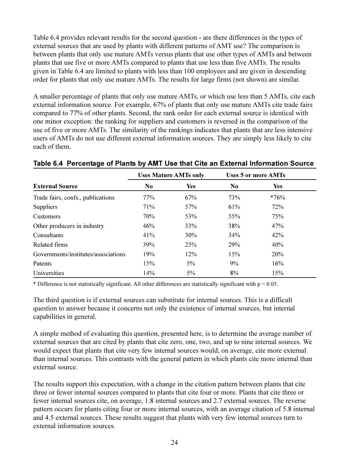Table 6.4 provides relevant results for the second question - are there differences in the types of external sources that are used by plants with different patterns of AMT use? The comparison is between plants that only use mature AMTs versus plants that use other types of AMTs and between plants that use five or more AMTs compared to plants that use less than five AMTs. The results given in Table 6.4 are limited to plants with less than 100 employees and are given in descending order for plants that only use mature AMTs. The results for large firms (not shown) are similar.

A smaller percentage of plants that only use mature AMTs, or which use less than 5 AMTs, cite each external information source. For example, 67% of plants that only use mature AMTs cite trade fairs compared to 77% of other plants. Second, the rank order for each external source is identical with one minor exception: the ranking for suppliers and customers is reversed in the comparison of the use of five or more AMTs. The similarity of the rankings indicates that plants that are less intensive users of AMTs do not use different external information sources. They are simply less likely to cite each of them

|                                     |                | <b>Uses Mature AMTs only</b> | <b>Uses 5 or more AMTs</b> |            |  |
|-------------------------------------|----------------|------------------------------|----------------------------|------------|--|
| <b>External Source</b>              | N <sub>0</sub> | <b>Yes</b>                   | N <sub>0</sub>             | <b>Yes</b> |  |
| Trade fairs, confs., publications   | 77%            | 67%                          | 73%                        | $*76%$     |  |
| <b>Suppliers</b>                    | 71%            | 57%                          | 61%                        | 72%        |  |
| Customers                           | 70%            | 53%                          | 55%                        | 75%        |  |
| Other producers in industry         | 46%            | 33%                          | 38%                        | 47%        |  |
| Consultants                         | 41%            | 30%                          | 34%                        | 42%        |  |
| Related firms                       | 39%            | 25%                          | 29%                        | 40%        |  |
| Governments/institutes/associations | 19%            | 12%                          | 15%                        | 20%        |  |
| Patents                             | 15%            | 5%                           | 9%                         | 16%        |  |
| Universities                        | 14%            | 5%                           | 8%                         | 15%        |  |

#### Table 6.4 Percentage of Plants by AMT Use that Cite an External Information Source

\* Difference is not statistically significant. All other differences are statistically significant with  $p < 0.05$ .

The third question is if external sources can substitute for internal sources. This is a difficult question to answer because it concerns not only the existence of internal sources, but internal capabilities in general.

A simple method of evaluating this question, presented here, is to determine the average number of external sources that are cited by plants that cite zero, one, two, and up to nine internal sources. We would expect that plants that cite very few internal sources would, on average, cite more external than internal sources. This contrasts with the general pattern in which plants cite more internal than external source.

The results support this expectation, with a change in the citation pattern between plants that cite three or fewer internal sources compared to plants that cite four or more. Plants that cite three or fewer internal sources cite, on average, 1.8 internal sources and 2.7 external sources. The reverse pattern occurs for plants citing four or more internal sources, with an average citation of 5.8 internal and 4.5 external sources. These results suggest that plants with very few internal sources turn to external information sources.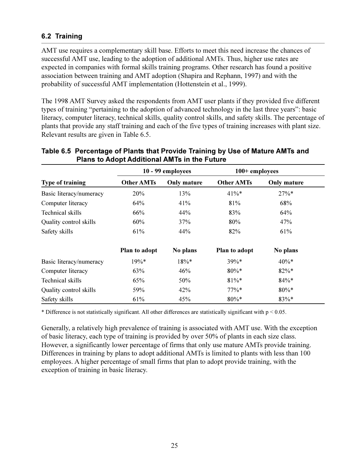#### <span id="page-35-0"></span>6.2 Training

AMT use requires a complementary skill base. Efforts to meet this need increase the chances of successful AMT use, leading to the adoption of additional AMTs. Thus, higher use rates are expected in companies with formal skills training programs. Other research has found a positive association between training and AMT adoption (Shapira and Rephann, 1997) and with the probability of successful AMT implementation (Hottenstein et al., 1999).

The 1998 AMT Survey asked the respondents from AMT user plants if they provided five different types of training "pertaining to the adoption of advanced technology in the last three years": basic literacy, computer literacy, technical skills, quality control skills, and safety skills. The percentage of plants that provide any staff training and each of the five types of training increases with plant size. Relevant results are given in Table 6.5.

|                         |                   | 10 - 99 employees  | 100+ employees    |                    |  |
|-------------------------|-------------------|--------------------|-------------------|--------------------|--|
| <b>Type of training</b> | <b>Other AMTs</b> | <b>Only mature</b> | <b>Other AMTs</b> | <b>Only mature</b> |  |
| Basic literacy/numeracy | 20%               | 13%                | $41\%*$           | $27\%*$            |  |
| Computer literacy       | 64%               | 41%                | 81%               | 68%                |  |
| Technical skills        | 66%               | 44%                | 83%               | 64%                |  |
| Quality control skills  | 60%               | 37%                | 80%               | 47%                |  |
| Safety skills           | 61%               | 44%                | 82%               | 61%                |  |
|                         | Plan to adopt     | No plans           | Plan to adopt     | No plans           |  |
| Basic literacy/numeracy | $19\%*$           | $18\%*$            | 39%*              | $40\%*$            |  |
| Computer literacy       | 63%               | 46%                | $80\% *$          | $82\% *$           |  |
| Technical skills        | 65%               | 50%                | $81\%*$           | $84\% *$           |  |
| Quality control skills  | 59%               | 42%                | $77\%*$           | $80\% *$           |  |
| Safety skills           | 61%               | 45%                | $80\% *$          | 83%*               |  |

#### Table 6.5 Percentage of Plants that Provide Training by Use of Mature AMTs and **Plans to Adopt Additional AMTs in the Future**

\* Difference is not statistically significant. All other differences are statistically significant with  $p < 0.05$ .

Generally, a relatively high prevalence of training is associated with AMT use. With the exception of basic literacy, each type of training is provided by over 50% of plants in each size class. However, a significantly lower percentage of firms that only use mature AMTs provide training. Differences in training by plans to adopt additional AMTs is limited to plants with less than 100 employees. A higher percentage of small firms that plan to adopt provide training, with the exception of training in basic literacy.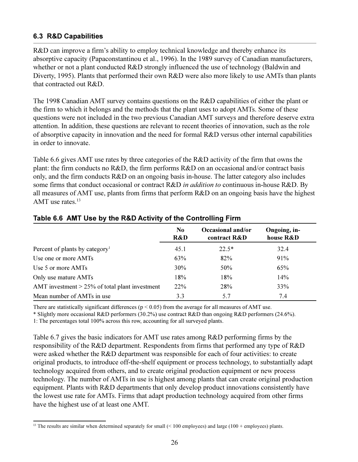### **6.3 R&D Capabilities**

R&D can improve a firm's ability to employ technical knowledge and thereby enhance its absorptive capacity (Papaconstantinou et al., 1996). In the 1989 survey of Canadian manufacturers, whether or not a plant conducted R&D strongly influenced the use of technology (Baldwin and Diverty, 1995). Plants that performed their own R&D were also more likely to use AMTs than plants that contracted out R&D.

The 1998 Canadian AMT survey contains questions on the R&D capabilities of either the plant or the firm to which it belongs and the methods that the plant uses to adopt AMTs. Some of these questions were not included in the two previous Canadian AMT surveys and therefore deserve extra attention. In addition, these questions are relevant to recent theories of innovation, such as the role of absorptive capacity in innovation and the need for formal R&D versus other internal capabilities in order to innovate.

Table 6.6 gives AMT use rates by three categories of the R&D activity of the firm that owns the plant: the firm conducts no  $R&D$ , the firm performs  $R&D$  on an occasional and/or contract basis only, and the firm conducts R&D on an ongoing basis in-house. The latter category also includes some firms that conduct occasional or contract R&D in addition to continuous in-house R&D. By all measures of AMT use, plants from firms that perform R&D on an ongoing basis have the highest AMT use rates. $13$ 

|                                                   | N <sub>0</sub><br>R&D | Occasional and/or<br>contract R&D | Ongoing, in-<br>house R&D |
|---------------------------------------------------|-----------------------|-----------------------------------|---------------------------|
| Percent of plants by category <sup>1</sup>        | 45.1                  | $22.5*$                           | 32.4                      |
| Use one or more AMTs                              | 63%                   | 82%                               | 91%                       |
| Use 5 or more AMTs                                | 30%                   | 50%                               | 65%                       |
| Only use mature AMTs                              | 18%                   | 18%                               | 14%                       |
| AMT investment $> 25\%$ of total plant investment | <b>22%</b>            | 28%                               | 33%                       |
| Mean number of AMTs in use                        | 3.3                   | 5.7                               | 7.4                       |

### Table 6.6 AMT Use by the R&D Activity of the Controlling Firm

There are statistically significant differences ( $p < 0.05$ ) from the average for all measures of AMT use.

\* Slightly more occasional R&D performers (30.2%) use contract R&D than ongoing R&D performers (24.6%).

1: The percentages total 100% across this row, accounting for all surveyed plants.

Table 6.7 gives the basic indicators for AMT use rates among R&D performing firms by the responsibility of the R&D department. Respondents from firms that performed any type of R&D were asked whether the R&D department was responsible for each of four activities: to create original products, to introduce off-the-shelf equipment or process technology, to substantially adapt technology acquired from others, and to create original production equipment or new process technology. The number of AMTs in use is highest among plants that can create original production equipment. Plants with R&D departments that only develop product innovations consistently have the lowest use rate for AMTs. Firms that adapt production technology acquired from other firms have the highest use of at least one AMT.

<sup>&</sup>lt;sup>13</sup> The results are similar when determined separately for small  $($  < 100 employees) and large (100 + employees) plants.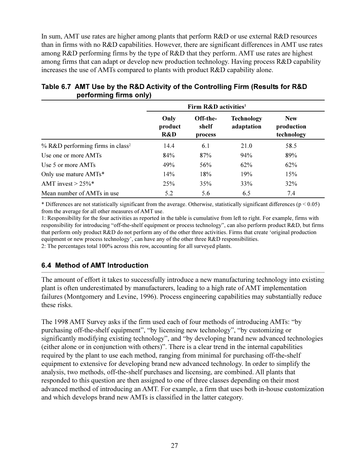In sum, AMT use rates are higher among plants that perform  $R&D$  or use external  $R&D$  resources than in firms with no R&D capabilities. However, there are significant differences in AMT use rates among R&D performing firms by the type of R&D that they perform. AMT use rates are highest among firms that can adapt or develop new production technology. Having process R&D capability increases the use of AMTs compared to plants with product R&D capability alone.

|                                              | Firm R&D activities <sup>1</sup> |                              |                                 |                                        |  |
|----------------------------------------------|----------------------------------|------------------------------|---------------------------------|----------------------------------------|--|
|                                              | Only<br>product<br>R&D           | Off-the-<br>shelf<br>process | <b>Technology</b><br>adaptation | <b>New</b><br>production<br>technology |  |
| % R&D performing firms in class <sup>2</sup> | 14.4                             | 6.1                          | 21.0                            | 58.5                                   |  |
| Use one or more AMTs                         | 84%                              | 87%                          | 94%                             | 89%                                    |  |
| Use 5 or more AMTs                           | 49%                              | 56%                          | 62%                             | 62%                                    |  |
| Only use mature AMTs*                        | 14%                              | 18%                          | 19%                             | 15%                                    |  |
| AMT invest $> 25\%$ *                        | 25%                              | 35%                          | 33%                             | 32%                                    |  |
| Mean number of AMTs in use                   | 5.2                              | 5.6                          | 6.5                             | 7.4                                    |  |

# Table 6.7 AMT Use by the R&D Activity of the Controlling Firm (Results for R&D performing firms only)

\* Differences are not statistically significant from the average. Otherwise, statistically significant differences ( $p < 0.05$ ) from the average for all other measures of AMT use.

1: Responsibility for the four activities as reported in the table is cumulative from left to right. For example, firms with responsibility for introducing "off-the-shelf equipment or process technology", can also perform product R&D, but firms that perform only product R&D do not perform any of the other three activities. Firms that create 'original production equipment or new process technology', can have any of the other three R&D responsibilities.

2: The percentages total 100% across this row, accounting for all surveyed plants.

### 6.4 Method of AMT Introduction

The amount of effort it takes to successfully introduce a new manufacturing technology into existing plant is often underestimated by manufacturers, leading to a high rate of AMT implementation failures (Montgomery and Levine, 1996). Process engineering capabilities may substantially reduce these risks.

The 1998 AMT Survey asks if the firm used each of four methods of introducing AMTs: "by purchasing off-the-shelf equipment", "by licensing new technology", "by customizing or significantly modifying existing technology", and "by developing brand new advanced technologies (either alone or in conjunction with others)". There is a clear trend in the internal capabilities required by the plant to use each method, ranging from minimal for purchasing off-the-shelf equipment to extensive for developing brand new advanced technology. In order to simplify the analysis, two methods, off-the-shelf purchases and licensing, are combined. All plants that responded to this question are then assigned to one of three classes depending on their most advanced method of introducing an AMT. For example, a firm that uses both in-house customization and which develops brand new AMTs is classified in the latter category.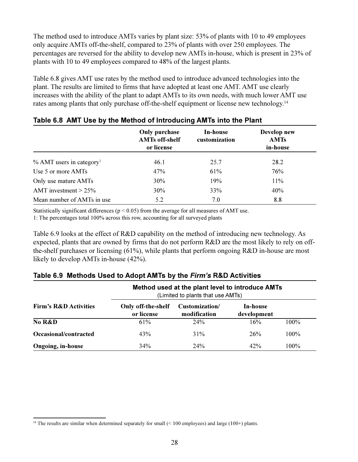The method used to introduce AMTs varies by plant size: 53% of plants with 10 to 49 employees only acquire AMTs off-the-shelf, compared to 23% of plants with over 250 employees. The percentages are reversed for the ability to develop new AMTs in-house, which is present in 23% of plants with 10 to 49 employees compared to 48% of the largest plants.

Table 6.8 gives AMT use rates by the method used to introduce advanced technologies into the plant. The results are limited to firms that have adopted at least one AMT. AMT use clearly increases with the ability of the plant to adapt AMTs to its own needs, with much lower AMT use rates among plants that only purchase off-the-shelf equipment or license new technology.<sup>14</sup>

|                                        | <b>Only purchase</b><br><b>AMTs off-shelf</b><br>or license | In-house<br>customization | Develop new<br><b>AMTs</b><br>in-house |
|----------------------------------------|-------------------------------------------------------------|---------------------------|----------------------------------------|
| $%$ AMT users in category <sup>1</sup> | 46.1                                                        | 25.7                      | 28.2                                   |
| Use 5 or more AMTs                     | 47%                                                         | 61%                       | 76%                                    |
| Only use mature AMTs                   | 30%                                                         | 19%                       | 11%                                    |
| AMT investment $> 25\%$                | 30%                                                         | 33%                       | 40%                                    |
| Mean number of AMTs in use             | 5.2                                                         | 7.0                       | 8.8                                    |

Statistically significant differences ( $p \le 0.05$ ) from the average for all measures of AMT use.

1: The percentages total 100% across this row, accounting for all surveyed plants

Table 6.9 looks at the effect of R&D capability on the method of introducing new technology. As expected, plants that are owned by firms that do not perform R&D are the most likely to rely on offthe-shelf purchases or licensing  $(61\%)$ , while plants that perform ongoing R&D in-house are most likely to develop AMTs in-house (42%).

|                                  | Method used at the plant level to introduce AMTs<br>(Limited to plants that use AMTs) |                                |                         |         |  |  |  |
|----------------------------------|---------------------------------------------------------------------------------------|--------------------------------|-------------------------|---------|--|--|--|
| <b>Firm's R&amp;D Activities</b> | Only off-the-shelf<br>or license                                                      | Customization/<br>modification | In-house<br>development |         |  |  |  |
| No R&D                           | 61%                                                                                   | 24%                            | 16%                     | $100\%$ |  |  |  |
| Occasional/contracted            | 43%                                                                                   | 31%                            | 26%                     | $100\%$ |  |  |  |
| <b>Ongoing, in-house</b>         | 34%                                                                                   | 24%                            | 42%                     | 100%    |  |  |  |

|  |  |  |  |  |  | Table 6.9 Methods Used to Adopt AMTs by the Firm's R&D Activities |  |
|--|--|--|--|--|--|-------------------------------------------------------------------|--|
|--|--|--|--|--|--|-------------------------------------------------------------------|--|

 $14$  The results are similar when determined separately for small (< 100 employees) and large (100+) plants.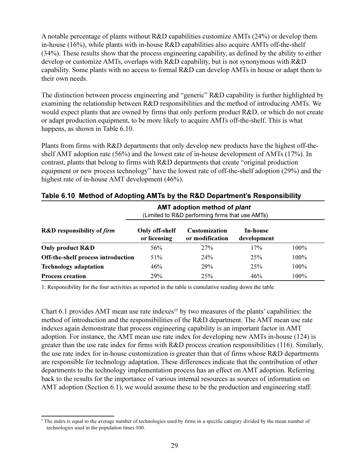A notable percentage of plants without R&D capabilities customize AMTs (24%) or develop them in-house (16%), while plants with in-house R&D capabilities also acquire AMTs off-the-shelf (34%). These results show that the process engineering capability, as defined by the ability to either develop or customize AMTs, overlaps with R&D capability, but is not synonymous with R&D capability. Some plants with no access to formal R&D can develop AMTs in house or adapt them to their own needs.

The distinction between process engineering and "generic" R&D capability is further highlighted by examining the relationship between R&D responsibilities and the method of introducing AMTs. We would expect plants that are owned by firms that only perform product R&D, or which do not create or adapt production equipment, to be more likely to acquire AMTs off-the-shelf. This is what happens, as shown in Table 6.10.

Plants from firms with R&D departments that only develop new products have the highest off-theshelf AMT adoption rate  $(56\%)$  and the lowest rate of in-house development of AMTs  $(17\%)$ . In contrast, plants that belong to firms with R&D departments that create "original production" equipment or new process technology" have the lowest rate of off-the-shelf adoption (29%) and the highest rate of in-house AMT development (46%).

|                                              | <b>AMT</b> adoption method of <i>plant</i><br>(Limited to R&D performing firms that use AMTs) |                                         |                         |         |
|----------------------------------------------|-----------------------------------------------------------------------------------------------|-----------------------------------------|-------------------------|---------|
| <b>R&amp;D</b> responsibility of <i>firm</i> | Only off-shelf<br>or licensing                                                                | <b>Customization</b><br>or modification | In-house<br>development |         |
| Only product R&D                             | 56%                                                                                           | 27%                                     | 17%                     | 100%    |
| Off-the-shelf process introduction           | 51%                                                                                           | 24%                                     | 25%                     | 100%    |
| <b>Technology adaptation</b>                 | 46%                                                                                           | 29%                                     | 25%                     | $100\%$ |
| <b>Process creation</b>                      | 29%                                                                                           | 25%                                     | 46%                     | 100%    |

#### Table 6.10 Method of Adopting AMTs by the R&D Department's Responsibility

1: Responsibility for the four activities as reported in the table is cumulative reading down the table.

Chart 6.1 provides AMT mean use rate indexes<sup>15</sup> by two measures of the plants' capabilities: the method of introduction and the responsibilities of the R&D department. The AMT mean use rate indexes again demonstrate that process engineering capability is an important factor in AMT adoption. For instance, the AMT mean use rate index for developing new AMTs in-house (124) is greater than the use rate index for firms with R&D process creation responsibilities  $(116)$ . Similarly, the use rate index for in-house customization is greater than that of firms whose R&D departments are responsible for technology adaptation. These differences indicate that the contribution of other departments to the technology implementation process has an effect on AMT adoption. Referring back to the results for the importance of various internal resources as sources of information on AMT adoption (Section 6.1), we would assume these to be the production and engineering staff.

<sup>&</sup>lt;sup>5</sup> The index is equal to the average number of technologies used by firms in a specific category divided by the mean number of technologies used in the population times 100.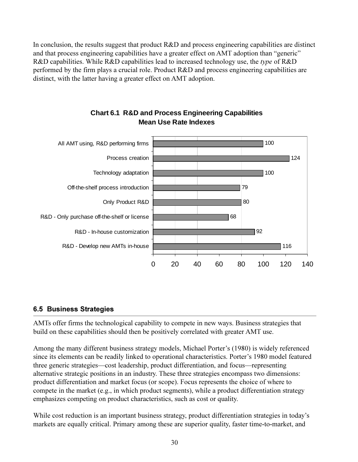In conclusion, the results suggest that product R&D and process engineering capabilities are distinct and that process engineering capabilities have a greater effect on AMT adoption than "generic" R&D capabilities. While R&D capabilities lead to increased technology use, the type of R&D performed by the firm plays a crucial role. Product R&D and process engineering capabilities are distinct, with the latter having a greater effect on AMT adoption.



# **Chart 6.1 R&D and Process Engineering Capabilities Mean Use Rate Indexes**

# **6.5 Business Strategies**

AMTs offer firms the technological capability to compete in new ways. Business strategies that build on these capabilities should then be positively correlated with greater AMT use.

Among the many different business strategy models, Michael Porter's (1980) is widely referenced since its elements can be readily linked to operational characteristics. Porter's 1980 model featured three generic strategies—cost leadership, product differentiation, and focus—representing alternative strategic positions in an industry. These three strategies encompass two dimensions: product differentiation and market focus (or scope). Focus represents the choice of where to compete in the market (e.g., in which product segments), while a product differentiation strategy emphasizes competing on product characteristics, such as cost or quality.

While cost reduction is an important business strategy, product differentiation strategies in today's markets are equally critical. Primary among these are superior quality, faster time-to-market, and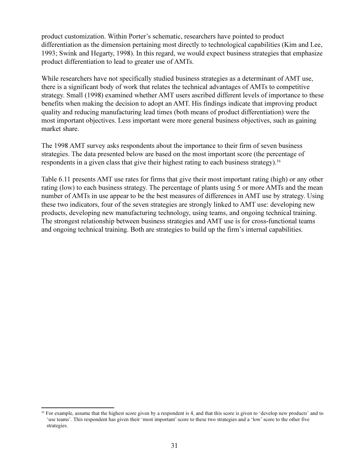product customization. Within Porter's schematic, researchers have pointed to product differentiation as the dimension pertaining most directly to technological capabilities (Kim and Lee, 1993; Swink and Hegarty, 1998). In this regard, we would expect business strategies that emphasize product differentiation to lead to greater use of AMTs.

While researchers have not specifically studied business strategies as a determinant of AMT use. there is a significant body of work that relates the technical advantages of AMTs to competitive strategy. Small (1998) examined whether AMT users ascribed different levels of importance to these benefits when making the decision to adopt an AMT. His findings indicate that improving product quality and reducing manufacturing lead times (both means of product differentiation) were the most important objectives. Less important were more general business objectives, such as gaining market share.

The 1998 AMT survey asks respondents about the importance to their firm of seven business strategies. The data presented below are based on the most important score (the percentage of respondents in a given class that give their highest rating to each business strategy).<sup>16</sup>

Table 6.11 presents AMT use rates for firms that give their most important rating (high) or any other rating (low) to each business strategy. The percentage of plants using 5 or more AMTs and the mean number of AMTs in use appear to be the best measures of differences in AMT use by strategy. Using these two indicators, four of the seven strategies are strongly linked to AMT use: developing new products, developing new manufacturing technology, using teams, and ongoing technical training. The strongest relationship between business strategies and AMT use is for cross-functional teams and ongoing technical training. Both are strategies to build up the firm's internal capabilities.

<sup>&</sup>lt;sup>16</sup> For example, assume that the highest score given by a respondent is 4, and that this score is given to 'develop new products' and to 'use teams'. This respondent has given their 'most important' score to these two strategies and a 'low' score to the other five strategies.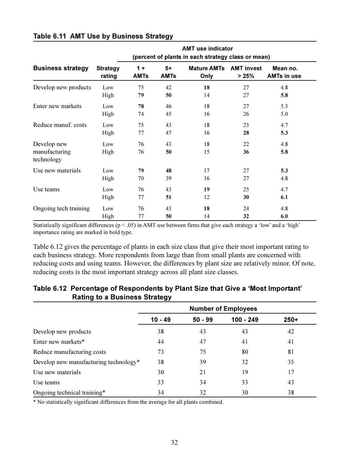|                                            | <b>AMT use indicator</b>                           |             |             |                    |                   |                    |  |  |
|--------------------------------------------|----------------------------------------------------|-------------|-------------|--------------------|-------------------|--------------------|--|--|
|                                            | (percent of plants in each strategy class or mean) |             |             |                    |                   |                    |  |  |
| <b>Business strategy</b>                   | <b>Strategy</b>                                    | $1 +$       | $5+$        | <b>Mature AMTs</b> | <b>AMT invest</b> | Mean no.           |  |  |
|                                            | rating                                             | <b>AMTs</b> | <b>AMTs</b> | Only               | > 25%             | <b>AMTs in use</b> |  |  |
| Develop new products                       | Low                                                | 75          | 42          | 18                 | 27                | 4.8                |  |  |
|                                            | High                                               | 79          | 50          | 14                 | 27                | 5.8                |  |  |
| Enter new markets                          | Low                                                | 78          | 46          | 18                 | 27                | 5.3                |  |  |
|                                            | High                                               | 74          | 45          | 16                 | 26                | 5.0                |  |  |
| Reduce manuf. costs                        | Low                                                | 75          | 43          | 18                 | 23                | 4.7                |  |  |
|                                            | High                                               | 77          | 47          | 16                 | 28                | 5.3                |  |  |
| Develop new<br>manufacturing<br>technology | Low<br>High                                        | 76<br>76    | 43<br>50    | 18<br>15           | 22<br>36          | 4.8<br>5.8         |  |  |
| Use new materials                          | Low                                                | 79          | 48          | 17                 | 27                | 5.3                |  |  |
|                                            | High                                               | 70          | 39          | 16                 | 27                | 4.8                |  |  |
| Use teams                                  | Low                                                | 76          | 43          | 19                 | 25                | 4.7                |  |  |
|                                            | High                                               | 77          | 51          | 12                 | 30                | 6.1                |  |  |
| Ongoing tech training                      | Low                                                | 76          | 43          | 18                 | 24                | 4.8                |  |  |
|                                            | High                                               | 77          | 50          | 14                 | 32                | 6.0                |  |  |

#### Table 6.11 AMT Use by Business Strategy

Statistically significant differences ( $p < .05$ ) in AMT use between firms that give each strategy a 'low' and a 'high' importance rating are marked in bold type.

Table 6.12 gives the percentage of plants in each size class that give their most important rating to each business strategy. More respondents from large than from small plants are concerned with reducing costs and using teams. However, the differences by plant size are relatively minor. Of note, reducing costs is the most important strategy across all plant size classes.

|                                       | <b>Number of Employees</b> |           |             |        |  |
|---------------------------------------|----------------------------|-----------|-------------|--------|--|
|                                       | $10 - 49$                  | $50 - 99$ | $100 - 249$ | $250+$ |  |
| Develop new products                  | 38                         | 43        | 43          | 42     |  |
| Enter new markets*                    | 44                         | 47        | 41          | 41     |  |
| Reduce manufacturing costs            | 73                         | 75        | 80          | 81     |  |
| Develop new manufacturing technology* | 38                         | 39        | 32          | 35     |  |
| Use new materials                     | 30                         | 21        | 19          | 17     |  |
| Use teams                             | 33                         | 34        | 33          | 43     |  |
| Ongoing technical training*           | 34                         | 32        | 30          | 38     |  |

#### Table 6.12 Percentage of Respondents by Plant Size that Give a 'Most Important' **Rating to a Business Strategy**

\* No statistically significant differences from the average for all plants combined.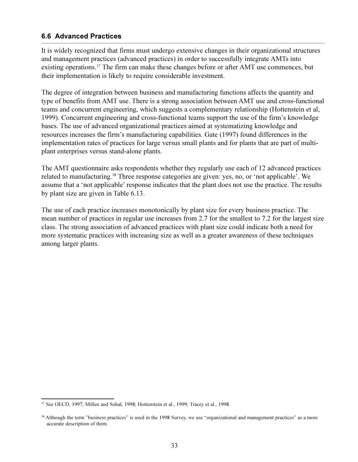#### **6.6 Advanced Practices**

It is widely recognized that firms must undergo extensive changes in their organizational structures and management practices (advanced practices) in order to successfully integrate AMTs into existing operations.<sup>17</sup> The firm can make these changes before or after AMT use commences, but their implementation is likely to require considerable investment.

The degree of integration between business and manufacturing functions affects the quantity and type of benefits from AMT use. There is a strong association between AMT use and cross-functional teams and concurrent engineering, which suggests a complementary relationship (Hottenstein et al, 1999). Concurrent engineering and cross-functional teams support the use of the firm's knowledge bases. The use of advanced organizational practices aimed at systematizing knowledge and resources increases the firm's manufacturing capabilities. Gate (1997) found differences in the implementation rates of practices for large versus small plants and for plants that are part of multiplant enterprises versus stand-alone plants.

The AMT questionnaire asks respondents whether they regularly use each of 12 advanced practices related to manufacturing.<sup>18</sup> Three response categories are given: yes, no, or 'not applicable'. We assume that a 'not applicable' response indicates that the plant does not use the practice. The results by plant size are given in Table 6.13.

The use of each practice increases monotonically by plant size for every business practice. The mean number of practices in regular use increases from 2.7 for the smallest to 7.2 for the largest size class. The strong association of advanced practices with plant size could indicate both a need for more systematic practices with increasing size as well as a greater awareness of these techniques among larger plants.

<sup>&</sup>lt;sup>17</sup> See OECD, 1997; Millen and Sohal, 1998; Hottenstein et al., 1999; Tracey et al., 1998.

<sup>&</sup>lt;sup>18</sup> Although the term "business practices" is used in the 1998 Survey, we use "organizational and management practices" as a more accurate description of them.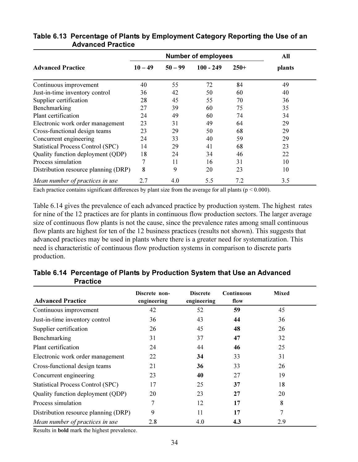|                                          | <b>Number of employees</b> |           |             |        | All    |
|------------------------------------------|----------------------------|-----------|-------------|--------|--------|
| <b>Advanced Practice</b>                 | $10 - 49$                  | $50 - 99$ | $100 - 249$ | $250+$ | plants |
| Continuous improvement                   | 40                         | 55        | 72          | 84     | 49     |
| Just-in-time inventory control           | 36                         | 42        | 50          | 60     | 40     |
| Supplier certification                   | 28                         | 45        | 55          | 70     | 36     |
| Benchmarking                             | 27                         | 39        | 60          | 75     | 35     |
| Plant certification                      | 24                         | 49        | 60          | 74     | 34     |
| Electronic work order management         | 23                         | 31        | 49          | 64     | 29     |
| Cross-functional design teams            | 23                         | 29        | 50          | 68     | 29     |
| Concurrent engineering                   | 24                         | 33        | 40          | 59     | 29     |
| <b>Statistical Process Control (SPC)</b> | 14                         | 29        | 41          | 68     | 23     |
| Quality function deployment (QDP)        | 18                         | 24        | 34          | 46     | 22     |
| Process simulation                       |                            | 11        | 16          | 31     | 10     |
| Distribution resource planning (DRP)     | 8                          | 9         | 20          | 23     | 10     |
| Mean number of practices in use          | 2.7                        | 4.0       | 5.5         | 7.2    | 3.5    |

### Table 6.13 Percentage of Plants by Employment Category Reporting the Use of an **Advanced Practice**

Each practice contains significant differences by plant size from the average for all plants ( $p < 0.000$ ).

Table 6.14 gives the prevalence of each advanced practice by production system. The highest rates for nine of the 12 practices are for plants in continuous flow production sectors. The larger average size of continuous flow plants is not the cause, since the prevalence rates among small continuous flow plants are highest for ten of the 12 business practices (results not shown). This suggests that advanced practices may be used in plants where there is a greater need for systematization. This need is characteristic of continuous flow production systems in comparison to discrete parts production.

| <b>Advanced Practice</b>                 | Discrete non-<br>engineering | <b>Discrete</b><br>engineering | Continuous<br>flow | <b>Mixed</b> |
|------------------------------------------|------------------------------|--------------------------------|--------------------|--------------|
| Continuous improvement                   | 42                           | 52                             | 59                 | 45           |
| Just-in-time inventory control           | 36                           | 43                             | 44                 | 36           |
| Supplier certification                   | 26                           | 45                             | 48                 | 26           |
| Benchmarking                             | 31                           | 37                             | 47                 | 32           |
| Plant certification                      | 24                           | 44                             | 46                 | 25           |
| Electronic work order management         | 22                           | 34                             | 33                 | 31           |
| Cross-functional design teams            | 21                           | 36                             | 33                 | 26           |
| Concurrent engineering                   | 23                           | 40                             | 27                 | 19           |
| <b>Statistical Process Control (SPC)</b> | 17                           | 25                             | 37                 | 18           |
| Quality function deployment (QDP)        | 20                           | 23                             | 27                 | 20           |
| Process simulation                       |                              | 12                             | 17                 | 8            |
| Distribution resource planning (DRP)     | 9                            | 11                             | 17                 | 7            |
| Mean number of practices in use          | 2.8                          | 4.0                            | 4.3                | 2.9          |

Table 6.14 Percentage of Plants by Production System that Use an Advanced **Practice** 

Results in **bold** mark the highest prevalence.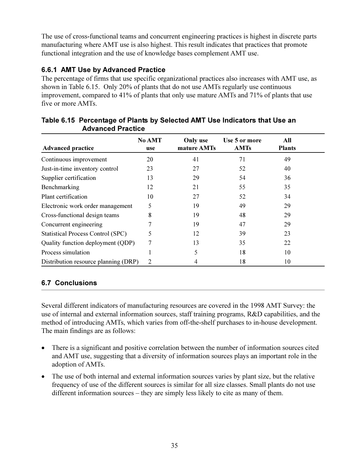The use of cross-functional teams and concurrent engineering practices is highest in discrete parts manufacturing where AMT use is also highest. This result indicates that practices that promote functional integration and the use of knowledge bases complement AMT use.

# 6.6.1 AMT Use by Advanced Practice

The percentage of firms that use specific organizational practices also increases with AMT use, as shown in Table 6.15. Only 20% of plants that do not use AMTs regularly use continuous improvement, compared to 41% of plants that only use mature AMTs and 71% of plants that use five or more AMTs.

| <b>Advanced practice</b>                 | No AMT<br>use | Only use<br>mature AMTs | Use 5 or more<br><b>AMTs</b> | All<br><b>Plants</b> |  |
|------------------------------------------|---------------|-------------------------|------------------------------|----------------------|--|
| Continuous improvement                   | 20            | 41                      | 71                           | 49                   |  |
| Just-in-time inventory control           | 23            | 27                      | 52                           | 40                   |  |
| Supplier certification                   | 13            | 29                      | 54                           | 36                   |  |
| Benchmarking                             | 12            | 21                      | 55                           | 35                   |  |
| Plant certification                      | 10            | 27                      | 52                           | 34                   |  |
| Electronic work order management         | 5             | 19                      | 49                           | 29                   |  |
| Cross-functional design teams            | 8             | 19                      | 48                           | 29                   |  |
| Concurrent engineering                   |               | 19                      | 47                           | 29                   |  |
| <b>Statistical Process Control (SPC)</b> | 5             | 12                      | 39                           | 23                   |  |
| Quality function deployment (QDP)        | 7             | 13                      | 35                           | 22                   |  |
| Process simulation                       |               | 5                       | 18                           | 10                   |  |
| Distribution resource planning (DRP)     | 2             | 4                       | 18                           | 10                   |  |

# Table 6.15 Percentage of Plants by Selected AMT Use Indicators that Use an **Advanced Practice**

# **6.7 Conclusions**

Several different indicators of manufacturing resources are covered in the 1998 AMT Survey: the use of internal and external information sources, staff training programs, R&D capabilities, and the method of introducing AMTs, which varies from off-the-shelf purchases to in-house development. The main findings are as follows:

- There is a significant and positive correlation between the number of information sources cited  $\bullet$ and AMT use, suggesting that a diversity of information sources plays an important role in the adoption of AMTs.
- The use of both internal and external information sources varies by plant size, but the relative frequency of use of the different sources is similar for all size classes. Small plants do not use different information sources – they are simply less likely to cite as many of them.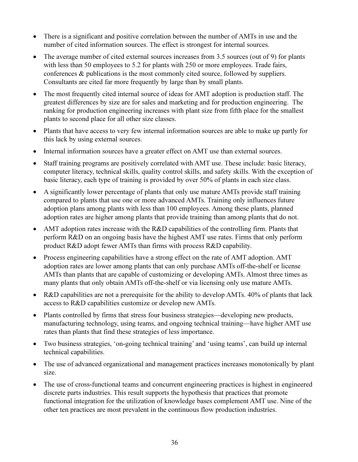- There is a significant and positive correlation between the number of AMTs in use and the number of cited information sources. The effect is strongest for internal sources.
- $\bullet$ The average number of cited external sources increases from 3.5 sources (out of 9) for plants with less than 50 employees to 5.2 for plants with 250 or more employees. Trade fairs, conferences & publications is the most commonly cited source, followed by suppliers. Consultants are cited far more frequently by large than by small plants.
- The most frequently cited internal source of ideas for AMT adoption is production staff. The  $\bullet$ greatest differences by size are for sales and marketing and for production engineering. The ranking for production engineering increases with plant size from fifth place for the smallest plants to second place for all other size classes.
- Plants that have access to very few internal information sources are able to make up partly for  $\bullet$ this lack by using external sources.
- Internal information sources have a greater effect on AMT use than external sources.
- Staff training programs are positively correlated with AMT use. These include: basic literacy, computer literacy, technical skills, quality control skills, and safety skills. With the exception of basic literacy, each type of training is provided by over 50% of plants in each size class.
- A significantly lower percentage of plants that only use mature AMTs provide staff training  $\bullet$ compared to plants that use one or more advanced AMTs. Training only influences future adoption plans among plants with less than 100 employees. Among these plants, planned adoption rates are higher among plants that provide training than among plants that do not.
- AMT adoption rates increase with the R&D capabilities of the controlling firm. Plants that perform R&D on an ongoing basis have the highest AMT use rates. Firms that only perform product R&D adopt fewer AMTs than firms with process R&D capability.
- Process engineering capabilities have a strong effect on the rate of AMT adoption. AMT adoption rates are lower among plants that can only purchase AMTs off-the-shelf or license AMTs than plants that are capable of customizing or developing AMTs. Almost three times as many plants that only obtain AMTs off-the-shelf or via licensing only use mature AMTs.
- R&D capabilities are not a prerequisite for the ability to develop AMTs. 40% of plants that lack access to R&D capabilities customize or develop new AMTs.
- Plants controlled by firms that stress four business strategies—developing new products, manufacturing technology, using teams, and ongoing technical training—have higher AMT use rates than plants that find these strategies of less importance.
- Two business strategies, 'on-going technical training' and 'using teams', can build up internal  $\bullet$ technical capabilities.
- The use of advanced organizational and management practices increases monotonically by plant size.
- The use of cross-functional teams and concurrent engineering practices is highest in engineered discrete parts industries. This result supports the hypothesis that practices that promote functional integration for the utilization of knowledge bases complement AMT use. Nine of the other ten practices are most prevalent in the continuous flow production industries.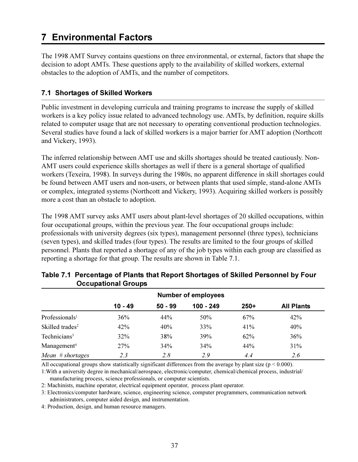# **7 Environmental Factors**

The 1998 AMT Survey contains questions on three environmental, or external, factors that shape the decision to adopt AMTs. These questions apply to the availability of skilled workers, external obstacles to the adoption of AMTs, and the number of competitors.

# 7.1 Shortages of Skilled Workers

Public investment in developing curricula and training programs to increase the supply of skilled workers is a key policy issue related to advanced technology use. AMTs, by definition, require skills related to computer usage that are not necessary to operating conventional production technologies. Several studies have found a lack of skilled workers is a major barrier for AMT adoption (Northcott and Vickery, 1993).

The inferred relationship between AMT use and skills shortages should be treated cautiously. Non-AMT users could experience skills shortages as well if there is a general shortage of qualified workers (Texeira, 1998). In surveys during the 1980s, no apparent difference in skill shortages could be found between AMT users and non-users, or between plants that used simple, stand-alone AMTs or complex, integrated systems (Northcott and Vickery, 1993). Acquiring skilled workers is possibly more a cost than an obstacle to adoption.

The 1998 AMT survey asks AMT users about plant-level shortages of 20 skilled occupations, within four occupational groups, within the previous year. The four occupational groups include: professionals with university degrees (six types), management personnel (three types), technicians (seven types), and skilled trades (four types). The results are limited to the four groups of skilled personnel. Plants that reported a shortage of any of the job types within each group are classified as reporting a shortage for that group. The results are shown in Table 7.1.

|                             | <b>Number of employees</b> |           |           |        |                   |  |  |  |
|-----------------------------|----------------------------|-----------|-----------|--------|-------------------|--|--|--|
|                             | $10 - 49$                  | $50 - 99$ | 100 - 249 | $250+$ | <b>All Plants</b> |  |  |  |
| Professionals <sup>1</sup>  | 36%                        | 44%       | 50%       | 67%    | 42%               |  |  |  |
| Skilled trades <sup>2</sup> | 42%                        | 40%       | 33%       | 41%    | 40%               |  |  |  |
| Technicians <sup>3</sup>    | 32%                        | 38%       | 39%       | 62%    | 36%               |  |  |  |
| $M$ anagement <sup>4</sup>  | 27%                        | 34%       | 34%       | 44%    | 31%               |  |  |  |
| $Mean$ # shortages          | 2.3                        | 2.8       | 2.9       | 4.4    | 2.6               |  |  |  |

# Table 7.1 Percentage of Plants that Report Shortages of Skilled Personnel by Four **Occupational Groups**

All occupational groups show statistically significant differences from the average by plant size ( $p < 0.000$ ).

1: With a university degree in mechanical/aerospace, electronic/computer, chemical/chemical process, industrial/ manufacturing process, science professionals, or computer scientists.

2: Machinists, machine operator, electrical equipment operator, process plant operator.

3: Electronics/computer hardware, science, engineering science, computer programmers, communication network administrators, computer aided design, and instrumentation.

4: Production, design, and human resource managers.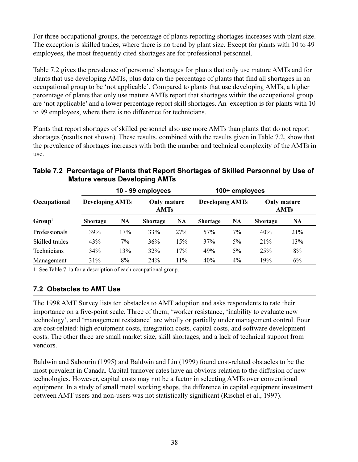For three occupational groups, the percentage of plants reporting shortages increases with plant size. The exception is skilled trades, where there is no trend by plant size. Except for plants with 10 to 49 employees, the most frequently cited shortages are for professional personnel.

Table 7.2 gives the prevalence of personnel shortages for plants that only use mature AMTs and for plants that use developing AMTs, plus data on the percentage of plants that find all shortages in an occupational group to be 'not applicable'. Compared to plants that use developing AMTs, a higher percentage of plants that only use mature AMTs report that shortages within the occupational group are 'not applicable' and a lower percentage report skill shortages. An exception is for plants with 10 to 99 employees, where there is no difference for technicians.

Plants that report shortages of skilled personnel also use more AMTs than plants that do not report shortages (results not shown). These results, combined with the results given in Table 7.2, show that the prevalence of shortages increases with both the number and technical complexity of the AMTs in use.

|                |                        | 10 - 99 employees |                                   |           | 100+ employees         |           |                 |             |
|----------------|------------------------|-------------------|-----------------------------------|-----------|------------------------|-----------|-----------------|-------------|
| Occupational   | <b>Developing AMTs</b> |                   | <b>Only mature</b><br><b>AMTs</b> |           | <b>Developing AMTs</b> |           | Only mature     | <b>AMTs</b> |
| $Group1$       | <b>Shortage</b>        | <b>NA</b>         | <b>Shortage</b>                   | <b>NA</b> | <b>Shortage</b>        | <b>NA</b> | <b>Shortage</b> | <b>NA</b>   |
| Professionals  | 39%                    | 17%               | 33%                               | 27%       | 57%                    | 7%        | 40%             | 21%         |
| Skilled trades | 43%                    | 7%                | 36%                               | 15%       | 37%                    | 5%        | 21%             | 13%         |
| Technicians    | 34%                    | 13%               | 32%                               | 17%       | 49%                    | 5%        | 25%             | 8%          |
| Management     | 31%                    | 8%                | 24%                               | 11%       | 40%                    | 4%        | 19%             | 6%          |

# Table 7.2 Percentage of Plants that Report Shortages of Skilled Personnel by Use of **Mature versus Developing AMTs**

1: See Table 7.1a for a description of each occupational group.

# 7.2 Obstacles to AMT Use

The 1998 AMT Survey lists ten obstacles to AMT adoption and asks respondents to rate their importance on a five-point scale. Three of them: 'worker resistance, 'inability to evaluate new technology', and 'management resistance' are wholly or partially under management control. Four are cost-related: high equipment costs, integration costs, capital costs, and software development costs. The other three are small market size, skill shortages, and a lack of technical support from vendors.

Baldwin and Sabourin (1995) and Baldwin and Lin (1999) found cost-related obstacles to be the most prevalent in Canada. Capital turnover rates have an obvious relation to the diffusion of new technologies. However, capital costs may not be a factor in selecting AMTs over conventional equipment. In a study of small metal working shops, the difference in capital equipment investment between AMT users and non-users was not statistically significant (Rischel et al., 1997).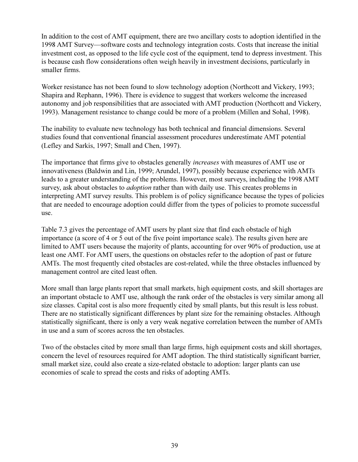In addition to the cost of AMT equipment, there are two ancillary costs to adoption identified in the 1998 AMT Survey—software costs and technology integration costs. Costs that increase the initial investment cost, as opposed to the life cycle cost of the equipment, tend to depress investment. This is because cash flow considerations often weigh heavily in investment decisions, particularly in smaller firms.

Worker resistance has not been found to slow technology adoption (Northcott and Vickery, 1993; Shapira and Rephann, 1996). There is evidence to suggest that workers welcome the increased autonomy and job responsibilities that are associated with AMT production (Northcott and Vickery, 1993). Management resistance to change could be more of a problem (Millen and Sohal, 1998).

The inability to evaluate new technology has both technical and financial dimensions. Several studies found that conventional financial assessment procedures underestimate AMT potential (Lefley and Sarkis, 1997; Small and Chen, 1997).

The importance that firms give to obstacles generally *increases* with measures of AMT use or innovativeness (Baldwin and Lin, 1999; Arundel, 1997), possibly because experience with AMTs leads to a greater understanding of the problems. However, most surveys, including the 1998 AMT survey, ask about obstacles to *adoption* rather than with daily use. This creates problems in interpreting AMT survey results. This problem is of policy significance because the types of policies that are needed to encourage adoption could differ from the types of policies to promote successful use.

Table 7.3 gives the percentage of AMT users by plant size that find each obstacle of high importance (a score of 4 or 5 out of the five point importance scale). The results given here are limited to AMT users because the majority of plants, accounting for over 90% of production, use at least one AMT. For AMT users, the questions on obstacles refer to the adoption of past or future AMTs. The most frequently cited obstacles are cost-related, while the three obstacles influenced by management control are cited least often.

More small than large plants report that small markets, high equipment costs, and skill shortages are an important obstacle to AMT use, although the rank order of the obstacles is very similar among all size classes. Capital cost is also more frequently cited by small plants, but this result is less robust. There are no statistically significant differences by plant size for the remaining obstacles. Although statistically significant, there is only a very weak negative correlation between the number of AMTs in use and a sum of scores across the ten obstacles.

Two of the obstacles cited by more small than large firms, high equipment costs and skill shortages, concern the level of resources required for AMT adoption. The third statistically significant barrier, small market size, could also create a size-related obstacle to adoption: larger plants can use economies of scale to spread the costs and risks of adopting AMTs.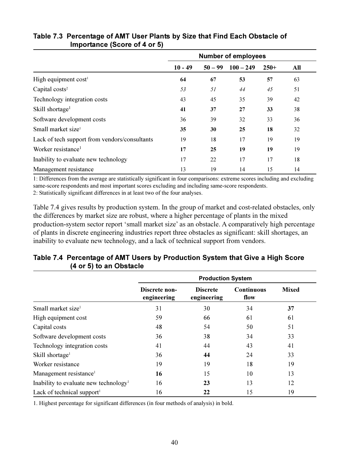|                                               | <b>Number of employees</b> |           |             |        |     |
|-----------------------------------------------|----------------------------|-----------|-------------|--------|-----|
|                                               | $10 - 49$                  | $50 - 99$ | $100 - 249$ | $250+$ | All |
| High equipment cost <sup>1</sup>              | 64                         | 67        | 53          | 57     | 63  |
| Capital costs <sup>2</sup>                    | 53                         | 51        | 44          | 45     | 51  |
| Technology integration costs                  | 43                         | 45        | 35          | 39     | 42  |
| Skill shortage <sup>1</sup>                   | 41                         | 37        | 27          | 33     | 38  |
| Software development costs                    | 36                         | 39        | 32          | 33     | 36  |
| Small market size <sup>1</sup>                | 35                         | 30        | 25          | 18     | 32  |
| Lack of tech support from vendors/consultants | 19                         | 18        | 17          | 19     | 19  |
| Worker resistance <sup>1</sup>                | 17                         | 25        | 19          | 19     | 19  |
| Inability to evaluate new technology          | 17                         | 22        | 17          | 17     | 18  |
| Management resistance                         | 13                         | 19        | 14          | 15     | 14  |

# Table 7.3 Percentage of AMT User Plants by Size that Find Each Obstacle of **Importance (Score of 4 or 5)**

1: Differences from the average are statistically significant in four comparisons: extreme scores including and excluding same-score respondents and most important scores excluding and including same-score respondents.

2: Statistically significant differences in at least two of the four analyses.

Table 7.4 gives results by production system. In the group of market and cost-related obstacles, only the differences by market size are robust, where a higher percentage of plants in the mixed production-system sector report 'small market size' as an obstacle. A comparatively high percentage of plants in discrete engineering industries report three obstacles as significant: skill shortages, an inability to evaluate new technology, and a lack of technical support from vendors.

| (4 or 5) to an Obstacle                           |                              |                                |                           |              |  |  |  |  |
|---------------------------------------------------|------------------------------|--------------------------------|---------------------------|--------------|--|--|--|--|
|                                                   |                              | <b>Production System</b>       |                           |              |  |  |  |  |
|                                                   | Discrete non-<br>engineering | <b>Discrete</b><br>engineering | <b>Continuous</b><br>flow | <b>Mixed</b> |  |  |  |  |
| Small market size <sup>1</sup>                    | 31                           | 30                             | 34                        | 37           |  |  |  |  |
| High equipment cost                               | 59                           | 66                             | 61                        | 61           |  |  |  |  |
| Capital costs                                     | 48                           | 54                             | 50                        | 51           |  |  |  |  |
| Software development costs                        | 36                           | 38                             | 34                        | 33           |  |  |  |  |
| Technology integration costs                      | 41                           | 44                             | 43                        | 41           |  |  |  |  |
| Skill shortage <sup>1</sup>                       | 36                           | 44                             | 24                        | 33           |  |  |  |  |
| Worker resistance                                 | 19                           | 19                             | 18                        | 19           |  |  |  |  |
| Management resistance <sup>1</sup>                | 16                           | 15                             | 10                        | 13           |  |  |  |  |
| Inability to evaluate new technology <sup>1</sup> | 16                           | 23                             | 13                        | 12           |  |  |  |  |
| Lack of technical support <sup>1</sup>            | 16                           | 22                             | 15                        | 19           |  |  |  |  |

# Table 7.4 Percentage of AMT Users by Production System that Give a High Score  $(4 \text{ or } E)$  to an Obatasla

1. Highest percentage for significant differences (in four methods of analysis) in bold.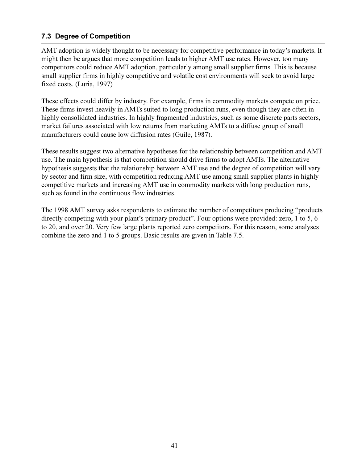### 7.3 Degree of Competition

AMT adoption is widely thought to be necessary for competitive performance in today's markets. It might then be argues that more competition leads to higher AMT use rates. However, too many competitors could reduce AMT adoption, particularly among small supplier firms. This is because small supplier firms in highly competitive and volatile cost environments will seek to avoid large fixed costs. (Luria, 1997)

These effects could differ by industry. For example, firms in commodity markets compete on price. These firms invest heavily in AMTs suited to long production runs, even though they are often in highly consolidated industries. In highly fragmented industries, such as some discrete parts sectors, market failures associated with low returns from marketing AMTs to a diffuse group of small manufacturers could cause low diffusion rates (Guile, 1987).

These results suggest two alternative hypotheses for the relationship between competition and AMT use. The main hypothesis is that competition should drive firms to adopt AMTs. The alternative hypothesis suggests that the relationship between AMT use and the degree of competition will vary by sector and firm size, with competition reducing AMT use among small supplier plants in highly competitive markets and increasing AMT use in commodity markets with long production runs, such as found in the continuous flow industries.

The 1998 AMT survey asks respondents to estimate the number of competitors producing "products" directly competing with your plant's primary product". Four options were provided: zero, 1 to 5, 6 to 20, and over 20. Very few large plants reported zero competitors. For this reason, some analyses combine the zero and 1 to 5 groups. Basic results are given in Table 7.5.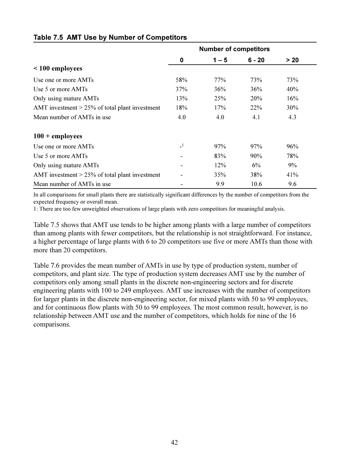|                                                   | <b>Number of competitors</b> |         |            |       |  |
|---------------------------------------------------|------------------------------|---------|------------|-------|--|
|                                                   | 0                            | $1 - 5$ | $6 - 20$   | $>20$ |  |
| $\leq 100$ employees                              |                              |         |            |       |  |
| Use one or more AMTs                              | 58%                          | 77%     | 73%        | 73%   |  |
| Use 5 or more AMTs                                | 37%                          | 36%     | 36%        | 40%   |  |
| Only using mature AMTs                            | 13%                          | 25%     | <b>20%</b> | 16%   |  |
| AMT investment $> 25\%$ of total plant investment | 18%                          | 17%     | 22%        | 30%   |  |
| Mean number of AMTs in use                        | 4.0                          | 4.0     | 4.1        | 4.3   |  |
| $100 +$ employees                                 |                              |         |            |       |  |
| Use one or more AMTs                              | $\mathbf{I}$                 | 97%     | 97%        | 96%   |  |
| Use 5 or more AMTs                                |                              | 83%     | 90%        | 78%   |  |
| Only using mature AMTs                            |                              | 12%     | 6%         | 9%    |  |
| AMT investment $> 25\%$ of total plant investment |                              | 35%     | 38%        | 41%   |  |
| Mean number of AMTs in use                        |                              | 9.9     | 10.6       | 9.6   |  |

#### **Table 7.5 AMT Use by Number of Competitors**

In all comparisons for small plants there are statistically significant differences by the number of competitors from the expected frequency or overall mean.

1: There are too few unweighted observations of large plants with zero competitors for meaningful analysis.

Table 7.5 shows that AMT use tends to be higher among plants with a large number of competitors than among plants with fewer competitors, but the relationship is not straightforward. For instance, a higher percentage of large plants with 6 to 20 competitors use five or more AMTs than those with more than 20 competitors.

Table 7.6 provides the mean number of AMTs in use by type of production system, number of competitors, and plant size. The type of production system decreases AMT use by the number of competitors only among small plants in the discrete non-engineering sectors and for discrete engineering plants with 100 to 249 employees. AMT use increases with the number of competitors for larger plants in the discrete non-engineering sector, for mixed plants with 50 to 99 employees, and for continuous flow plants with 50 to 99 employees. The most common result, however, is no relationship between AMT use and the number of competitors, which holds for nine of the 16 comparisons.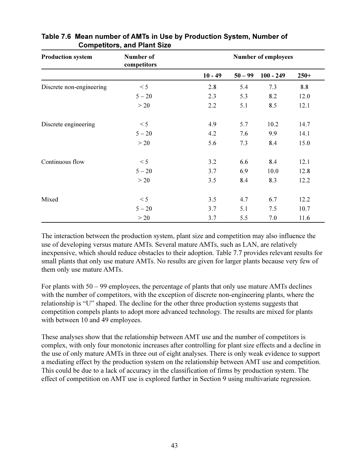| <b>Production system</b> | Number of<br>competitors | <b>Number of employees</b> |           |             |        |
|--------------------------|--------------------------|----------------------------|-----------|-------------|--------|
|                          |                          | $10 - 49$                  | $50 - 99$ | $100 - 249$ | $250+$ |
| Discrete non-engineering | < 5                      | 2.8                        | 5.4       | 7.3         | 8.8    |
|                          | $5 - 20$                 | 2.3                        | 5.3       | 8.2         | 12.0   |
|                          | >20                      | 2.2                        | 5.1       | 8.5         | 12.1   |
| Discrete engineering     | < 5                      | 4.9                        | 5.7       | 10.2        | 14.7   |
|                          | $5 - 20$                 | 4.2                        | 7.6       | 9.9         | 14.1   |
|                          | >20                      | 5.6                        | 7.3       | 8.4         | 15.0   |
| Continuous flow          | < 5                      | 3.2                        | 6.6       | 8.4         | 12.1   |
|                          | $5 - 20$                 | 3.7                        | 6.9       | 10.0        | 12.8   |
|                          | >20                      | 3.5                        | 8.4       | 8.3         | 12.2   |
| Mixed                    | < 5                      | 3.5                        | 4.7       | 6.7         | 12.2   |
|                          | $5 - 20$                 | 3.7                        | 5.1       | 7.5         | 10.7   |
|                          | >20                      | 3.7                        | 5.5       | 7.0         | 11.6   |

### Table 7.6 Mean number of AMTs in Use by Production System, Number of **Competitors, and Plant Size**

The interaction between the production system, plant size and competition may also influence the use of developing versus mature AMTs. Several mature AMTs, such as LAN, are relatively inexpensive, which should reduce obstacles to their adoption. Table 7.7 provides relevant results for small plants that only use mature AMTs. No results are given for larger plants because very few of them only use mature AMTs.

For plants with  $50 - 99$  employees, the percentage of plants that only use mature AMTs declines with the number of competitors, with the exception of discrete non-engineering plants, where the relationship is "U" shaped. The decline for the other three production systems suggests that competition compels plants to adopt more advanced technology. The results are mixed for plants with between 10 and 49 employees.

These analyses show that the relationship between AMT use and the number of competitors is complex, with only four monotonic increases after controlling for plant size effects and a decline in the use of only mature AMTs in three out of eight analyses. There is only weak evidence to support a mediating effect by the production system on the relationship between AMT use and competition. This could be due to a lack of accuracy in the classification of firms by production system. The effect of competition on AMT use is explored further in Section 9 using multivariate regression.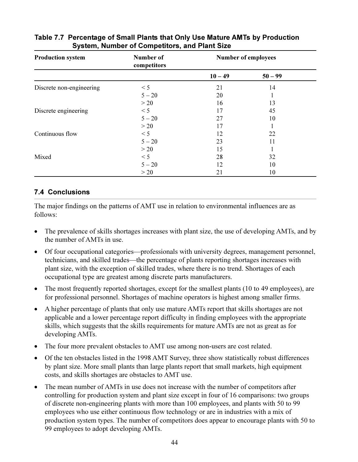| <b>Production system</b> | Number of<br>competitors | <b>Number of employees</b> |           |  |
|--------------------------|--------------------------|----------------------------|-----------|--|
|                          |                          | $10 - 49$                  | $50 - 99$ |  |
| Discrete non-engineering | < 5                      | 21                         | 14        |  |
|                          | $5 - 20$                 | 20                         |           |  |
|                          | >20                      | 16                         | 13        |  |
| Discrete engineering     | < 5                      | 17                         | 45        |  |
|                          | $5 - 20$                 | 27                         | 10        |  |
|                          | >20                      | 17                         |           |  |
| Continuous flow          | < 5                      | 12                         | 22        |  |
|                          | $5 - 20$                 | 23                         | 11        |  |
|                          | >20                      | 15                         |           |  |
| Mixed                    | < 5                      | 28                         | 32        |  |
|                          | $5 - 20$                 | 12                         | 10        |  |
|                          | >20                      | 21                         | 10        |  |

### Table 7.7 Percentage of Small Plants that Only Use Mature AMTs by Production **System, Number of Competitors, and Plant Size**

# **7.4 Conclusions**

The major findings on the patterns of AMT use in relation to environmental influences are as follows:

- The prevalence of skills shortages increases with plant size, the use of developing AMTs, and by the number of AMTs in use.
- Of four occupational categories—professionals with university degrees, management personnel, technicians, and skilled trades—the percentage of plants reporting shortages increases with plant size, with the exception of skilled trades, where there is no trend. Shortages of each occupational type are greatest among discrete parts manufacturers.
- The most frequently reported shortages, except for the smallest plants (10 to 49 employees), are for professional personnel. Shortages of machine operators is highest among smaller firms.
- A higher percentage of plants that only use mature AMTs report that skills shortages are not applicable and a lower percentage report difficulty in finding employees with the appropriate skills, which suggests that the skills requirements for mature AMTs are not as great as for developing AMTs.
- The four more prevalent obstacles to AMT use among non-users are cost related.
- Of the ten obstacles listed in the 1998 AMT Survey, three show statistically robust differences by plant size. More small plants than large plants report that small markets, high equipment costs, and skills shortages are obstacles to AMT use.
- The mean number of AMTs in use does not increase with the number of competitors after controlling for production system and plant size except in four of 16 comparisons: two groups of discrete non-engineering plants with more than 100 employees, and plants with 50 to 99 employees who use either continuous flow technology or are in industries with a mix of production system types. The number of competitors does appear to encourage plants with 50 to 99 employees to adopt developing AMTs.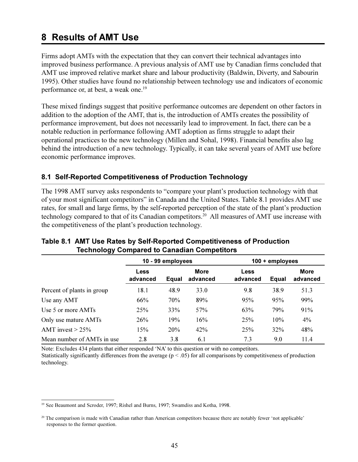# 8 Results of AMT Use

Firms adopt AMTs with the expectation that they can convert their technical advantages into improved business performance. A previous analysis of AMT use by Canadian firms concluded that AMT use improved relative market share and labour productivity (Baldwin, Diverty, and Sabourin 1995). Other studies have found no relationship between technology use and indicators of economic performance or, at best, a weak one.<sup>19</sup>

These mixed findings suggest that positive performance outcomes are dependent on other factors in addition to the adoption of the AMT, that is, the introduction of AMTs creates the possibility of performance improvement, but does not necessarily lead to improvement. In fact, there can be a notable reduction in performance following AMT adoption as firms struggle to adapt their operational practices to the new technology (Millen and Sohal, 1998). Financial benefits also lag behind the introduction of a new technology. Typically, it can take several years of AMT use before economic performance improves.

# 8.1 Self-Reported Competitiveness of Production Technology

The 1998 AMT survey asks respondents to "compare your plant's production technology with that of your most significant competitors" in Canada and the United States. Table 8.1 provides AMT use rates, for small and large firms, by the self-reported perception of the state of the plant's production technology compared to that of its Canadian competitors.<sup>20</sup> All measures of AMT use increase with the competitiveness of the plant's production technology.

|                            | 10 - 99 employees       |       |                         | 100 + employees         |       |                         |
|----------------------------|-------------------------|-------|-------------------------|-------------------------|-------|-------------------------|
|                            | <b>Less</b><br>advanced | Equal | <b>More</b><br>advanced | <b>Less</b><br>advanced | Equal | <b>More</b><br>advanced |
| Percent of plants in group | 18.1                    | 48.9  | 33.0                    | 9.8                     | 38.9  | 51.3                    |
| Use any AMT                | 66%                     | 70%   | 89%                     | 95%                     | 95%   | 99%                     |
| Use 5 or more AMTs         | 25%                     | 33%   | 57%                     | 63%                     | 79%   | 91%                     |
| Only use mature AMTs       | 26%                     | 19%   | 16%                     | 25%                     | 10%   | 4%                      |
| AMT invest $> 25\%$        | 15%                     | 20%   | 42%                     | 25%                     | 32%   | 48%                     |
| Mean number of AMTs in use | 2.8                     | 3.8   | 6.1                     | 7.3                     | 9.0   | 11.4                    |

### Table 8.1 AMT Use Rates by Self-Reported Competitiveness of Production **Technology Compared to Canadian Competitors**

Note: Excludes 434 plants that either responded 'NA' to this question or with no competitors.

Statistically significantly differences from the average ( $p < .05$ ) for all comparisons by competitiveness of production technology.

<sup>&</sup>lt;sup>19</sup> See Beaumont and Scroder, 1997; Rishel and Burns, 1997; Swamdiss and Kotha, 1998.

<sup>&</sup>lt;sup>20</sup> The comparison is made with Canadian rather than American competitors because there are notably fewer 'not applicable' responses to the former question.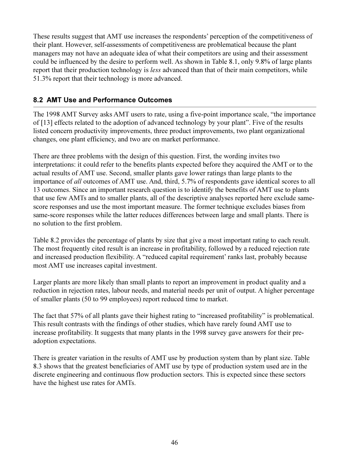These results suggest that AMT use increases the respondents' perception of the competitiveness of their plant. However, self-assessments of competitiveness are problematical because the plant managers may not have an adequate idea of what their competitors are using and their assessment could be influenced by the desire to perform well. As shown in Table 8.1, only 9.8% of large plants report that their production technology is *less* advanced than that of their main competitors, while 51.3% report that their technology is more advanced.

# 8.2 AMT Use and Performance Outcomes

The 1998 AMT Survey asks AMT users to rate, using a five-point importance scale, "the importance" of [13] effects related to the adoption of advanced technology by your plant". Five of the results listed concern productivity improvements, three product improvements, two plant organizational changes, one plant efficiency, and two are on market performance.

There are three problems with the design of this question. First, the wording invites two interpretations: it could refer to the benefits plants expected before they acquired the AMT or to the actual results of AMT use. Second, smaller plants gave lower ratings than large plants to the importance of all outcomes of AMT use. And, third, 5.7% of respondents gave identical scores to all 13 outcomes. Since an important research question is to identify the benefits of AMT use to plants that use few AMTs and to smaller plants, all of the descriptive analyses reported here exclude samescore responses and use the most important measure. The former technique excludes biases from same-score responses while the latter reduces differences between large and small plants. There is no solution to the first problem.

Table 8.2 provides the percentage of plants by size that give a most important rating to each result. The most frequently cited result is an increase in profitability, followed by a reduced rejection rate and increased production flexibility. A "reduced capital requirement' ranks last, probably because most AMT use increases capital investment.

Larger plants are more likely than small plants to report an improvement in product quality and a reduction in rejection rates, labour needs, and material needs per unit of output. A higher percentage of smaller plants (50 to 99 employees) report reduced time to market.

The fact that 57% of all plants gave their highest rating to "increased profitability" is problematical. This result contrasts with the findings of other studies, which have rarely found AMT use to increase profitability. It suggests that many plants in the 1998 survey gave answers for their preadoption expectations.

There is greater variation in the results of AMT use by production system than by plant size. Table 8.3 shows that the greatest beneficiaries of AMT use by type of production system used are in the discrete engineering and continuous flow production sectors. This is expected since these sectors have the highest use rates for AMTs.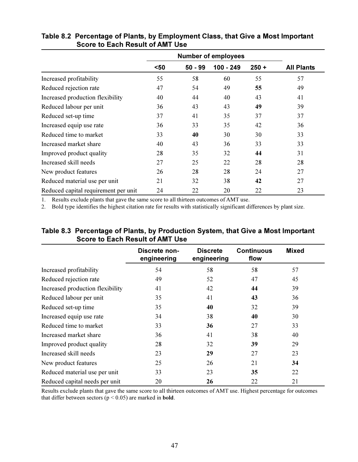|                                      | $50$ | $50 - 99$ | $100 - 249$ | $250 +$ | <b>All Plants</b> |
|--------------------------------------|------|-----------|-------------|---------|-------------------|
| Increased profitability              | 55   | 58        | 60          | 55      | 57                |
| Reduced rejection rate               | 47   | 54        | 49          | 55      | 49                |
| Increased production flexibility     | 40   | 44        | 40          | 43      | 41                |
| Reduced labour per unit              | 36   | 43        | 43          | 49      | 39                |
| Reduced set-up time                  | 37   | 41        | 35          | 37      | 37                |
| Increased equip use rate             | 36   | 33        | 35          | 42      | 36                |
| Reduced time to market               | 33   | 40        | 30          | 30      | 33                |
| Increased market share               | 40   | 43        | 36          | 33      | 33                |
| Improved product quality             | 28   | 35        | 32          | 44      | 31                |
| Increased skill needs                | 27   | 25        | 22          | 28      | 28                |
| New product features                 | 26   | 28        | 28          | 24      | 27                |
| Reduced material use per unit        | 21   | 32        | 38          | 42      | 27                |
| Reduced capital requirement per unit | 24   | 22        | 20          | 22      | 23                |

### Table 8.2 Percentage of Plants, by Employment Class, that Give a Most Important **Score to Each Result of AMT Use**

1. Results exclude plants that gave the same score to all thirteen outcomes of AMT use.

2. Bold type identifies the highest citation rate for results with statistically significant differences by plant size.

|                                  | Discrete non-<br>engineering | <b>Discrete</b><br>engineering | <b>Continuous</b><br>flow | <b>Mixed</b> |
|----------------------------------|------------------------------|--------------------------------|---------------------------|--------------|
| Increased profitability          | 54                           | 58                             | 58                        | 57           |
| Reduced rejection rate           | 49                           | 52                             | 47                        | 45           |
| Increased production flexibility | 41                           | 42                             | 44                        | 39           |
| Reduced labour per unit          | 35                           | 41                             | 43                        | 36           |
| Reduced set-up time              | 35                           | 40                             | 32                        | 39           |
| Increased equip use rate         | 34                           | 38                             | 40                        | 30           |
| Reduced time to market           | 33                           | 36                             | 27                        | 33           |
| Increased market share           | 36                           | 41                             | 38                        | 40           |
| Improved product quality         | 28                           | 32                             | 39                        | 29           |
| Increased skill needs            | 23                           | 29                             | 27                        | 23           |
| New product features             | 25                           | 26                             | 21                        | 34           |
| Reduced material use per unit    | 33                           | 23                             | 35                        | 22           |
| Reduced capital needs per unit   | 20                           | 26                             | 22                        | 21           |

### Table 8.3 Percentage of Plants, by Production System, that Give a Most Important Score to Each Result of AMT Use

Results exclude plants that gave the same score to all thirteen outcomes of AMT use. Highest percentage for outcomes that differ between sectors ( $p < 0.05$ ) are marked in **bold**.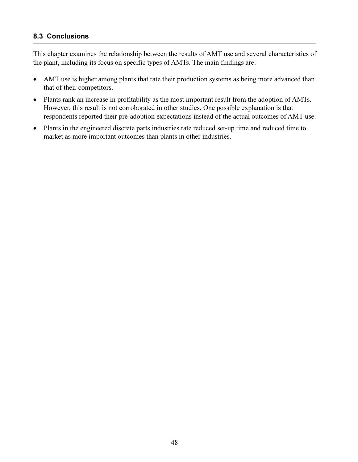### **8.3 Conclusions**

This chapter examines the relationship between the results of AMT use and several characteristics of the plant, including its focus on specific types of AMTs. The main findings are:

- AMT use is higher among plants that rate their production systems as being more advanced than  $\bullet$ that of their competitors.
- Plants rank an increase in profitability as the most important result from the adoption of AMTs. However, this result is not corroborated in other studies. One possible explanation is that respondents reported their pre-adoption expectations instead of the actual outcomes of AMT use.
- Plants in the engineered discrete parts industries rate reduced set-up time and reduced time to  $\bullet$ market as more important outcomes than plants in other industries.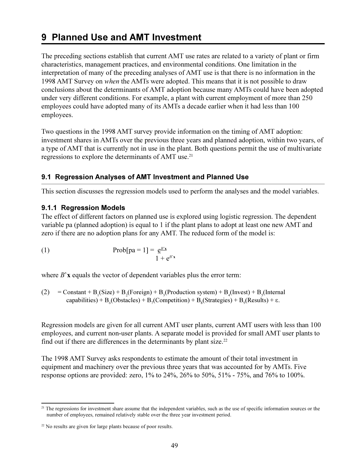# 9 Planned Use and AMT Investment

The preceding sections establish that current AMT use rates are related to a variety of plant or firm characteristics, management practices, and environmental conditions. One limitation in the interpretation of many of the preceding analyses of AMT use is that there is no information in the 1998 AMT Survey on *when* the AMTs were adopted. This means that it is not possible to draw conclusions about the determinants of AMT adoption because many AMTs could have been adopted under very different conditions. For example, a plant with current employment of more than 250 employees could have adopted many of its AMTs a decade earlier when it had less than 100 employees.

Two questions in the 1998 AMT survey provide information on the timing of AMT adoption: investment shares in AMTs over the previous three years and planned adoption, within two years, of a type of AMT that is currently not in use in the plant. Both questions permit the use of multivariate regressions to explore the determinants of AMT use.<sup>21</sup>

### 9.1 Regression Analyses of AMT Investment and Planned Use

This section discusses the regression models used to perform the analyses and the model variables.

### 9.1.1 Regression Models

The effect of different factors on planned use is explored using logistic regression. The dependent variable pa (planned adoption) is equal to 1 if the plant plans to adopt at least one new AMT and zero if there are no adoption plans for any AMT. The reduced form of the model is:

(1) 
$$
Prob[pa = 1] = \frac{e^{B'x}}{1 + e^{B'x}}
$$

where  $B'$ **x** equals the vector of dependent variables plus the error term:

(2) = Constant + B<sub>1</sub>(Size) + B<sub>2</sub>(Foreign) + B<sub>3</sub>(Production system) + B<sub>4</sub>(Invest) + B<sub>5</sub>(Internal  
capabilities) + B<sub>6</sub>(Obstacles) + B<sub>7</sub>(Competition) + B<sub>8</sub>(Strategies) + B<sub>9</sub>(Results) + 
$$
\varepsilon
$$
.

Regression models are given for all current AMT user plants, current AMT users with less than 100 employees, and current non-user plants. A separate model is provided for small AMT user plants to find out if there are differences in the determinants by plant size.<sup>22</sup>

The 1998 AMT Survey asks respondents to estimate the amount of their total investment in equipment and machinery over the previous three years that was accounted for by AMTs. Five response options are provided: zero, 1% to 24%, 26% to 50%, 51% - 75%, and 76% to 100%.

<sup>&</sup>lt;sup>21</sup> The regressions for investment share assume that the independent variables, such as the use of specific information sources or the number of employees, remained relatively stable over the three year investment period.

<sup>&</sup>lt;sup>22</sup> No results are given for large plants because of poor results.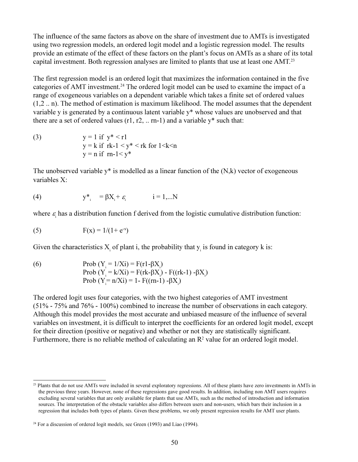The influence of the same factors as above on the share of investment due to AMTs is investigated using two regression models, an ordered logit model and a logistic regression model. The results provide an estimate of the effect of these factors on the plant's focus on AMTs as a share of its total capital investment. Both regression analyses are limited to plants that use at least one AMT.<sup>23</sup>

The first regression model is an ordered logit that maximizes the information contained in the five categories of AMT investment.<sup>24</sup> The ordered logit model can be used to examine the impact of a range of exogeneous variables on a dependent variable which takes a finite set of ordered values  $(1,2...n)$ . The method of estimation is maximum likelihood. The model assumes that the dependent variable y is generated by a continuous latent variable y\* whose values are unobserved and that there are a set of ordered values  $(r1, r2, ...$  rn-1) and a variable  $y^*$  such that:

 $y = 1$  if  $y^* < r1$  $(3)$  $y = k$  if  $rk-1 < y^* < rk$  for  $1 < k < n$  $y = n$  if  $rn-1 < y^*$ 

The unobserved variable  $y^*$  is modelled as a linear function of the  $(N,k)$  vector of exogeneous variables X:

(4) 
$$
y_{i}^{*} = \beta X_{i} + \varepsilon_{i}
$$
  $i = 1,...N$ 

where  $\varepsilon$  has a distribution function f derived from the logistic cumulative distribution function:

(5) 
$$
F(x) = 1/(1 + e^{-x})
$$

Given the characteristics  $X_i$  of plant i, the probability that  $y_i$  is found in category  $k$  is:

Prob (Y<sub>i</sub> = 1/Xi) = F(r1-βX<sub>i</sub>)  $(6)$ Prob (Y<sub>i</sub> = k/Xi) = F(rk-βX<sub>i</sub>) - F((rk-1) -βX<sub>i</sub>) Prob (Y = n/Xi) = 1 - F((rn-1) -βX)

The ordered logit uses four categories, with the two highest categories of AMT investment  $(51\% - 75\%$  and 76% - 100%) combined to increase the number of observations in each category. Although this model provides the most accurate and unbiased measure of the influence of several variables on investment, it is difficult to interpret the coefficients for an ordered logit model, except for their direction (positive or negative) and whether or not they are statistically significant. Furthermore, there is no reliable method of calculating an  $\mathbb{R}^2$  value for an ordered logit model.

<sup>&</sup>lt;sup>23</sup> Plants that do not use AMTs were included in several exploratory regressions. All of these plants have zero investments in AMTs in the previous three years. However, none of these regressions gave good results. In addition, including non AMT users requires excluding several variables that are only available for plants that use AMTs, such as the method of introduction and information sources. The interpretation of the obstacle variables also differs between users and non-users, which bars their inclusion in a regression that includes both types of plants. Given these problems, we only present regression results for AMT user plants.

<sup>&</sup>lt;sup>24</sup> For a discussion of ordered logit models, see Green (1993) and Liao (1994).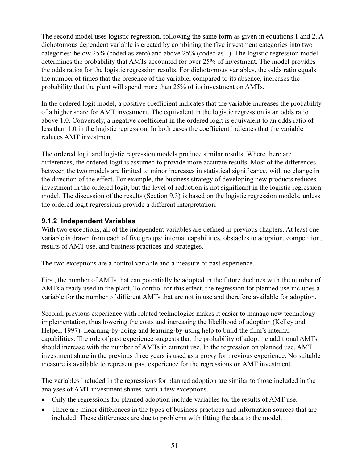The second model uses logistic regression, following the same form as given in equations 1 and 2. A dichotomous dependent variable is created by combining the five investment categories into two categories: below 25% (coded as zero) and above 25% (coded as 1). The logistic regression model determines the probability that AMTs accounted for over 25% of investment. The model provides the odds ratios for the logistic regression results. For dichotomous variables, the odds ratio equals the number of times that the presence of the variable, compared to its absence, increases the probability that the plant will spend more than 25% of its investment on AMTs.

In the ordered logit model, a positive coefficient indicates that the variable increases the probability of a higher share for AMT investment. The equivalent in the logistic regression is an odds ratio above 1.0. Conversely, a negative coefficient in the ordered logit is equivalent to an odds ratio of less than 1.0 in the logistic regression. In both cases the coefficient indicates that the variable reduces AMT investment.

The ordered logit and logistic regression models produce similar results. Where there are differences, the ordered logit is assumed to provide more accurate results. Most of the differences between the two models are limited to minor increases in statistical significance, with no change in the direction of the effect. For example, the business strategy of developing new products reduces investment in the ordered logit, but the level of reduction is not significant in the logistic regression model. The discussion of the results (Section 9.3) is based on the logistic regression models, unless the ordered logit regressions provide a different interpretation.

# 9.1.2 Independent Variables

With two exceptions, all of the independent variables are defined in previous chapters. At least one variable is drawn from each of five groups: internal capabilities, obstacles to adoption, competition, results of AMT use, and business practices and strategies.

The two exceptions are a control variable and a measure of past experience.

First, the number of AMTs that can potentially be adopted in the future declines with the number of AMTs already used in the plant. To control for this effect, the regression for planned use includes a variable for the number of different AMTs that are not in use and therefore available for adoption.

Second, previous experience with related technologies makes it easier to manage new technology implementation, thus lowering the costs and increasing the likelihood of adoption (Kelley and Helper, 1997). Learning-by-doing and learning-by-using help to build the firm's internal capabilities. The role of past experience suggests that the probability of adopting additional AMTs should increase with the number of AMTs in current use. In the regression on planned use, AMT investment share in the previous three years is used as a proxy for previous experience. No suitable measure is available to represent past experience for the regressions on AMT investment.

The variables included in the regressions for planned adoption are similar to those included in the analyses of AMT investment shares, with a few exceptions.

- Only the regressions for planned adoption include variables for the results of AMT use.
- There are minor differences in the types of business practices and information sources that are included. These differences are due to problems with fitting the data to the model.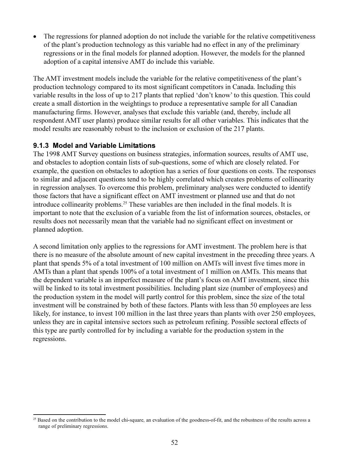The regressions for planned adoption do not include the variable for the relative competitiveness of the plant's production technology as this variable had no effect in any of the preliminary regressions or in the final models for planned adoption. However, the models for the planned adoption of a capital intensive AMT do include this variable.

The AMT investment models include the variable for the relative competitiveness of the plant's production technology compared to its most significant competitors in Canada. Including this variable results in the loss of up to 217 plants that replied 'don't know' to this question. This could create a small distortion in the weightings to produce a representative sample for all Canadian manufacturing firms. However, analyses that exclude this variable (and, thereby, include all respondent AMT user plants) produce similar results for all other variables. This indicates that the model results are reasonably robust to the inclusion or exclusion of the 217 plants.

### 9.1.3 Model and Variable Limitations

The 1998 AMT Survey questions on business strategies, information sources, results of AMT use, and obstacles to adoption contain lists of sub-questions, some of which are closely related. For example, the question on obstacles to adoption has a series of four questions on costs. The responses to similar and adjacent questions tend to be highly correlated which creates problems of collinearity in regression analyses. To overcome this problem, preliminary analyses were conducted to identify those factors that have a significant effect on AMT investment or planned use and that do not introduce collinearity problems.<sup>25</sup> These variables are then included in the final models. It is important to note that the exclusion of a variable from the list of information sources, obstacles, or results does not necessarily mean that the variable had no significant effect on investment or planned adoption.

A second limitation only applies to the regressions for AMT investment. The problem here is that there is no measure of the absolute amount of new capital investment in the preceding three years. A plant that spends 5% of a total investment of 100 million on AMTs will invest five times more in AMTs than a plant that spends 100% of a total investment of 1 million on AMTs. This means that the dependent variable is an imperfect measure of the plant's focus on AMT investment, since this will be linked to its total investment possibilities. Including plant size (number of employees) and the production system in the model will partly control for this problem, since the size of the total investment will be constrained by both of these factors. Plants with less than 50 employees are less likely, for instance, to invest 100 million in the last three years than plants with over 250 employees, unless they are in capital intensive sectors such as petroleum refining. Possible sectoral effects of this type are partly controlled for by including a variable for the production system in the regressions.

<sup>&</sup>lt;sup>25</sup> Based on the contribution to the model chi-square, an evaluation of the goodness-of-fit, and the robustness of the results across a range of preliminary regressions.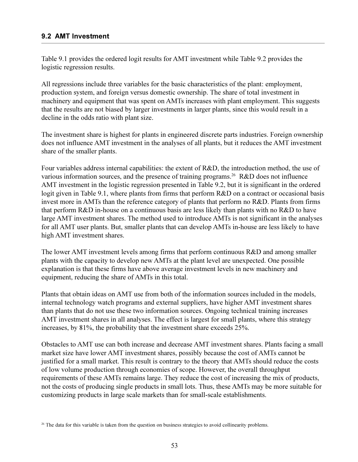### 9.2 AMT Investment

Table 9.1 provides the ordered logit results for AMT investment while Table 9.2 provides the logistic regression results.

All regressions include three variables for the basic characteristics of the plant: employment, production system, and foreign versus domestic ownership. The share of total investment in machinery and equipment that was spent on AMTs increases with plant employment. This suggests that the results are not biased by larger investments in larger plants, since this would result in a decline in the odds ratio with plant size.

The investment share is highest for plants in engineered discrete parts industries. Foreign ownership does not influence AMT investment in the analyses of all plants, but it reduces the AMT investment share of the smaller plants.

Four variables address internal capabilities: the extent of R&D, the introduction method, the use of various information sources, and the presence of training programs.<sup>26</sup> R&D does not influence AMT investment in the logistic regression presented in Table 9.2, but it is significant in the ordered logit given in Table 9.1, where plants from firms that perform R&D on a contract or occasional basis invest more in AMTs than the reference category of plants that perform no R&D. Plants from firms that perform R&D in-house on a continuous basis are less likely than plants with no R&D to have large AMT investment shares. The method used to introduce AMTs is not significant in the analyses for all AMT user plants. But, smaller plants that can develop AMTs in-house are less likely to have high AMT investment shares.

The lower AMT investment levels among firms that perform continuous R&D and among smaller plants with the capacity to develop new AMTs at the plant level are unexpected. One possible explanation is that these firms have above average investment levels in new machinery and equipment, reducing the share of AMTs in this total.

Plants that obtain ideas on AMT use from both of the information sources included in the models, internal technology watch programs and external suppliers, have higher AMT investment shares than plants that do not use these two information sources. Ongoing technical training increases AMT investment shares in all analyses. The effect is largest for small plants, where this strategy increases, by 81%, the probability that the investment share exceeds 25%.

Obstacles to AMT use can both increase and decrease AMT investment shares. Plants facing a small market size have lower AMT investment shares, possibly because the cost of AMTs cannot be justified for a small market. This result is contrary to the theory that AMTs should reduce the costs of low volume production through economies of scope. However, the overall throughput requirements of these AMTs remains large. They reduce the cost of increasing the mix of products, not the costs of producing single products in small lots. Thus, these AMTs may be more suitable for customizing products in large scale markets than for small-scale establishments.

<sup>&</sup>lt;sup>26</sup> The data for this variable is taken from the question on business strategies to avoid collinearity problems.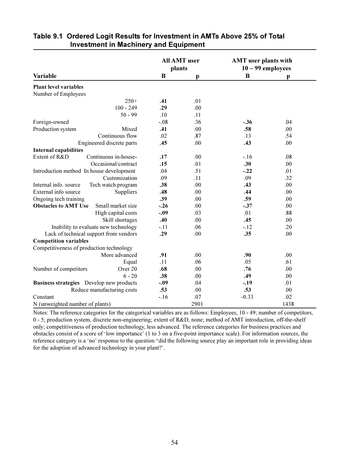|                                                  |        | <b>All AMT</b> user<br>plants | <b>AMT</b> user plants with<br>$10 - 99$ employees |      |
|--------------------------------------------------|--------|-------------------------------|----------------------------------------------------|------|
| Variable                                         | B      | p                             | B                                                  | р    |
| <b>Plant level variables</b>                     |        |                               |                                                    |      |
| Number of Employees                              |        |                               |                                                    |      |
| $250+$                                           | .41    | .01                           |                                                    |      |
| $100 - 249$                                      | .29    | .00                           |                                                    |      |
| $50 - 99$                                        | .10    | .11                           |                                                    |      |
| Foreign-owned                                    | $-.08$ | .36                           | $-.36$                                             | .04  |
| Production system<br>Mixed                       | .41    | .00                           | .58                                                | .00  |
| Continuous flow                                  | .02    | .87                           | .13                                                | .54  |
| Engineered discrete parts                        | .45    | .00                           | .43                                                | .00  |
| <b>Internal capabilities</b>                     |        |                               |                                                    |      |
| Extent of R&D<br>Continuous in-house-            | .17    | .00.                          | $-.16$                                             | .08  |
| Occasional/contract                              | .15    | .01                           | .30                                                | .00  |
| Introduction method In house development         | .04    | .51                           | $-.22$                                             | .01  |
| Customization                                    | .09    | .11                           | .09                                                | .32  |
| Internal info. source<br>Tech watch program      | .38    | .00                           | .43                                                | .00  |
| External info source<br>Suppliers                | .48    | .00                           | .44                                                | .00  |
| Ongoing tech training                            | .39    | .00                           | .59                                                | .00  |
| <b>Obstacles to AMT Use</b><br>Small market size | $-.26$ | .00                           | $-.37$                                             | .00  |
| High capital costs                               | $-.09$ | .03                           | .01                                                | .88  |
| Skill shortages                                  | .40    | .00                           | .45                                                | .00  |
| Inability to evaluate new technology             | $-.11$ | .06                           | $-12$                                              | .20  |
| Lack of technical support from vendors           | .29    | .00                           | .35                                                | .00  |
| <b>Competition variables</b>                     |        |                               |                                                    |      |
| Competitiveness of production technology         |        |                               |                                                    |      |
| More advanced                                    | .91    | .00                           | .90                                                | .00  |
| Equal                                            | .11    | .06                           | .05                                                | .61  |
| Over 20<br>Number of competitors                 | .68    | .00                           | .76                                                | .00. |
| $6 - 20$                                         | .38    | .00                           | .49                                                | .00  |
| Business strategies Develop new products         | $-.09$ | .04                           | $-.19$                                             | .01  |
| Reduce manufacturing costs                       | .53    | .00                           | .53                                                | .00  |
| Constant                                         | $-.16$ | .07                           | $-0.33$                                            | .02  |
| N (unweighted number of plants)                  |        | 2901                          |                                                    | 1438 |

### Table 9.1 Ordered Logit Results for Investment in AMTs Above 25% of Total **Investment in Machinery and Equipment**

Notes: The reference categories for the categorical variables are as follows: Employees, 10 - 49; number of competitors, 0 - 5; production system, discrete non-engineering; extent of R&D, none; method of AMT introduction, off-the-shelf only; competitiveness of production technology, less advanced. The reference categories for business practices and obstacles consist of a score of 'low importance' (1 to 3 on a five-point importance scale). For information sources, the reference category is a 'no' response to the question "did the following source play an important role in providing ideas for the adoption of advanced technology in your plant?'.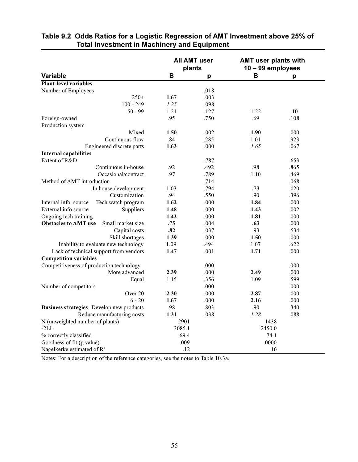|                                                  | <b>All AMT user</b><br>plants |      | <b>AMT user plants with</b><br>$10 - 99$ employees |      |
|--------------------------------------------------|-------------------------------|------|----------------------------------------------------|------|
| <b>Variable</b>                                  | в                             | p    | В                                                  | p    |
| <b>Plant-level variables</b>                     |                               |      |                                                    |      |
| Number of Employees                              |                               | .018 |                                                    |      |
| $250+$                                           | 1.67                          | .003 |                                                    |      |
| $100 - 249$                                      | 1.25                          | .098 |                                                    |      |
| $50 - 99$                                        | 1.21                          | .127 | 1.22                                               | .10  |
| Foreign-owned                                    | .95                           | .750 | .69                                                | .108 |
| Production system                                |                               |      |                                                    |      |
| Mixed                                            | 1.50                          | .002 | 1.90                                               | .000 |
| Continuous flow                                  | .84                           | .285 | 1.01                                               | .923 |
| Engineered discrete parts                        | 1.63                          | .000 | 1.65                                               | .067 |
| <b>Internal capabilities</b>                     |                               |      |                                                    |      |
| Extent of R&D                                    |                               | .787 |                                                    | .653 |
| Continuous in-house                              | .92                           | .492 | .98                                                | .865 |
| Occasional/contract                              | .97                           | .789 | 1.10                                               | .469 |
| Method of AMT introduction                       |                               | .714 |                                                    | .068 |
| In house development                             | 1.03                          | .794 | .73                                                | .020 |
| Customization                                    | .94                           | .550 | .90                                                | .396 |
| Internal info. source<br>Tech watch program      | 1.62                          | .000 | 1.84                                               | .000 |
| External info source<br>Suppliers                | 1.48                          | .000 | 1.43                                               | .002 |
| Ongoing tech training                            | 1.42                          | .000 | 1.81                                               | .000 |
| <b>Obstacles to AMT use</b><br>Small market size | .75                           | .004 | .63                                                | .000 |
| Capital costs                                    | .82                           | .037 | .93                                                | .534 |
| Skill shortages                                  | 1.39                          | .000 | 1.50                                               | .000 |
| Inability to evaluate new technology             | 1.09                          | .494 | 1.07                                               | .622 |
| Lack of technical support from vendors           | 1.47                          | .001 | 1.71                                               | .000 |
| <b>Competition variables</b>                     |                               |      |                                                    |      |
| Competitiveness of production technology         |                               | .000 |                                                    | .000 |
| More advanced                                    | 2.39                          | .000 | 2.49                                               | .000 |
| Equal                                            | 1.15                          | .356 | 1.09                                               | .599 |
| Number of competitors                            |                               | .000 |                                                    | .000 |
| Over 20                                          | 2.30                          | .000 | 2.87                                               | .000 |
| $6 - 20$                                         | 1.67                          | .000 | 2.16                                               | .000 |
| Business strategies Develop new products         | .98                           | .803 | .90                                                | .340 |
| Reduce manufacturing costs                       | 1.31                          | .038 | 1.28                                               | .088 |
| N (unweighted number of plants)                  | 2901                          |      | 1438                                               |      |
| $-2LL$                                           | 3085.1                        |      | 2450.0                                             |      |
| % correctly classified                           | 69.4                          |      | 74.1                                               |      |
| Goodness of fit (p value)                        | .009                          |      | .0000                                              |      |
| Nagelkerke estimated of R <sup>2</sup>           | .12                           |      | .16                                                |      |

# Table 9.2 Odds Ratios for a Logistic Regression of AMT Investment above 25% of **Total Investment in Machinery and Equipment**

Notes: For a description of the reference categories, see the notes to Table 10.3a.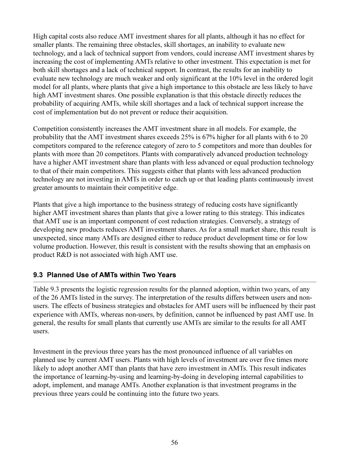High capital costs also reduce AMT investment shares for all plants, although it has no effect for smaller plants. The remaining three obstacles, skill shortages, an inability to evaluate new technology, and a lack of technical support from vendors, could increase AMT investment shares by increasing the cost of implementing AMTs relative to other investment. This expectation is met for both skill shortages and a lack of technical support. In contrast, the results for an inability to evaluate new technology are much weaker and only significant at the 10% level in the ordered logit model for all plants, where plants that give a high importance to this obstacle are less likely to have high AMT investment shares. One possible explanation is that this obstacle directly reduces the probability of acquiring AMTs, while skill shortages and a lack of technical support increase the cost of implementation but do not prevent or reduce their acquisition.

Competition consistently increases the AMT investment share in all models. For example, the probability that the AMT investment shares exceeds 25% is 67% higher for all plants with 6 to 20 competitors compared to the reference category of zero to 5 competitors and more than doubles for plants with more than 20 competitors. Plants with comparatively advanced production technology have a higher AMT investment share than plants with less advanced or equal production technology to that of their main competitors. This suggests either that plants with less advanced production technology are not investing in AMTs in order to catch up or that leading plants continuously invest greater amounts to maintain their competitive edge.

Plants that give a high importance to the business strategy of reducing costs have significantly higher AMT investment shares than plants that give a lower rating to this strategy. This indicates that AMT use is an important component of cost reduction strategies. Conversely, a strategy of developing new products reduces AMT investment shares. As for a small market share, this result is unexpected, since many AMTs are designed either to reduce product development time or for low volume production. However, this result is consistent with the results showing that an emphasis on product R&D is not associated with high AMT use.

# 9.3 Planned Use of AMTs within Two Years

Table 9.3 presents the logistic regression results for the planned adoption, within two years, of any of the 26 AMTs listed in the survey. The interpretation of the results differs between users and nonusers. The effects of business strategies and obstacles for AMT users will be influenced by their past experience with AMTs, whereas non-users, by definition, cannot be influenced by past AMT use. In general, the results for small plants that currently use AMTs are similar to the results for all AMT users.

Investment in the previous three years has the most pronounced influence of all variables on planned use by current AMT users. Plants with high levels of investment are over five times more likely to adopt another AMT than plants that have zero investment in AMTs. This result indicates the importance of learning-by-using and learning-by-doing in developing internal capabilities to adopt, implement, and manage AMTs. Another explanation is that investment programs in the previous three years could be continuing into the future two years.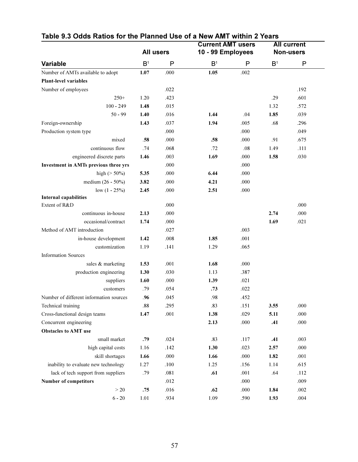|                                         |                  |      |                   | <b>Current AMT users</b> |                | <b>All current</b> |
|-----------------------------------------|------------------|------|-------------------|--------------------------|----------------|--------------------|
| <b>Variable</b>                         | <b>All users</b> |      | 10 - 99 Employees |                          |                | <b>Non-users</b>   |
|                                         | B <sup>1</sup>   | P    | B <sup>1</sup>    | P                        | B <sup>1</sup> | P                  |
| Number of AMTs available to adopt       | 1.07             | .000 | 1.05              | .002                     |                |                    |
| Plant-level variables                   |                  |      |                   |                          |                |                    |
| Number of employees                     |                  | .022 |                   |                          |                | .192               |
| $250+$                                  | 1.20             | .423 |                   |                          | .29            | .601               |
| $100 - 249$                             | 1.48             | .015 |                   |                          | 1.32           | .572               |
| $50 - 99$                               | 1.40             | .016 | 1.44              | .04                      | 1.85           | .039               |
| Foreign-ownership                       | 1.43             | .037 | 1.94              | .005                     | .68            | .296               |
| Production system type                  |                  | .000 |                   | .000                     |                | .049               |
| mixed                                   | .58              | .000 | .58               | .000                     | .91            | .675               |
| continuous flow                         | .74              | .068 | .72               | .08                      | 1.49           | .111               |
| engineered discrete parts               | 1.46             | .003 | 1.69              | .000                     | 1.58           | .030               |
| Investment in AMTs previous three yrs   |                  | .000 |                   | .000                     |                |                    |
| high ( $> 50\%$ )                       | 5.35             | .000 | 6.44              | .000                     |                |                    |
| medium (26 - 50%)                       | 3.82             | .000 | 4.21              | .000                     |                |                    |
| low $(1 - 25\%)$                        | 2.45             | .000 | 2.51              | .000                     |                |                    |
| <b>Internal capabilities</b>            |                  |      |                   |                          |                |                    |
| Extent of R&D                           |                  | .000 |                   |                          |                | .000               |
| continuous in-house                     | 2.13             | .000 |                   |                          | 2.74           | .000               |
| occasional/contract                     | 1.74             | .000 |                   |                          | 1.69           | .021               |
| Method of AMT introduction              |                  | .027 |                   | .003                     |                |                    |
| in-house development                    | 1.42             | .008 | 1.85              | .001                     |                |                    |
| customization                           | 1.19             | .141 | 1.29              | .065                     |                |                    |
| <b>Information Sources</b>              |                  |      |                   |                          |                |                    |
| sales & marketing                       | 1.53             | .001 | 1.68              | .000                     |                |                    |
| production engineering                  | 1.30             | .030 | 1.13              | .387                     |                |                    |
| suppliers                               | 1.60             | .000 | 1.39              | .021                     |                |                    |
| customers                               | .79              | .054 | .73               | .022                     |                |                    |
| Number of different information sources | .96              | .045 | .98               | .452                     |                |                    |
| Technical training                      | $.88\,$          | .295 | .83               | .151                     | 3.55           | .000               |
| Cross-functional design teams           | 1.47             | .001 | 1.38              | .029                     | 5.11           | .000               |
| Concurrent engineering                  |                  |      | 2.13              | .000                     | .41            | .000               |
| <b>Obstacles to AMT use</b>             |                  |      |                   |                          |                |                    |
| small market                            | .79              | .024 | .83               | .117                     | .41            | .003               |
| high capital costs                      | 1.16             | .142 | 1.30              | .023                     | 2.57           | .000               |
| skill shortages                         | 1.66             | .000 | 1.66              | .000                     | 1.82           | .001               |
| inability to evaluate new technology    | 1.27             | .100 | 1.25              | .156                     | 1.14           | .615               |
| lack of tech support from suppliers     | .79              | .081 | .61               | .001                     | .64            | .112               |
| Number of competitors                   |                  | .012 |                   | .000                     |                | .009               |
| $>20\,$                                 | .75              | .016 | .62               | $.000\,$                 | 1.84           | $.002\,$           |
| $6 - 20$                                | 1.01             | .934 | 1.09              | .590                     | 1.93           | $.004\,$           |

# Table 9.3 Odds Ratios for the Planned Use of a New AMT within 2 Years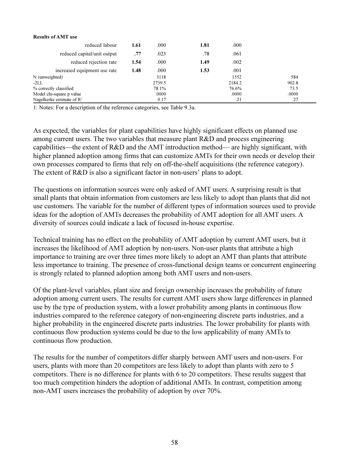#### **Results of AMT use**

| reduced labour                        | 1.61 | .000   | 1.81 | .000   |       |
|---------------------------------------|------|--------|------|--------|-------|
| reduced capital/unit output           | .77  | .023   | .78  | .061   |       |
| reduced rejection rate                | 1.54 | .000   | 1.49 | .002   |       |
| increased equipment use rate          | 1.48 | .000   | 1.53 | .001   |       |
| N (unweighted)                        |      | 3118   |      | 1552   | 584   |
| $-2LL$                                |      | 2739.5 |      | 2184.2 | 902.8 |
| % correctly classified                |      | 78.1%  |      | 76.6%  | 73.5  |
| Model chi-square p value              |      | .0000  |      | .0000  | .0000 |
| Nagelkerke estimate of $\mathbb{R}^2$ |      | 0.17   |      | .21    | .27   |

1: Notes: For a description of the reference categories, see Table 9.3a.

As expected, the variables for plant capabilities have highly significant effects on planned use among current users. The two variables that measure plant R&D and process engineering capabilities—the extent of R&D and the AMT introduction method— are highly significant, with higher planned adoption among firms that can customize AMTs for their own needs or develop their own processes compared to firms that rely on off-the-shelf acquisitions (the reference category). The extent of  $R&D$  is also a significant factor in non-users' plans to adopt.

The questions on information sources were only asked of AMT users. A surprising result is that small plants that obtain information from customers are less likely to adopt than plants that did not use customers. The variable for the number of different types of information sources used to provide ideas for the adoption of AMTs decreases the probability of AMT adoption for all AMT users. A diversity of sources could indicate a lack of focused in-house expertise.

Technical training has no effect on the probability of AMT adoption by current AMT users, but it increases the likelihood of AMT adoption by non-users. Non-user plants that attribute a high importance to training are over three times more likely to adopt an AMT than plants that attribute less importance to training. The presence of cross-functional design teams or concurrent engineering is strongly related to planned adoption among both AMT users and non-users.

Of the plant-level variables, plant size and foreign ownership increases the probability of future adoption among current users. The results for current AMT users show large differences in planned use by the type of production system, with a lower probability among plants in continuous flow industries compared to the reference category of non-engineering discrete parts industries, and a higher probability in the engineered discrete parts industries. The lower probability for plants with continuous flow production systems could be due to the low applicability of many AMTs to continuous flow production.

The results for the number of competitors differ sharply between AMT users and non-users. For users, plants with more than 20 competitors are less likely to adopt than plants with zero to 5 competitors. There is no difference for plants with 6 to 20 competitors. These results suggest that too much competition hinders the adoption of additional AMTs. In contrast, competition among non-AMT users increases the probability of adoption by over 70%.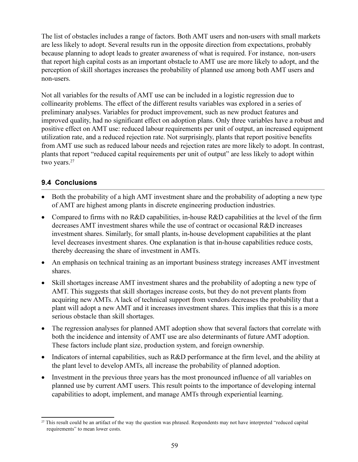The list of obstacles includes a range of factors. Both AMT users and non-users with small markets are less likely to adopt. Several results run in the opposite direction from expectations, probably because planning to adopt leads to greater awareness of what is required. For instance, non-users that report high capital costs as an important obstacle to AMT use are more likely to adopt, and the perception of skill shortages increases the probability of planned use among both AMT users and non-users.

Not all variables for the results of AMT use can be included in a logistic regression due to collinearity problems. The effect of the different results variables was explored in a series of preliminary analyses. Variables for product improvement, such as new product features and improved quality, had no significant effect on adoption plans. Only three variables have a robust and positive effect on AMT use: reduced labour requirements per unit of output, an increased equipment utilization rate, and a reduced rejection rate. Not surprisingly, plants that report positive benefits from AMT use such as reduced labour needs and rejection rates are more likely to adopt. In contrast, plants that report "reduced capital requirements per unit of output" are less likely to adopt within two years.<sup>27</sup>

# 9.4 Conclusions

- Both the probability of a high AMT investment share and the probability of adopting a new type of AMT are highest among plants in discrete engineering production industries.
- Compared to firms with no R&D capabilities, in-house R&D capabilities at the level of the firm decreases AMT investment shares while the use of contract or occasional R&D increases investment shares. Similarly, for small plants, in-house development capabilities at the plant level decreases investment shares. One explanation is that in-house capabilities reduce costs, thereby decreasing the share of investment in AMTs.
- An emphasis on technical training as an important business strategy increases AMT investment shares.
- Skill shortages increase AMT investment shares and the probability of adopting a new type of  $\bullet$ AMT. This suggests that skill shortages increase costs, but they do not prevent plants from acquiring new AMTs. A lack of technical support from vendors decreases the probability that a plant will adopt a new AMT and it increases investment shares. This implies that this is a more serious obstacle than skill shortages.
- The regression analyses for planned AMT adoption show that several factors that correlate with both the incidence and intensity of AMT use are also determinants of future AMT adoption. These factors include plant size, production system, and foreign ownership.
- Indicators of internal capabilities, such as R&D performance at the firm level, and the ability at the plant level to develop AMTs, all increase the probability of planned adoption.
- Investment in the previous three years has the most pronounced influence of all variables on  $\bullet$ planned use by current AMT users. This result points to the importance of developing internal capabilities to adopt, implement, and manage AMTs through experiential learning.

<sup>&</sup>lt;sup>27</sup> This result could be an artifact of the way the question was phrased. Respondents may not have interpreted "reduced capital" requirements" to mean lower costs.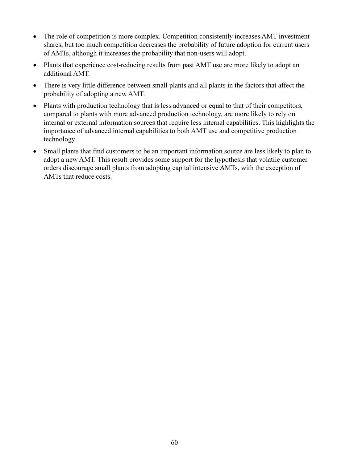- The role of competition is more complex. Competition consistently increases AMT investment  $\bullet$ shares, but too much competition decreases the probability of future adoption for current users of AMTs, although it increases the probability that non-users will adopt.
- Plants that experience cost-reducing results from past AMT use are more likely to adopt an additional AMT.
- There is very little difference between small plants and all plants in the factors that affect the  $\bullet$ probability of adopting a new AMT.
- Plants with production technology that is less advanced or equal to that of their competitors, compared to plants with more advanced production technology, are more likely to rely on internal or external information sources that require less internal capabilities. This highlights the importance of advanced internal capabilities to both AMT use and competitive production technology.
- Small plants that find customers to be an important information source are less likely to plan to adopt a new AMT. This result provides some support for the hypothesis that volatile customer orders discourage small plants from adopting capital intensive AMTs, with the exception of AMTs that reduce costs.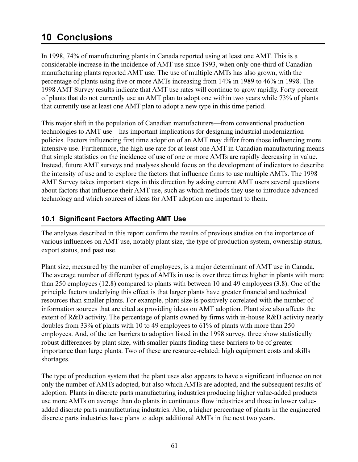# **10 Conclusions**

In 1998, 74% of manufacturing plants in Canada reported using at least one AMT. This is a considerable increase in the incidence of AMT use since 1993, when only one-third of Canadian manufacturing plants reported AMT use. The use of multiple AMTs has also grown, with the percentage of plants using five or more AMTs increasing from 14% in 1989 to 46% in 1998. The 1998 AMT Survey results indicate that AMT use rates will continue to grow rapidly. Forty percent of plants that do not currently use an AMT plan to adopt one within two years while 73% of plants that currently use at least one AMT plan to adopt a new type in this time period.

This major shift in the population of Canadian manufacturers—from conventional production technologies to AMT use—has important implications for designing industrial modernization policies. Factors influencing first time adoption of an AMT may differ from those influencing more intensive use. Furthermore, the high use rate for at least one AMT in Canadian manufacturing means that simple statistics on the incidence of use of one or more AMTs are rapidly decreasing in value. Instead, future AMT surveys and analyses should focus on the development of indicators to describe the intensity of use and to explore the factors that influence firms to use multiple AMTs. The 1998 AMT Survey takes important steps in this direction by asking current AMT users several questions about factors that influence their AMT use, such as which methods they use to introduce advanced technology and which sources of ideas for AMT adoption are important to them.

# 10.1 Significant Factors Affecting AMT Use

The analyses described in this report confirm the results of previous studies on the importance of various influences on AMT use, notably plant size, the type of production system, ownership status, export status, and past use.

Plant size, measured by the number of employees, is a major determinant of AMT use in Canada. The average number of different types of AMTs in use is over three times higher in plants with more than 250 employees  $(12.8)$  compared to plants with between 10 and 49 employees  $(3.8)$ . One of the principle factors underlying this effect is that larger plants have greater financial and technical resources than smaller plants. For example, plant size is positively correlated with the number of information sources that are cited as providing ideas on AMT adoption. Plant size also affects the extent of R&D activity. The percentage of plants owned by firms with in-house R&D activity nearly doubles from 33% of plants with 10 to 49 employees to 61% of plants with more than 250 employees. And, of the ten barriers to adoption listed in the 1998 survey, three show statistically robust differences by plant size, with smaller plants finding these barriers to be of greater importance than large plants. Two of these are resource-related: high equipment costs and skills shortages.

The type of production system that the plant uses also appears to have a significant influence on not only the number of AMTs adopted, but also which AMTs are adopted, and the subsequent results of adoption. Plants in discrete parts manufacturing industries producing higher value-added products use more AMTs on average than do plants in continuous flow industries and those in lower valueadded discrete parts manufacturing industries. Also, a higher percentage of plants in the engineered discrete parts industries have plans to adopt additional AMTs in the next two years.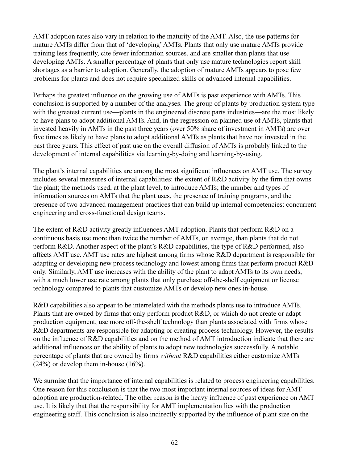AMT adoption rates also vary in relation to the maturity of the AMT. Also, the use patterns for mature AMTs differ from that of 'developing' AMTs. Plants that only use mature AMTs provide training less frequently, cite fewer information sources, and are smaller than plants that use developing AMTs. A smaller percentage of plants that only use mature technologies report skill shortages as a barrier to adoption. Generally, the adoption of mature AMTs appears to pose few problems for plants and does not require specialized skills or advanced internal capabilities.

Perhaps the greatest influence on the growing use of AMTs is past experience with AMTs. This conclusion is supported by a number of the analyses. The group of plants by production system type with the greatest current use—plants in the engineered discrete parts industries—are the most likely to have plans to adopt additional AMTs. And, in the regression on planned use of AMTs, plants that invested heavily in AMTs in the past three years (over 50% share of investment in AMTs) are over five times as likely to have plans to adopt additional AMTs as plants that have not invested in the past three years. This effect of past use on the overall diffusion of AMTs is probably linked to the development of internal capabilities via learning-by-doing and learning-by-using.

The plant's internal capabilities are among the most significant influences on AMT use. The survey includes several measures of internal capabilities: the extent of R&D activity by the firm that owns the plant; the methods used, at the plant level, to introduce AMTs; the number and types of information sources on AMTs that the plant uses, the presence of training programs, and the presence of two advanced management practices that can build up internal competencies: concurrent engineering and cross-functional design teams.

The extent of R&D activity greatly influences AMT adoption. Plants that perform R&D on a continuous basis use more than twice the number of AMTs, on average, than plants that do not perform R&D. Another aspect of the plant's R&D capabilities, the type of R&D performed, also affects AMT use. AMT use rates are highest among firms whose R&D department is responsible for adapting or developing new process technology and lowest among firms that perform product R&D only. Similarly, AMT use increases with the ability of the plant to adapt AMTs to its own needs, with a much lower use rate among plants that only purchase off-the-shelf equipment or license technology compared to plants that customize AMTs or develop new ones in-house.

R&D capabilities also appear to be interrelated with the methods plants use to introduce AMTs. Plants that are owned by firms that only perform product R&D, or which do not create or adapt production equipment, use more off-the-shelf technology than plants associated with firms whose R&D departments are responsible for adapting or creating process technology. However, the results on the influence of R&D capabilities and on the method of AMT introduction indicate that there are additional influences on the ability of plants to adopt new technologies successfully. A notable percentage of plants that are owned by firms *without* R&D capabilities either customize AMTs  $(24%)$  or develop them in-house  $(16%).$ 

We surmise that the importance of internal capabilities is related to process engineering capabilities. One reason for this conclusion is that the two most important internal sources of ideas for AMT adoption are production-related. The other reason is the heavy influence of past experience on AMT use. It is likely that that the responsibility for AMT implementation lies with the production engineering staff. This conclusion is also indirectly supported by the influence of plant size on the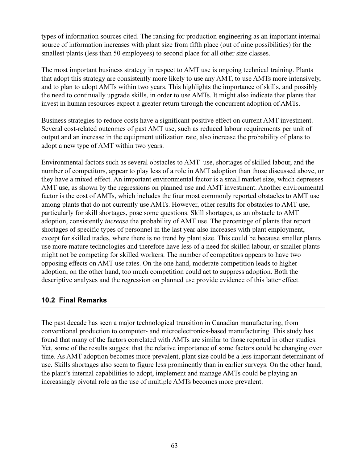types of information sources cited. The ranking for production engineering as an important internal source of information increases with plant size from fifth place (out of nine possibilities) for the smallest plants (less than 50 employees) to second place for all other size classes.

The most important business strategy in respect to AMT use is ongoing technical training. Plants that adopt this strategy are consistently more likely to use any AMT, to use AMTs more intensively, and to plan to adopt AMTs within two years. This highlights the importance of skills, and possibly the need to continually upgrade skills, in order to use AMTs. It might also indicate that plants that invest in human resources expect a greater return through the concurrent adoption of AMTs.

Business strategies to reduce costs have a significant positive effect on current AMT investment. Several cost-related outcomes of past AMT use, such as reduced labour requirements per unit of output and an increase in the equipment utilization rate, also increase the probability of plans to adopt a new type of AMT within two years.

Environmental factors such as several obstacles to AMT use, shortages of skilled labour, and the number of competitors, appear to play less of a role in AMT adoption than those discussed above, or they have a mixed effect. An important environmental factor is a small market size, which depresses AMT use, as shown by the regressions on planned use and AMT investment. Another environmental factor is the cost of AMTs, which includes the four most commonly reported obstacles to AMT use among plants that do not currently use AMTs. However, other results for obstacles to AMT use, particularly for skill shortages, pose some questions. Skill shortages, as an obstacle to AMT adoption, consistently *increase* the probability of AMT use. The percentage of plants that report shortages of specific types of personnel in the last year also increases with plant employment, except for skilled trades, where there is no trend by plant size. This could be because smaller plants use more mature technologies and therefore have less of a need for skilled labour, or smaller plants might not be competing for skilled workers. The number of competitors appears to have two opposing effects on AMT use rates. On the one hand, moderate competition leads to higher adoption; on the other hand, too much competition could act to suppress adoption. Both the descriptive analyses and the regression on planned use provide evidence of this latter effect.

## **10.2 Final Remarks**

The past decade has seen a major technological transition in Canadian manufacturing, from conventional production to computer- and microelectronics-based manufacturing. This study has found that many of the factors correlated with AMTs are similar to those reported in other studies. Yet, some of the results suggest that the relative importance of some factors could be changing over time. As AMT adoption becomes more prevalent, plant size could be a less important determinant of use. Skills shortages also seem to figure less prominently than in earlier surveys. On the other hand, the plant's internal capabilities to adopt, implement and manage AMTs could be playing an increasingly pivotal role as the use of multiple AMTs becomes more prevalent.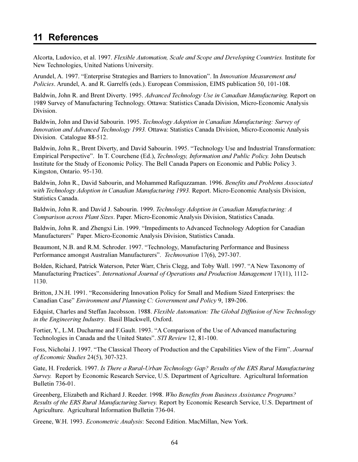# 11 References

Alcorta, Ludovico, et al. 1997. Flexible Automation, Scale and Scope and Developing Countries. Institute for New Technologies, United Nations University.

Arundel, A. 1997. "Enterprise Strategies and Barriers to Innovation". In *Innovation Measurement and* Policies. Arundel, A. and R. Garrelfs (eds.). European Commission, EIMS publication 50, 101-108.

Baldwin, John R. and Brent Diverty. 1995. Advanced Technology Use in Canadian Manufacturing. Report on 1989 Survey of Manufacturing Technology. Ottawa: Statistics Canada Division, Micro-Economic Analysis Division.

Baldwin, John and David Sabourin. 1995. Technology Adoption in Canadian Manufacturing: Survey of Innovation and Advanced Technology 1993. Ottawa: Statistics Canada Division, Micro-Economic Analysis Division. Catalogue 88-512.

Baldwin, John R., Brent Diverty, and David Sabourin. 1995. "Technology Use and Industrial Transformation: Empirical Perspective". In T. Courchene (Ed.), *Technology, Information and Public Policy*. John Deutsch Institute for the Study of Economic Policy. The Bell Canada Papers on Economic and Public Policy 3. Kingston, Ontario. 95-130.

Baldwin, John R., David Sabourin, and Mohammed Rafiquzzaman. 1996. Benefits and Problems Associated with Technology Adoption in Canadian Manufacturing 1993. Report. Micro-Economic Analysis Division, **Statistics Canada.** 

Baldwin, John R. and David J. Sabourin. 1999. Technology Adoption in Canadian Manufacturing: A Comparison across Plant Sizes. Paper. Micro-Economic Analysis Division, Statistics Canada.

Baldwin, John R. and Zhengxi Lin. 1999. "Impediments to Advanced Technology Adoption for Canadian Manufacturers" Paper. Micro-Economic Analysis Division, Statistics Canada.

Beaumont, N.B. and R.M. Schroder. 1997. "Technology, Manufacturing Performance and Business Performance amongst Australian Manufacturers". Technovation 17(6), 297-307.

Bolden, Richard, Patrick Waterson, Peter Warr, Chris Clegg, and Toby Wall. 1997. "A New Taxonomy of Manufacturing Practices". International Journal of Operations and Production Management 17(11), 1112-1130.

Britton, J.N.H. 1991. "Reconsidering Innovation Policy for Small and Medium Sized Enterprises: the Canadian Case" Environment and Planning C: Government and Policy 9, 189-206.

Edquist, Charles and Steffan Jacobsson. 1988. Flexible Automation: The Global Diffusion of New Technology in the Engineering Industry. Basil Blackwell, Oxford.

Fortier, Y., L.M. Ducharme and F.Gault. 1993. "A Comparison of the Use of Advanced manufacturing Technologies in Canada and the United States". STI Review 12, 81-100.

Foss, Nicholai J. 1997. "The Classical Theory of Production and the Capabilities View of the Firm". Journal of Economic Studies 24(5), 307-323.

Gate, H. Frederick. 1997. Is There a Rural-Urban Technology Gap? Results of the ERS Rural Manufacturing Survey. Report by Economic Research Service, U.S. Department of Agriculture. Agricultural Information Bulletin 736-01.

Greenberg, Elizabeth and Richard J. Reeder. 1998. Who Benefits from Business Assistance Programs? Results of the ERS Rural Manufacturing Survey. Report by Economic Research Service, U.S. Department of Agriculture. Agricultural Information Bulletin 736-04.

Greene, W.H. 1993. *Econometric Analysis*: Second Edition. MacMillan, New York.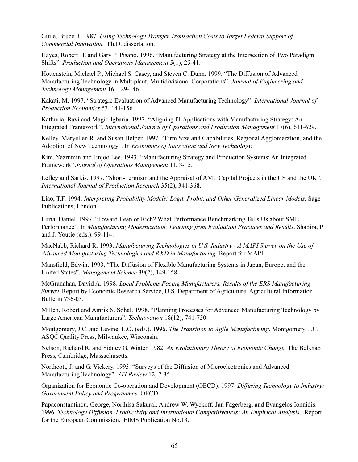Guile, Bruce R. 1987. Using Technology Transfer Transaction Costs to Target Federal Support of Commercial Innovation. Ph.D. dissertation.

Hayes, Robert H. and Gary P. Pisano. 1996. "Manufacturing Strategy at the Intersection of Two Paradigm Shifts". Production and Operations Management 5(1), 25-41.

Hottenstein, Michael P., Michael S. Casey, and Steven C. Dunn. 1999. "The Diffusion of Advanced Manufacturing Technology in Multiplant, Multidivisional Corporations". Journal of Engineering and Technology Management 16, 129-146.

Kakati, M. 1997. "Strategic Evaluation of Advanced Manufacturing Technology". International Journal of Production Economics 53, 141-156

Kathuria, Ravi and Magid Igbaria. 1997. "Aligning IT Applications with Manufacturing Strategy: An Integrated Framework". International Journal of Operations and Production Management 17(6), 611-629.

Kelley, Maryellen R. and Susan Helper. 1997. "Firm Size and Capabilities, Regional Agglomeration, and the Adoption of New Technology". In Economics of Innovation and New Technology.

Kim, Yearnmin and Jinjoo Lee. 1993. "Manufacturing Strategy and Production Systems: An Integrated Framework" Journal of Operations Management 11, 3-15.

Lefley and Sarkis. 1997. "Short-Termism and the Appraisal of AMT Capital Projects in the US and the UK". International Journal of Production Research 35(2), 341-368.

Liao, T.F. 1994. Interpreting Probability Models: Logit, Probit, and Other Generalized Linear Models. Sage Publications, London

Luria, Daniel. 1997. "Toward Lean or Rich? What Performance Benchmarking Tells Us about SME Performance". In Manufacturing Modernization: Learning from Evaluation Practices and Results. Shapira, P and J. Youtie (eds.). 99-114.

MacNabb, Richard R. 1993. Manufacturing Technologies in U.S. Industry - A MAPI Survey on the Use of Advanced Manufacturing Technologies and R&D in Manufacturing. Report for MAPI.

Mansfield, Edwin. 1993. "The Diffusion of Flexible Manufacturing Systems in Japan, Europe, and the United States". Management Science 39(2), 149-158.

McGranahan, David A. 1998. Local Problems Facing Manufacturers. Results of the ERS Manufacturing Survey. Report by Economic Research Service, U.S. Department of Agriculture. Agricultural Information Bulletin 736-03.

Millen, Robert and Amrik S. Sohal. 1998. "Planning Processes for Advanced Manufacturing Technology by Large American Manufacturers". Technovation 18(12), 741-750.

Montgomery, J.C. and Levine, L.O. (eds.). 1996. The Transition to Agile Manufacturing. Montgomery, J.C. ASQC Quality Press, Milwaukee, Wisconsin.

Nelson, Richard R. and Sidney G. Winter. 1982. An Evolutionary Theory of Economic Change. The Belknap Press, Cambridge, Massachusetts.

Northcott, J. and G. Vickery. 1993. "Surveys of the Diffusion of Microelectronics and Advanced Manufacturing Technology". STI Review 12, 7-35.

Organization for Economic Co-operation and Development (OECD). 1997. Diffusing Technology to Industry: Government Policy and Programmes. OECD.

Papaconstantinou, George, Norihisa Sakurai, Andrew W. Wyckoff, Jan Fagerberg, and Evangelos Ionnidis. 1996. Technology Diffusion, Productivity and International Competitiveness: An Empirical Analysis. Report for the European Commission. EIMS Publication No.13.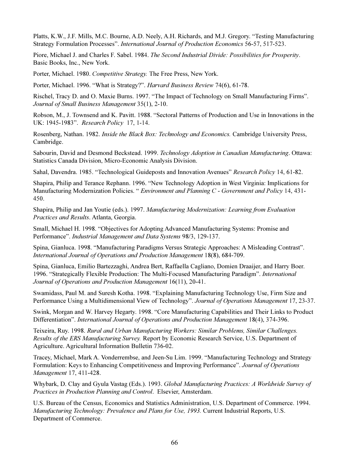Platts, K.W., J.F. Mills, M.C. Bourne, A.D. Neely, A.H. Richards, and M.J. Gregory. "Testing Manufacturing Strategy Formulation Processes". International Journal of Production Economics 56-57, 517-523.

Piore, Michael J. and Charles F. Sabel. 1984. The Second Industrial Divide: Possibilities for Prosperity. Basic Books, Inc., New York.

Porter, Michael. 1980. Competitive Strategy. The Free Press, New York.

Porter, Michael. 1996. "What is Strategy?". Harvard Business Review 74(6), 61-78.

Rischel, Tracy D. and O. Maxie Burns. 1997. "The Impact of Technology on Small Manufacturing Firms". Journal of Small Business Management 35(1), 2-10.

Robson, M., J. Townsend and K. Pavitt. 1988. "Sectoral Patterns of Production and Use in Innovations in the UK: 1945-1983". Research Policy 17, 1-14.

Rosenberg, Nathan. 1982. *Inside the Black Box: Technology and Economics*. Cambridge University Press, Cambridge.

Sabourin, David and Desmond Beckstead. 1999. Technology Adoption in Canadian Manufacturing. Ottawa: Statistics Canada Division, Micro-Economic Analysis Division.

Sahal, Davendra. 1985. "Technological Guideposts and Innovation Avenues" Research Policy 14, 61-82.

Shapira, Philip and Terance Rephann. 1996. "New Technology Adoption in West Virginia: Implications for Manufacturing Modernization Policies. "Environment and Planning C - Government and Policy 14, 431-450.

Shapira, Philip and Jan Youtie (eds.). 1997. Manufacturing Modernization: Learning from Evaluation Practices and Results. Atlanta, Georgia.

Small, Michael H. 1998. "Objectives for Adopting Advanced Manufacturing Systems: Promise and Performance". Industrial Management and Data Systems 98/3, 129-137.

Spina, Gianluca. 1998. "Manufacturing Paradigms Versus Strategic Approaches: A Misleading Contrast". International Journal of Operations and Production Management 18(8), 684-709.

Spina, Gianluca, Emilio Bartezzaghi, Andrea Bert, Raffaella Cagliano, Domien Draaijer, and Harry Boer. 1996. "Strategically Flexible Production: The Multi-Focused Manufacturing Paradigm". International Journal of Operations and Production Management 16(11), 20-41.

Swamidass, Paul M. and Suresh Kotha. 1998. "Explaining Manufacturing Technology Use, Firm Size and Performance Using a Multidimensional View of Technology". Journal of Operations Management 17, 23-37.

Swink, Morgan and W. Harvey Hegarty. 1998. "Core Manufacturing Capabilities and Their Links to Product Differentiation". International Journal of Operations and Production Management 18(4), 374-396.

Teixeira, Ruy. 1998. Rural and Urban Manufacturing Workers: Similar Problems, Similar Challenges. Results of the ERS Manufacturing Survey. Report by Economic Research Service, U.S. Department of Agriculture. Agricultural Information Bulletin 736-02.

Tracey, Michael, Mark A. Vonderrembse, and Jeen-Su Lim. 1999. "Manufacturing Technology and Strategy Formulation: Keys to Enhancing Competitiveness and Improving Performance". Journal of Operations Management 17, 411-428.

Whybark, D. Clay and Gyula Vastag (Eds.). 1993. Global Manufacturing Practices: A Worldwide Survey of Practices in Production Planning and Control. Elsevier, Amsterdam.

U.S. Bureau of the Census, Economics and Statistics Administration, U.S. Department of Commerce. 1994. Manufacturing Technology: Prevalence and Plans for Use, 1993. Current Industrial Reports, U.S. Department of Commerce.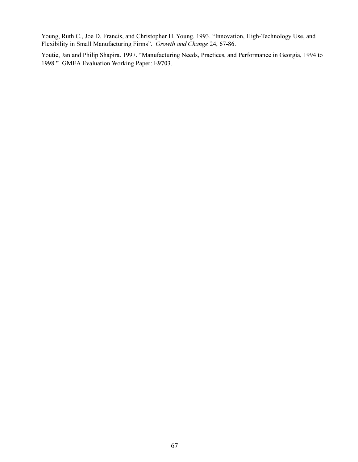Young, Ruth C., Joe D. Francis, and Christopher H. Young. 1993. "Innovation, High-Technology Use, and Flexibility in Small Manufacturing Firms". Growth and Change 24, 67-86.

Youtie, Jan and Philip Shapira. 1997. "Manufacturing Needs, Practices, and Performance in Georgia, 1994 to 1998." GMEA Evaluation Working Paper: E9703.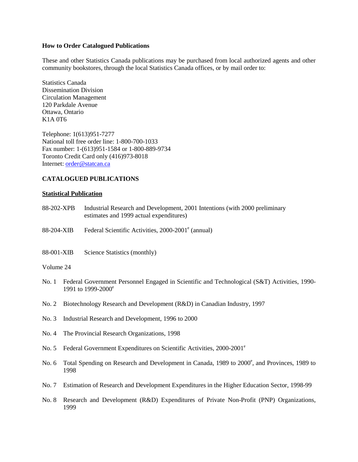#### **How to Order Catalogued Publications**

These and other Statistics Canada publications may be purchased from local authorized agents and other community bookstores, through the local Statistics Canada offices, or by mail order to:

Statistics Canada Dissemination Division Circulation Management 120 Parkdale Avenue Ottawa, Ontario K1A 0T6

Telephone: 1(613)951-7277 National toll free order line: 1-800-700-1033 Fax number: 1-(613)951-1584 or 1-800-889-9734 Toronto Credit Card only (416)973-8018 Internet: order@statcan.ca

### **CATALOGUED PUBLICATIONS**

#### **Statistical Publication**

- 88-202-XPB Industrial Research and Development, 2001 Intentions (with 2000 preliminary estimates and 1999 actual expenditures)
- 88-204-XIB Federal Scientific Activities, 2000-2001<sup>e</sup> (annual)
- 88-001-XIB Science Statistics (monthly)

#### Volume 24

- No. 1 Federal Government Personnel Engaged in Scientific and Technological (S&T) Activities, 1990- 1991 to 1999-2000<sup>e</sup>
- No. 2 Biotechnology Research and Development (R&D) in Canadian Industry, 1997
- No. 3 Industrial Research and Development, 1996 to 2000
- No. 4 The Provincial Research Organizations, 1998
- No. 5 Federal Government Expenditures on Scientific Activities, 2000-2001<sup>e</sup>
- No. 6 Total Spending on Research and Development in Canada, 1989 to 2000<sup>e</sup>, and Provinces, 1989 to 1998
- No. 7 Estimation of Research and Development Expenditures in the Higher Education Sector, 1998-99
- No. 8 Research and Development (R&D) Expenditures of Private Non-Profit (PNP) Organizations, 1999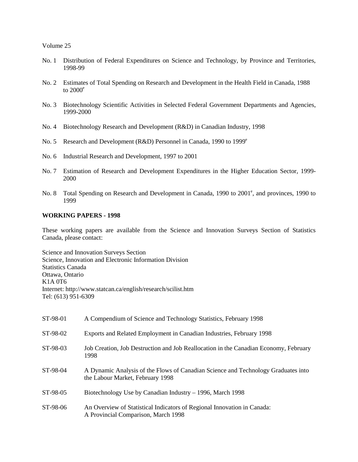Volume 25

- No. 1 Distribution of Federal Expenditures on Science and Technology, by Province and Territories, 1998-99
- No. 2 Estimates of Total Spending on Research and Development in the Health Field in Canada, 1988 to  $2000^\circ$
- No. 3 Biotechnology Scientific Activities in Selected Federal Government Departments and Agencies, 1999-2000
- No. 4 Biotechnology Research and Development (R&D) in Canadian Industry, 1998
- No. 5 Research and Development (R&D) Personnel in Canada, 1990 to 1999<sup>e</sup>
- No. 6 Industrial Research and Development, 1997 to 2001
- No. 7 Estimation of Research and Development Expenditures in the Higher Education Sector, 1999- 2000
- No. 8 Total Spending on Research and Development in Canada, 1990 to 2001<sup>e</sup>, and provinces, 1990 to 1999

#### **WORKING PAPERS - 1998**

These working papers are available from the Science and Innovation Surveys Section of Statistics Canada, please contact:

Science and Innovation Surveys Section Science, Innovation and Electronic Information Division Statistics Canada Ottawa, Ontario K1A 0T6 Internet: http://www.statcan.ca/english/research/scilist.htm Tel: (613) 951-6309

| ST-98-01 | A Compendium of Science and Technology Statistics, February 1998                                                      |
|----------|-----------------------------------------------------------------------------------------------------------------------|
| ST-98-02 | Exports and Related Employment in Canadian Industries, February 1998                                                  |
| ST-98-03 | Job Creation, Job Destruction and Job Reallocation in the Canadian Economy, February<br>1998                          |
| ST-98-04 | A Dynamic Analysis of the Flows of Canadian Science and Technology Graduates into<br>the Labour Market, February 1998 |
| ST-98-05 | Biotechnology Use by Canadian Industry – 1996, March 1998                                                             |
| ST-98-06 | An Overview of Statistical Indicators of Regional Innovation in Canada:<br>A Provincial Comparison, March 1998        |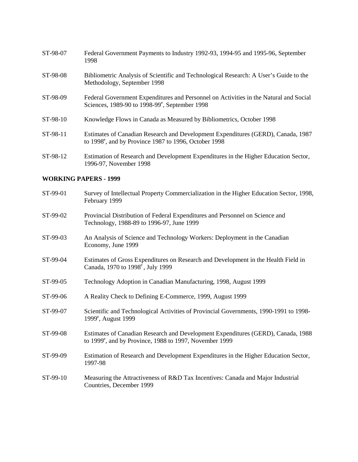| ST-98-07 | Federal Government Payments to Industry 1992-93, 1994-95 and 1995-96, September<br>1998                                                               |
|----------|-------------------------------------------------------------------------------------------------------------------------------------------------------|
| ST-98-08 | Bibliometric Analysis of Scientific and Technological Research: A User's Guide to the<br>Methodology, September 1998                                  |
| ST-98-09 | Federal Government Expenditures and Personnel on Activities in the Natural and Social<br>Sciences, 1989-90 to 1998-99 $^{\circ}$ , September 1998     |
| ST-98-10 | Knowledge Flows in Canada as Measured by Bibliometrics, October 1998                                                                                  |
| ST-98-11 | Estimates of Canadian Research and Development Expenditures (GERD), Canada, 1987<br>to 1998 <sup>e</sup> , and by Province 1987 to 1996, October 1998 |
| ST-98-12 | Estimation of Research and Development Expenditures in the Higher Education Sector,<br>1996-97, November 1998                                         |

## **WORKING PAPERS - 1999**

| ST-99-01 | Survey of Intellectual Property Commercialization in the Higher Education Sector, 1998,<br>February 1999                                                |
|----------|---------------------------------------------------------------------------------------------------------------------------------------------------------|
| ST-99-02 | Provincial Distribution of Federal Expenditures and Personnel on Science and<br>Technology, 1988-89 to 1996-97, June 1999                               |
| ST-99-03 | An Analysis of Science and Technology Workers: Deployment in the Canadian<br>Economy, June 1999                                                         |
| ST-99-04 | Estimates of Gross Expenditures on Research and Development in the Health Field in<br>Canada, 1970 to 1998 <sup>e</sup> , July 1999                     |
| ST-99-05 | Technology Adoption in Canadian Manufacturing, 1998, August 1999                                                                                        |
| ST-99-06 | A Reality Check to Defining E-Commerce, 1999, August 1999                                                                                               |
| ST-99-07 | Scientific and Technological Activities of Provincial Governments, 1990-1991 to 1998-<br>1999 <sup>e</sup> , August 1999                                |
| ST-99-08 | Estimates of Canadian Research and Development Expenditures (GERD), Canada, 1988<br>to 1999 <sup>e</sup> , and by Province, 1988 to 1997, November 1999 |
| ST-99-09 | Estimation of Research and Development Expenditures in the Higher Education Sector,<br>1997-98                                                          |
| ST-99-10 | Measuring the Attractiveness of R&D Tax Incentives: Canada and Major Industrial<br>Countries, December 1999                                             |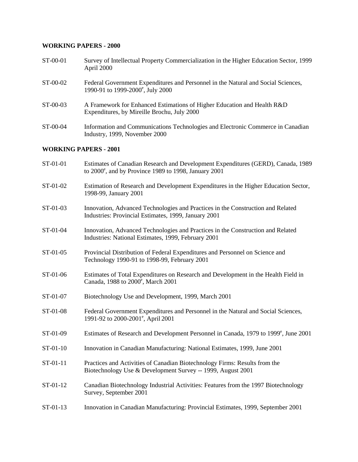## **WORKING PAPERS - 2000**

| ST-00-01   | Survey of Intellectual Property Commercialization in the Higher Education Sector, 1999<br>April 2000                               |
|------------|------------------------------------------------------------------------------------------------------------------------------------|
| ST-00-02   | Federal Government Expenditures and Personnel in the Natural and Social Sciences,<br>1990-91 to 1999-2000 <sup>e</sup> , July 2000 |
| $ST-00-03$ | A Framework for Enhanced Estimations of Higher Education and Health R&D<br>Expenditures, by Mireille Brochu, July 2000             |
| ST-00-04   | Information and Communications Technologies and Electronic Commerce in Canadian                                                    |

#### **WORKING PAPERS - 2001**

Industry, 1999, November 2000

| ST-01-01 | Estimates of Canadian Research and Development Expenditures (GERD), Canada, 1989<br>to 2000°, and by Province 1989 to 1998, January 2001  |
|----------|-------------------------------------------------------------------------------------------------------------------------------------------|
| ST-01-02 | Estimation of Research and Development Expenditures in the Higher Education Sector,<br>1998-99, January 2001                              |
| ST-01-03 | Innovation, Advanced Technologies and Practices in the Construction and Related<br>Industries: Provincial Estimates, 1999, January 2001   |
| ST-01-04 | Innovation, Advanced Technologies and Practices in the Construction and Related<br>Industries: National Estimates, 1999, February 2001    |
| ST-01-05 | Provincial Distribution of Federal Expenditures and Personnel on Science and<br>Technology 1990-91 to 1998-99, February 2001              |
| ST-01-06 | Estimates of Total Expenditures on Research and Development in the Health Field in<br>Canada, 1988 to 2000°, March 2001                   |
| ST-01-07 | Biotechnology Use and Development, 1999, March 2001                                                                                       |
| ST-01-08 | Federal Government Expenditures and Personnel in the Natural and Social Sciences,<br>1991-92 to 2000-2001 <sup>e</sup> , April 2001       |
| ST-01-09 | Estimates of Research and Development Personnel in Canada, 1979 to 1999 <sup>e</sup> , June 2001                                          |
| ST-01-10 | Innovation in Canadian Manufacturing: National Estimates, 1999, June 2001                                                                 |
| ST-01-11 | Practices and Activities of Canadian Biotechnology Firms: Results from the<br>Biotechnology Use & Development Survey -- 1999, August 2001 |
| ST-01-12 | Canadian Biotechnology Industrial Activities: Features from the 1997 Biotechnology<br>Survey, September 2001                              |
| ST-01-13 | Innovation in Canadian Manufacturing: Provincial Estimates, 1999, September 2001                                                          |